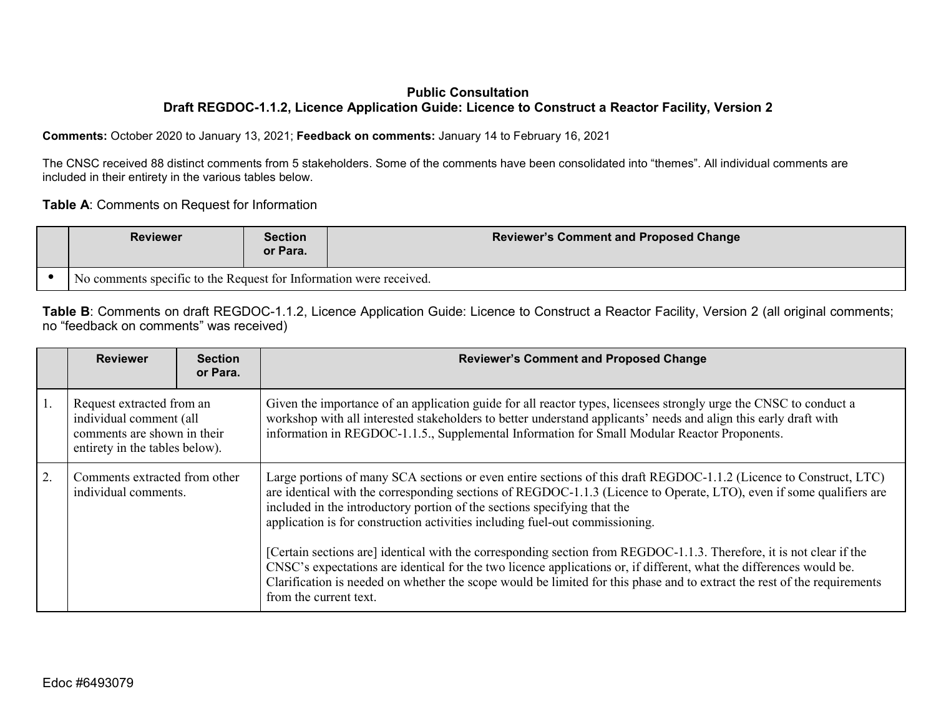## **Public Consultation Draft REGDOC-1.1.2, Licence Application Guide: Licence to Construct a Reactor Facility, Version 2**

**Comments:** October 2020 to January 13, 2021; **Feedback on comments:** January 14 to February 16, 2021

The CNSC received 88 distinct comments from 5 stakeholders. Some of the comments have been consolidated into "themes". All individual comments are included in their entirety in the various tables below.

**Table A**: Comments on Request for Information

| <b>Reviewer</b>                                                    | <b>Section</b><br>or Para. | <b>Reviewer's Comment and Proposed Change</b> |
|--------------------------------------------------------------------|----------------------------|-----------------------------------------------|
| No comments specific to the Request for Information were received. |                            |                                               |

Table B: Comments on draft REGDOC-1.1.2, Licence Application Guide: Licence to Construct a Reactor Facility, Version 2 (all original comments; no "feedback on comments" was received)

| <b>Reviewer</b>                                                                                                       | <b>Section</b><br>or Para. | <b>Reviewer's Comment and Proposed Change</b>                                                                                                                                                                                                                                                                                                                                                                                                                                                                                                                                                                                                                                                                                                                                                               |
|-----------------------------------------------------------------------------------------------------------------------|----------------------------|-------------------------------------------------------------------------------------------------------------------------------------------------------------------------------------------------------------------------------------------------------------------------------------------------------------------------------------------------------------------------------------------------------------------------------------------------------------------------------------------------------------------------------------------------------------------------------------------------------------------------------------------------------------------------------------------------------------------------------------------------------------------------------------------------------------|
| Request extracted from an<br>individual comment (all<br>comments are shown in their<br>entirety in the tables below). |                            | Given the importance of an application guide for all reactor types, licensees strongly urge the CNSC to conduct a<br>workshop with all interested stakeholders to better understand applicants' needs and align this early draft with<br>information in REGDOC-1.1.5., Supplemental Information for Small Modular Reactor Proponents.                                                                                                                                                                                                                                                                                                                                                                                                                                                                       |
| Comments extracted from other<br>individual comments.                                                                 |                            | Large portions of many SCA sections or even entire sections of this draft REGDOC-1.1.2 (Licence to Construct, LTC)<br>are identical with the corresponding sections of REGDOC-1.1.3 (Licence to Operate, LTO), even if some qualifiers are<br>included in the introductory portion of the sections specifying that the<br>application is for construction activities including fuel-out commissioning.<br>[Certain sections are] identical with the corresponding section from REGDOC-1.1.3. Therefore, it is not clear if the<br>CNSC's expectations are identical for the two licence applications or, if different, what the differences would be.<br>Clarification is needed on whether the scope would be limited for this phase and to extract the rest of the requirements<br>from the current text. |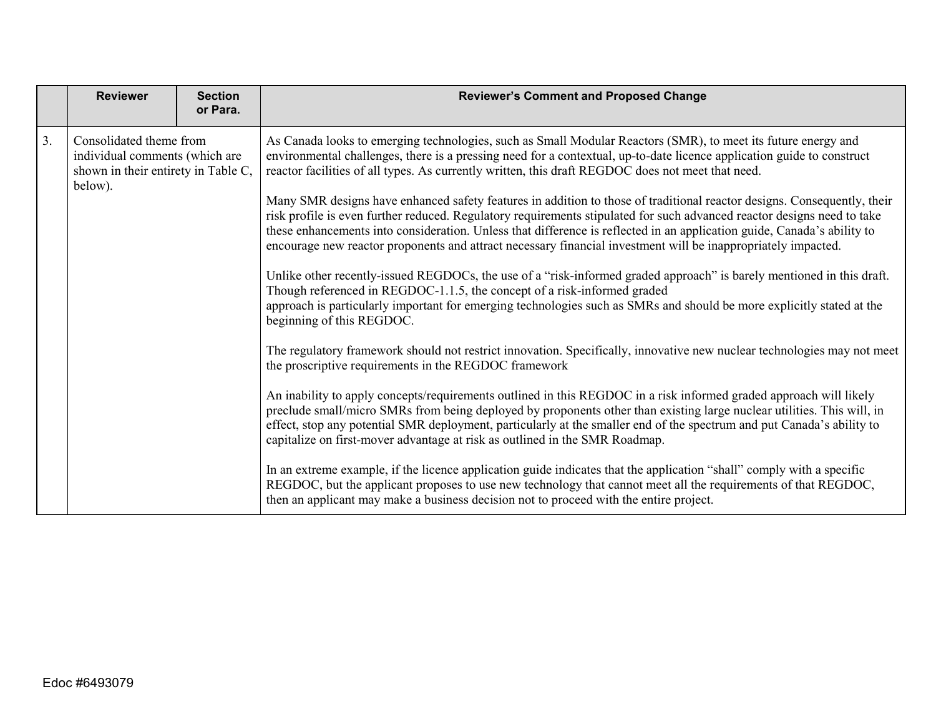|    | <b>Reviewer</b>                                                                                             | <b>Section</b><br>or Para. | <b>Reviewer's Comment and Proposed Change</b>                                                                                                                                                                                                                                                                                                                                                                                                                                                                                                                                                                                                                                                                                                                                                                                                                                                                                                                                                                                                                                                                                                                                                                                                                                                                                                                                                                                                                                                                                                                                                                                                                                                                                                                                                                                                                                                                                                                                                                                                                                                     |
|----|-------------------------------------------------------------------------------------------------------------|----------------------------|---------------------------------------------------------------------------------------------------------------------------------------------------------------------------------------------------------------------------------------------------------------------------------------------------------------------------------------------------------------------------------------------------------------------------------------------------------------------------------------------------------------------------------------------------------------------------------------------------------------------------------------------------------------------------------------------------------------------------------------------------------------------------------------------------------------------------------------------------------------------------------------------------------------------------------------------------------------------------------------------------------------------------------------------------------------------------------------------------------------------------------------------------------------------------------------------------------------------------------------------------------------------------------------------------------------------------------------------------------------------------------------------------------------------------------------------------------------------------------------------------------------------------------------------------------------------------------------------------------------------------------------------------------------------------------------------------------------------------------------------------------------------------------------------------------------------------------------------------------------------------------------------------------------------------------------------------------------------------------------------------------------------------------------------------------------------------------------------------|
| 3. | Consolidated theme from<br>individual comments (which are<br>shown in their entirety in Table C,<br>below). |                            | As Canada looks to emerging technologies, such as Small Modular Reactors (SMR), to meet its future energy and<br>environmental challenges, there is a pressing need for a contextual, up-to-date licence application guide to construct<br>reactor facilities of all types. As currently written, this draft REGDOC does not meet that need.<br>Many SMR designs have enhanced safety features in addition to those of traditional reactor designs. Consequently, their<br>risk profile is even further reduced. Regulatory requirements stipulated for such advanced reactor designs need to take<br>these enhancements into consideration. Unless that difference is reflected in an application guide, Canada's ability to<br>encourage new reactor proponents and attract necessary financial investment will be inappropriately impacted.<br>Unlike other recently-issued REGDOCs, the use of a "risk-informed graded approach" is barely mentioned in this draft.<br>Though referenced in REGDOC-1.1.5, the concept of a risk-informed graded<br>approach is particularly important for emerging technologies such as SMRs and should be more explicitly stated at the<br>beginning of this REGDOC.<br>The regulatory framework should not restrict innovation. Specifically, innovative new nuclear technologies may not meet<br>the proscriptive requirements in the REGDOC framework<br>An inability to apply concepts/requirements outlined in this REGDOC in a risk informed graded approach will likely<br>preclude small/micro SMRs from being deployed by proponents other than existing large nuclear utilities. This will, in<br>effect, stop any potential SMR deployment, particularly at the smaller end of the spectrum and put Canada's ability to<br>capitalize on first-mover advantage at risk as outlined in the SMR Roadmap.<br>In an extreme example, if the licence application guide indicates that the application "shall" comply with a specific<br>REGDOC, but the applicant proposes to use new technology that cannot meet all the requirements of that REGDOC, |
|    |                                                                                                             |                            | then an applicant may make a business decision not to proceed with the entire project.                                                                                                                                                                                                                                                                                                                                                                                                                                                                                                                                                                                                                                                                                                                                                                                                                                                                                                                                                                                                                                                                                                                                                                                                                                                                                                                                                                                                                                                                                                                                                                                                                                                                                                                                                                                                                                                                                                                                                                                                            |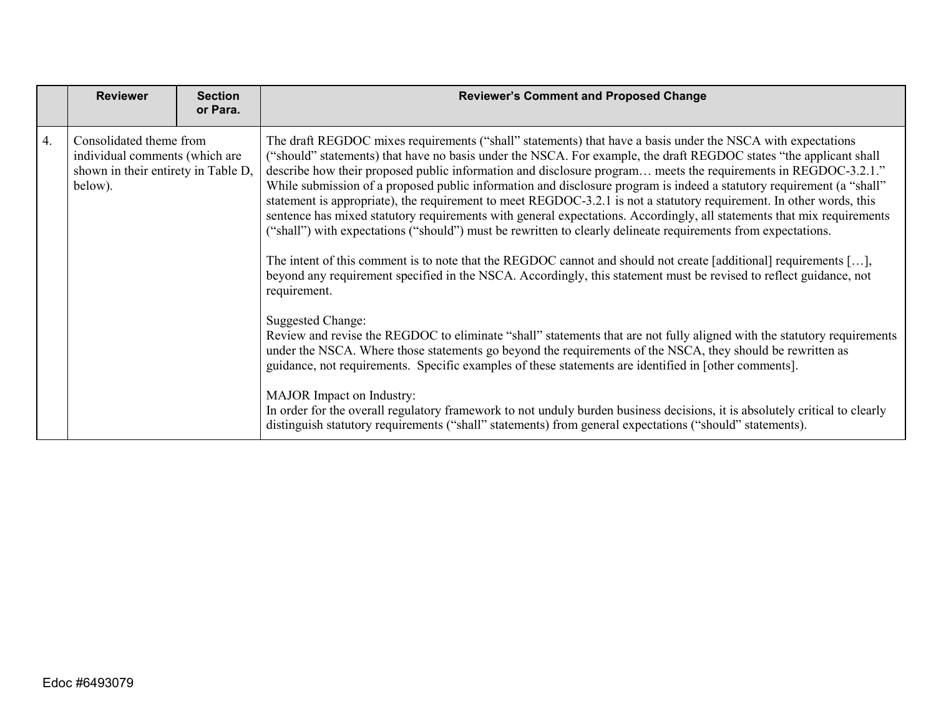|    | <b>Reviewer</b>                                                                                             | <b>Section</b><br>or Para. | <b>Reviewer's Comment and Proposed Change</b>                                                                                                                                                                                                                                                                                                                                                                                                                                                                                                                                                                                                                                                                                                                                                                                                                                                                                                                                                                                                                                                                                                                                                                                                                                                                                                                                                                                                                                                                                                                                                                                                                                                                                                                          |
|----|-------------------------------------------------------------------------------------------------------------|----------------------------|------------------------------------------------------------------------------------------------------------------------------------------------------------------------------------------------------------------------------------------------------------------------------------------------------------------------------------------------------------------------------------------------------------------------------------------------------------------------------------------------------------------------------------------------------------------------------------------------------------------------------------------------------------------------------------------------------------------------------------------------------------------------------------------------------------------------------------------------------------------------------------------------------------------------------------------------------------------------------------------------------------------------------------------------------------------------------------------------------------------------------------------------------------------------------------------------------------------------------------------------------------------------------------------------------------------------------------------------------------------------------------------------------------------------------------------------------------------------------------------------------------------------------------------------------------------------------------------------------------------------------------------------------------------------------------------------------------------------------------------------------------------------|
| 4. | Consolidated theme from<br>individual comments (which are<br>shown in their entirety in Table D,<br>below). |                            | The draft REGDOC mixes requirements ("shall" statements) that have a basis under the NSCA with expectations<br>("should" statements) that have no basis under the NSCA. For example, the draft REGDOC states "the applicant shall<br>describe how their proposed public information and disclosure program meets the requirements in REGDOC-3.2.1."<br>While submission of a proposed public information and disclosure program is indeed a statutory requirement (a "shall"<br>statement is appropriate), the requirement to meet REGDOC-3.2.1 is not a statutory requirement. In other words, this<br>sentence has mixed statutory requirements with general expectations. Accordingly, all statements that mix requirements<br>("shall") with expectations ("should") must be rewritten to clearly delineate requirements from expectations.<br>The intent of this comment is to note that the REGDOC cannot and should not create [additional] requirements [],<br>beyond any requirement specified in the NSCA. Accordingly, this statement must be revised to reflect guidance, not<br>requirement.<br><b>Suggested Change:</b><br>Review and revise the REGDOC to eliminate "shall" statements that are not fully aligned with the statutory requirements<br>under the NSCA. Where those statements go beyond the requirements of the NSCA, they should be rewritten as<br>guidance, not requirements. Specific examples of these statements are identified in [other comments].<br><b>MAJOR</b> Impact on Industry:<br>In order for the overall regulatory framework to not unduly burden business decisions, it is absolutely critical to clearly<br>distinguish statutory requirements ("shall" statements) from general expectations ("should" statements). |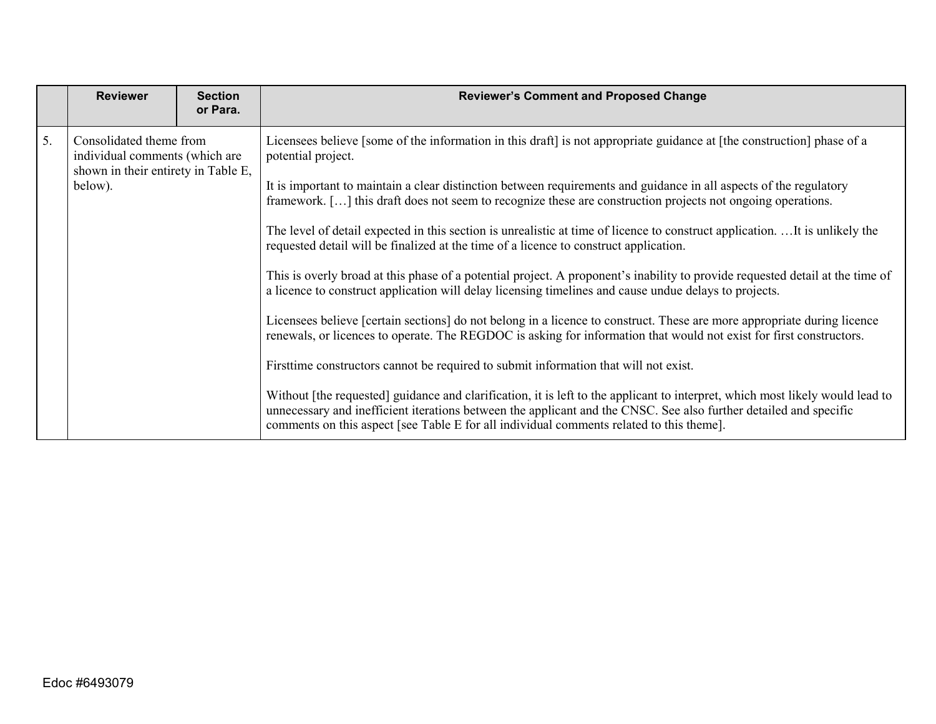| <b>Reviewer</b>                                                                                                   | <b>Reviewer's Comment and Proposed Change</b>                                                                                                                                                                                                                                                                                                                                                                                                                                                                                                                                                                                                                                                                                                                                                                                                                                                                                                                                                                                                                                                                                                                                                                                                                                                                                                                                                                                   | <b>Section</b><br>or Para. |
|-------------------------------------------------------------------------------------------------------------------|---------------------------------------------------------------------------------------------------------------------------------------------------------------------------------------------------------------------------------------------------------------------------------------------------------------------------------------------------------------------------------------------------------------------------------------------------------------------------------------------------------------------------------------------------------------------------------------------------------------------------------------------------------------------------------------------------------------------------------------------------------------------------------------------------------------------------------------------------------------------------------------------------------------------------------------------------------------------------------------------------------------------------------------------------------------------------------------------------------------------------------------------------------------------------------------------------------------------------------------------------------------------------------------------------------------------------------------------------------------------------------------------------------------------------------|----------------------------|
| 5.<br>Consolidated theme from<br>individual comments (which are<br>shown in their entirety in Table E,<br>below). | Licensees believe [some of the information in this draft] is not appropriate guidance at [the construction] phase of a<br>It is important to maintain a clear distinction between requirements and guidance in all aspects of the regulatory<br>framework. [] this draft does not seem to recognize these are construction projects not ongoing operations.<br>The level of detail expected in this section is unrealistic at time of licence to construct application.  It is unlikely the<br>requested detail will be finalized at the time of a licence to construct application.<br>This is overly broad at this phase of a potential project. A proponent's inability to provide requested detail at the time of<br>a licence to construct application will delay licensing timelines and cause undue delays to projects.<br>Licensees believe [certain sections] do not belong in a licence to construct. These are more appropriate during licence<br>renewals, or licences to operate. The REGDOC is asking for information that would not exist for first constructors.<br>First time constructors cannot be required to submit information that will not exist.<br>Without [the requested] guidance and clarification, it is left to the applicant to interpret, which most likely would lead to<br>unnecessary and inefficient iterations between the applicant and the CNSC. See also further detailed and specific |                            |
|                                                                                                                   | comments on this aspect [see Table E for all individual comments related to this theme].                                                                                                                                                                                                                                                                                                                                                                                                                                                                                                                                                                                                                                                                                                                                                                                                                                                                                                                                                                                                                                                                                                                                                                                                                                                                                                                                        |                            |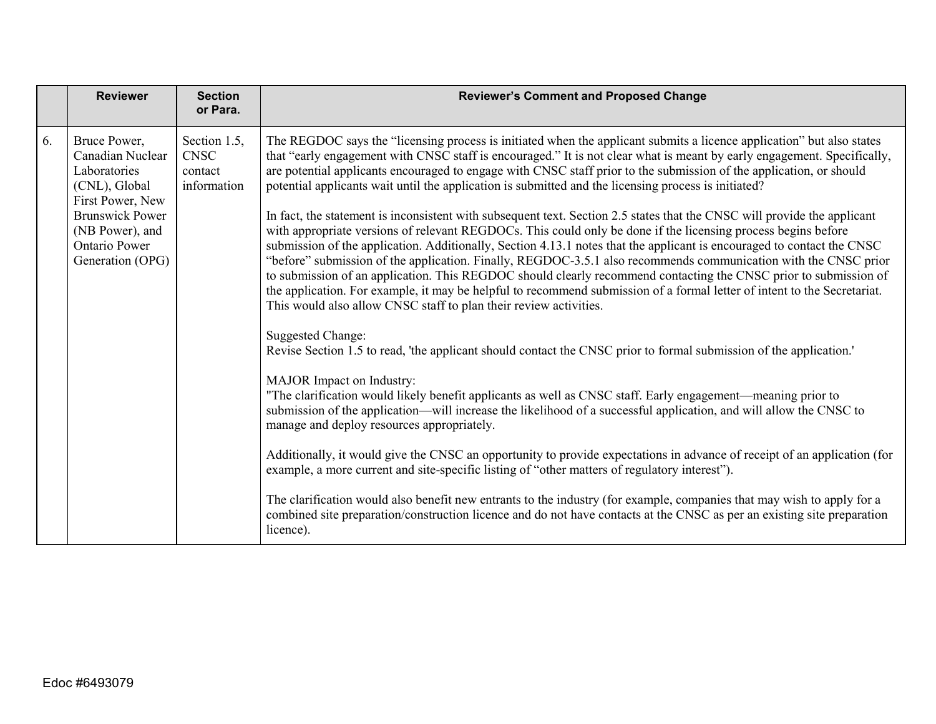|    | <b>Reviewer</b>                                                                                                                                                                | <b>Section</b><br>or Para.                            | <b>Reviewer's Comment and Proposed Change</b>                                                                                                                                                                                                                                                                                                                                                                                                                                                                                                                                                                                                                                                                                                                                                                                                                                                                                                                                                                                                                                                                                                                                                                                                                                                  |
|----|--------------------------------------------------------------------------------------------------------------------------------------------------------------------------------|-------------------------------------------------------|------------------------------------------------------------------------------------------------------------------------------------------------------------------------------------------------------------------------------------------------------------------------------------------------------------------------------------------------------------------------------------------------------------------------------------------------------------------------------------------------------------------------------------------------------------------------------------------------------------------------------------------------------------------------------------------------------------------------------------------------------------------------------------------------------------------------------------------------------------------------------------------------------------------------------------------------------------------------------------------------------------------------------------------------------------------------------------------------------------------------------------------------------------------------------------------------------------------------------------------------------------------------------------------------|
| 6. | Bruce Power,<br>Canadian Nuclear<br>Laboratories<br>(CNL), Global<br>First Power, New<br><b>Brunswick Power</b><br>(NB Power), and<br><b>Ontario Power</b><br>Generation (OPG) | Section 1.5,<br><b>CNSC</b><br>contact<br>information | The REGDOC says the "licensing process is initiated when the applicant submits a licence application" but also states<br>that "early engagement with CNSC staff is encouraged." It is not clear what is meant by early engagement. Specifically,<br>are potential applicants encouraged to engage with CNSC staff prior to the submission of the application, or should<br>potential applicants wait until the application is submitted and the licensing process is initiated?<br>In fact, the statement is inconsistent with subsequent text. Section 2.5 states that the CNSC will provide the applicant<br>with appropriate versions of relevant REGDOCs. This could only be done if the licensing process begins before<br>submission of the application. Additionally, Section 4.13.1 notes that the applicant is encouraged to contact the CNSC<br>"before" submission of the application. Finally, REGDOC-3.5.1 also recommends communication with the CNSC prior<br>to submission of an application. This REGDOC should clearly recommend contacting the CNSC prior to submission of<br>the application. For example, it may be helpful to recommend submission of a formal letter of intent to the Secretariat.<br>This would also allow CNSC staff to plan their review activities. |
|    |                                                                                                                                                                                |                                                       | <b>Suggested Change:</b><br>Revise Section 1.5 to read, 'the applicant should contact the CNSC prior to formal submission of the application.'<br>MAJOR Impact on Industry:<br>"The clarification would likely benefit applicants as well as CNSC staff. Early engagement—meaning prior to<br>submission of the application—will increase the likelihood of a successful application, and will allow the CNSC to<br>manage and deploy resources appropriately.<br>Additionally, it would give the CNSC an opportunity to provide expectations in advance of receipt of an application (for<br>example, a more current and site-specific listing of "other matters of regulatory interest").<br>The clarification would also benefit new entrants to the industry (for example, companies that may wish to apply for a<br>combined site preparation/construction licence and do not have contacts at the CNSC as per an existing site preparation<br>licence).                                                                                                                                                                                                                                                                                                                                  |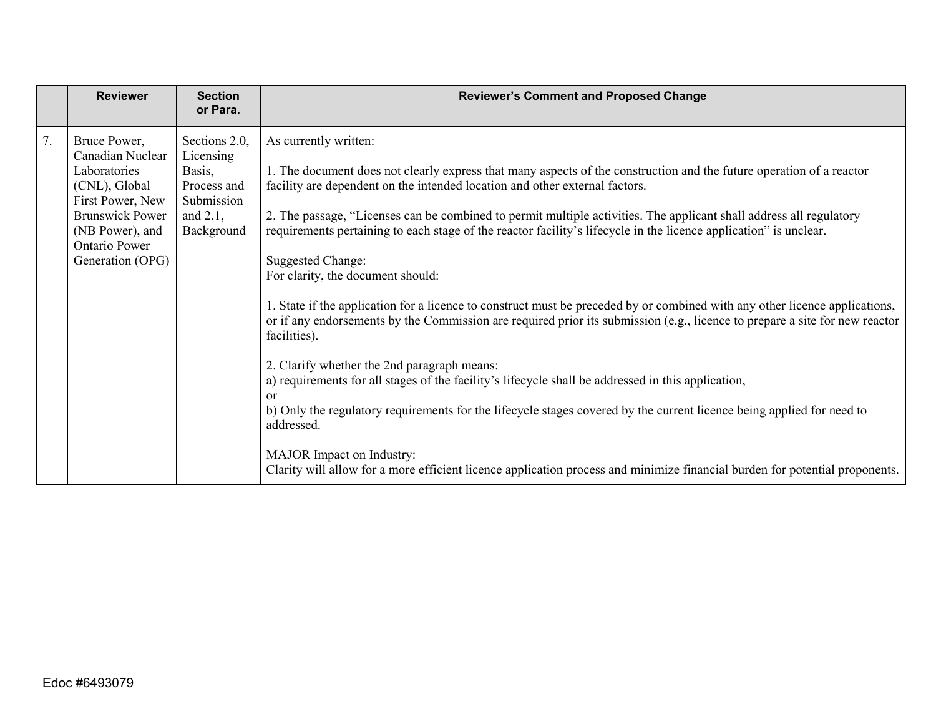| <b>Reviewer</b>                                                                                                                                                                      | <b>Section</b><br>or Para.                                                                     | <b>Reviewer's Comment and Proposed Change</b>                                                                                                                                                                                                                                                                                                                                                                                                                                                                                                                                                                                                                                                                                                                                                                                                                                                                                                                                                                                                                                                                                                                                                                                                                                         |
|--------------------------------------------------------------------------------------------------------------------------------------------------------------------------------------|------------------------------------------------------------------------------------------------|---------------------------------------------------------------------------------------------------------------------------------------------------------------------------------------------------------------------------------------------------------------------------------------------------------------------------------------------------------------------------------------------------------------------------------------------------------------------------------------------------------------------------------------------------------------------------------------------------------------------------------------------------------------------------------------------------------------------------------------------------------------------------------------------------------------------------------------------------------------------------------------------------------------------------------------------------------------------------------------------------------------------------------------------------------------------------------------------------------------------------------------------------------------------------------------------------------------------------------------------------------------------------------------|
| 7.<br>Bruce Power,<br>Canadian Nuclear<br>Laboratories<br>(CNL), Global<br>First Power, New<br><b>Brunswick Power</b><br>(NB Power), and<br><b>Ontario Power</b><br>Generation (OPG) | Sections 2.0,<br>Licensing<br>Basis,<br>Process and<br>Submission<br>and $2.1$ ,<br>Background | As currently written:<br>1. The document does not clearly express that many aspects of the construction and the future operation of a reactor<br>facility are dependent on the intended location and other external factors.<br>2. The passage, "Licenses can be combined to permit multiple activities. The applicant shall address all regulatory<br>requirements pertaining to each stage of the reactor facility's lifecycle in the licence application" is unclear.<br><b>Suggested Change:</b><br>For clarity, the document should:<br>1. State if the application for a licence to construct must be preceded by or combined with any other licence applications,<br>or if any endorsements by the Commission are required prior its submission (e.g., licence to prepare a site for new reactor<br>facilities).<br>2. Clarify whether the 2nd paragraph means:<br>a) requirements for all stages of the facility's lifecycle shall be addressed in this application,<br>or<br>b) Only the regulatory requirements for the lifecycle stages covered by the current licence being applied for need to<br>addressed.<br>MAJOR Impact on Industry:<br>Clarity will allow for a more efficient licence application process and minimize financial burden for potential proponents. |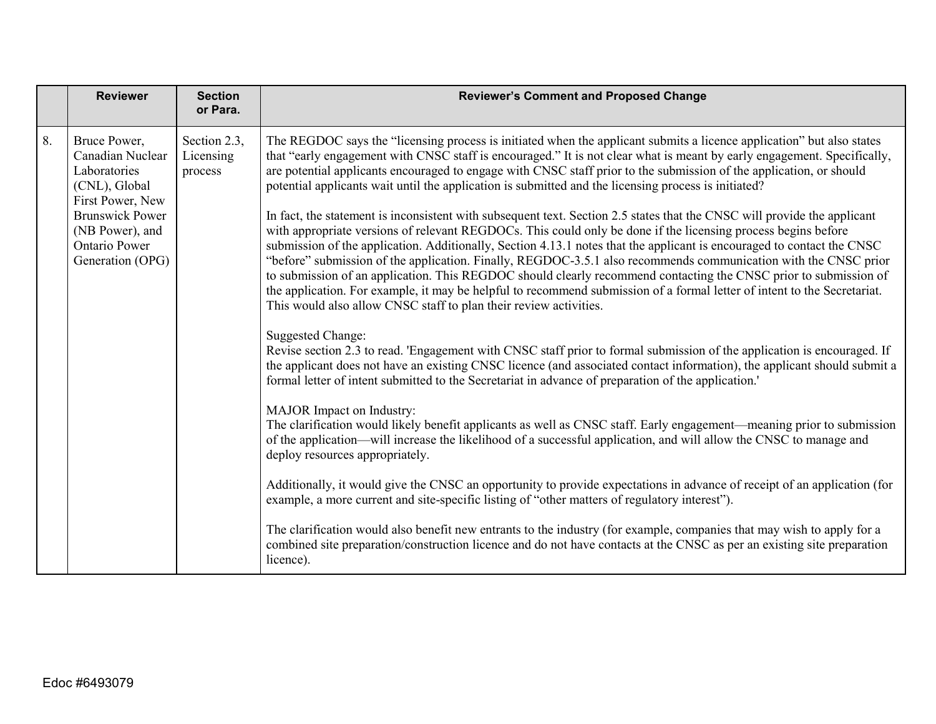|    | <b>Reviewer</b>                                                                                                                                                         | <b>Section</b><br>or Para.           | <b>Reviewer's Comment and Proposed Change</b>                                                                                                                                                                                                                                                                                                                                                                                                                                                                                                                                                                                                                                                                                                                                                                                                                                                                                                                                                                                                                                                                                                                                                                                                                                                                                                                                                                                                                                                                                                                                                                                                                                                                                                                                                                                                                                                                                                                                                                                                                                                                                                                                                                                                                                                                                                                                                                                                                                                          |
|----|-------------------------------------------------------------------------------------------------------------------------------------------------------------------------|--------------------------------------|--------------------------------------------------------------------------------------------------------------------------------------------------------------------------------------------------------------------------------------------------------------------------------------------------------------------------------------------------------------------------------------------------------------------------------------------------------------------------------------------------------------------------------------------------------------------------------------------------------------------------------------------------------------------------------------------------------------------------------------------------------------------------------------------------------------------------------------------------------------------------------------------------------------------------------------------------------------------------------------------------------------------------------------------------------------------------------------------------------------------------------------------------------------------------------------------------------------------------------------------------------------------------------------------------------------------------------------------------------------------------------------------------------------------------------------------------------------------------------------------------------------------------------------------------------------------------------------------------------------------------------------------------------------------------------------------------------------------------------------------------------------------------------------------------------------------------------------------------------------------------------------------------------------------------------------------------------------------------------------------------------------------------------------------------------------------------------------------------------------------------------------------------------------------------------------------------------------------------------------------------------------------------------------------------------------------------------------------------------------------------------------------------------------------------------------------------------------------------------------------------------|
| 8. | Bruce Power,<br>Canadian Nuclear<br>Laboratories<br>(CNL), Global<br>First Power, New<br><b>Brunswick Power</b><br>(NB Power), and<br>Ontario Power<br>Generation (OPG) | Section 2.3,<br>Licensing<br>process | The REGDOC says the "licensing process is initiated when the applicant submits a licence application" but also states<br>that "early engagement with CNSC staff is encouraged." It is not clear what is meant by early engagement. Specifically,<br>are potential applicants encouraged to engage with CNSC staff prior to the submission of the application, or should<br>potential applicants wait until the application is submitted and the licensing process is initiated?<br>In fact, the statement is inconsistent with subsequent text. Section 2.5 states that the CNSC will provide the applicant<br>with appropriate versions of relevant REGDOCs. This could only be done if the licensing process begins before<br>submission of the application. Additionally, Section 4.13.1 notes that the applicant is encouraged to contact the CNSC<br>"before" submission of the application. Finally, REGDOC-3.5.1 also recommends communication with the CNSC prior<br>to submission of an application. This REGDOC should clearly recommend contacting the CNSC prior to submission of<br>the application. For example, it may be helpful to recommend submission of a formal letter of intent to the Secretariat.<br>This would also allow CNSC staff to plan their review activities.<br><b>Suggested Change:</b><br>Revise section 2.3 to read. 'Engagement with CNSC staff prior to formal submission of the application is encouraged. If<br>the applicant does not have an existing CNSC licence (and associated contact information), the applicant should submit a<br>formal letter of intent submitted to the Secretariat in advance of preparation of the application.'<br>MAJOR Impact on Industry:<br>The clarification would likely benefit applicants as well as CNSC staff. Early engagement-meaning prior to submission<br>of the application—will increase the likelihood of a successful application, and will allow the CNSC to manage and<br>deploy resources appropriately.<br>Additionally, it would give the CNSC an opportunity to provide expectations in advance of receipt of an application (for<br>example, a more current and site-specific listing of "other matters of regulatory interest").<br>The clarification would also benefit new entrants to the industry (for example, companies that may wish to apply for a<br>combined site preparation/construction licence and do not have contacts at the CNSC as per an existing site preparation<br>licence). |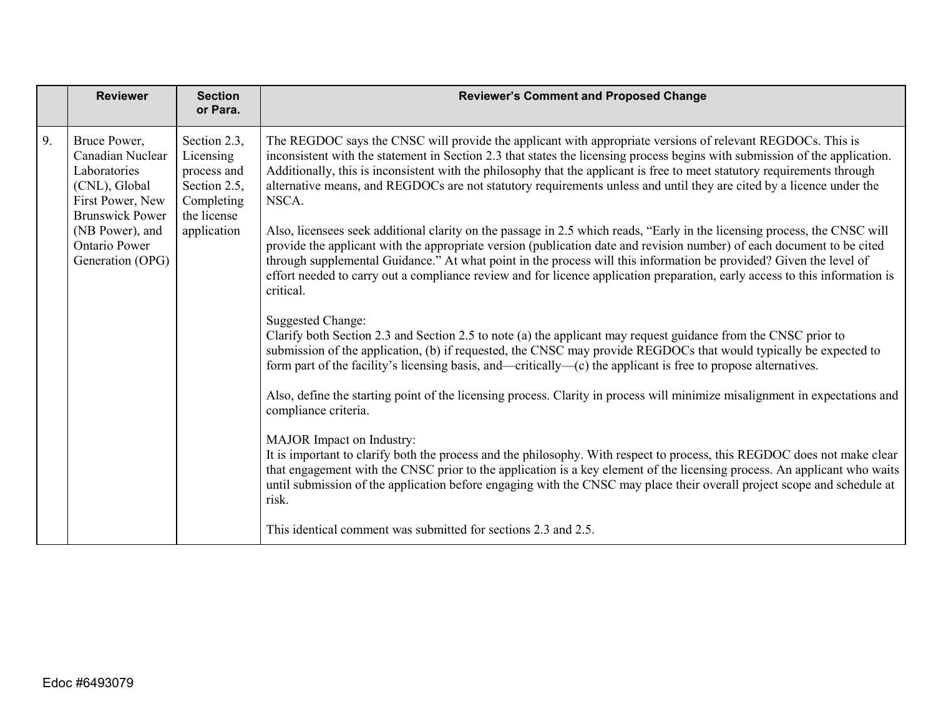|    | <b>Reviewer</b>                                                                                                 | <b>Section</b><br>or Para.                                                            | <b>Reviewer's Comment and Proposed Change</b>                                                                                                                                                                                                                                                                                                                                                                                                                                                                         |
|----|-----------------------------------------------------------------------------------------------------------------|---------------------------------------------------------------------------------------|-----------------------------------------------------------------------------------------------------------------------------------------------------------------------------------------------------------------------------------------------------------------------------------------------------------------------------------------------------------------------------------------------------------------------------------------------------------------------------------------------------------------------|
| 9. | Bruce Power,<br>Canadian Nuclear<br>Laboratories<br>(CNL), Global<br>First Power, New<br><b>Brunswick Power</b> | Section 2.3,<br>Licensing<br>process and<br>Section 2.5,<br>Completing<br>the license | The REGDOC says the CNSC will provide the applicant with appropriate versions of relevant REGDOCs. This is<br>inconsistent with the statement in Section 2.3 that states the licensing process begins with submission of the application.<br>Additionally, this is inconsistent with the philosophy that the applicant is free to meet statutory requirements through<br>alternative means, and REGDOCs are not statutory requirements unless and until they are cited by a licence under the<br>NSCA.                |
|    | (NB Power), and<br><b>Ontario Power</b><br>Generation (OPG)                                                     | application                                                                           | Also, licensees seek additional clarity on the passage in 2.5 which reads, "Early in the licensing process, the CNSC will<br>provide the applicant with the appropriate version (publication date and revision number) of each document to be cited<br>through supplemental Guidance." At what point in the process will this information be provided? Given the level of<br>effort needed to carry out a compliance review and for licence application preparation, early access to this information is<br>critical. |
|    |                                                                                                                 |                                                                                       | <b>Suggested Change:</b><br>Clarify both Section 2.3 and Section 2.5 to note (a) the applicant may request guidance from the CNSC prior to<br>submission of the application, (b) if requested, the CNSC may provide REGDOCs that would typically be expected to<br>form part of the facility's licensing basis, and—critically— $(c)$ the applicant is free to propose alternatives.                                                                                                                                  |
|    |                                                                                                                 |                                                                                       | Also, define the starting point of the licensing process. Clarity in process will minimize misalignment in expectations and<br>compliance criteria.                                                                                                                                                                                                                                                                                                                                                                   |
|    |                                                                                                                 |                                                                                       | MAJOR Impact on Industry:<br>It is important to clarify both the process and the philosophy. With respect to process, this REGDOC does not make clear<br>that engagement with the CNSC prior to the application is a key element of the licensing process. An applicant who waits<br>until submission of the application before engaging with the CNSC may place their overall project scope and schedule at<br>risk.                                                                                                 |
|    |                                                                                                                 |                                                                                       | This identical comment was submitted for sections 2.3 and 2.5.                                                                                                                                                                                                                                                                                                                                                                                                                                                        |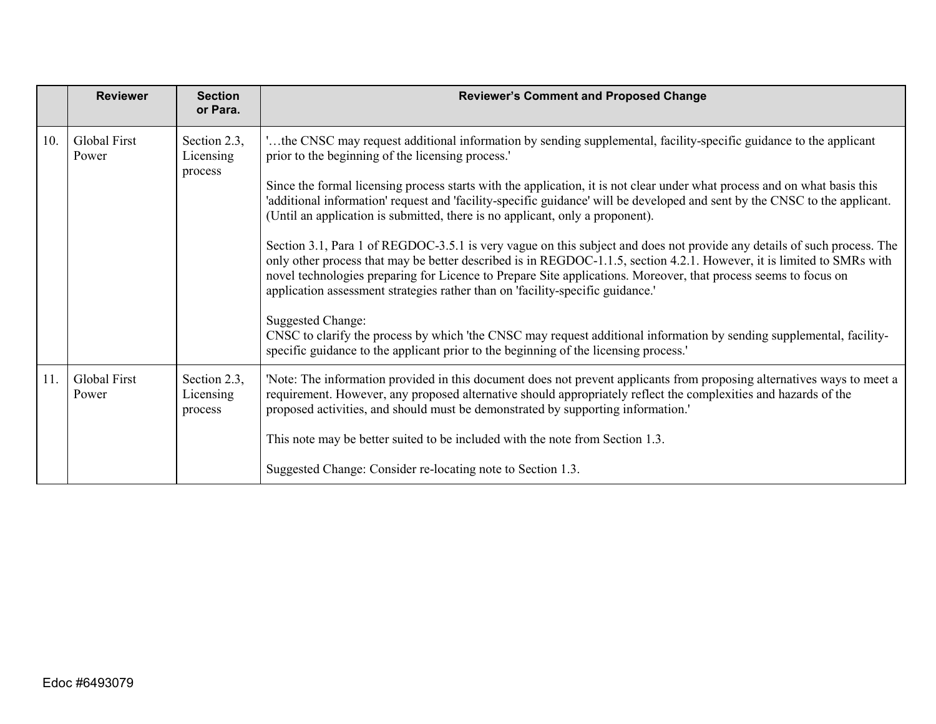|     | <b>Reviewer</b>       | <b>Section</b><br>or Para.           | <b>Reviewer's Comment and Proposed Change</b>                                                                                                                                                                                                                                                                                                                                                                                                          |
|-----|-----------------------|--------------------------------------|--------------------------------------------------------------------------------------------------------------------------------------------------------------------------------------------------------------------------------------------------------------------------------------------------------------------------------------------------------------------------------------------------------------------------------------------------------|
| 10. | Global First<br>Power | Section 2.3,<br>Licensing<br>process | 'the CNSC may request additional information by sending supplemental, facility-specific guidance to the applicant<br>prior to the beginning of the licensing process.'                                                                                                                                                                                                                                                                                 |
|     |                       |                                      | Since the formal licensing process starts with the application, it is not clear under what process and on what basis this<br>'additional information' request and 'facility-specific guidance' will be developed and sent by the CNSC to the applicant.<br>(Until an application is submitted, there is no applicant, only a proponent).                                                                                                               |
|     |                       |                                      | Section 3.1, Para 1 of REGDOC-3.5.1 is very vague on this subject and does not provide any details of such process. The<br>only other process that may be better described is in REGDOC-1.1.5, section 4.2.1. However, it is limited to SMRs with<br>novel technologies preparing for Licence to Prepare Site applications. Moreover, that process seems to focus on<br>application assessment strategies rather than on 'facility-specific guidance.' |
|     |                       |                                      | <b>Suggested Change:</b><br>CNSC to clarify the process by which 'the CNSC may request additional information by sending supplemental, facility-<br>specific guidance to the applicant prior to the beginning of the licensing process.                                                                                                                                                                                                                |
| 11. | Global First<br>Power | Section 2.3,<br>Licensing<br>process | 'Note: The information provided in this document does not prevent applicants from proposing alternatives ways to meet a<br>requirement. However, any proposed alternative should appropriately reflect the complexities and hazards of the<br>proposed activities, and should must be demonstrated by supporting information.'                                                                                                                         |
|     |                       |                                      | This note may be better suited to be included with the note from Section 1.3.                                                                                                                                                                                                                                                                                                                                                                          |
|     |                       |                                      | Suggested Change: Consider re-locating note to Section 1.3.                                                                                                                                                                                                                                                                                                                                                                                            |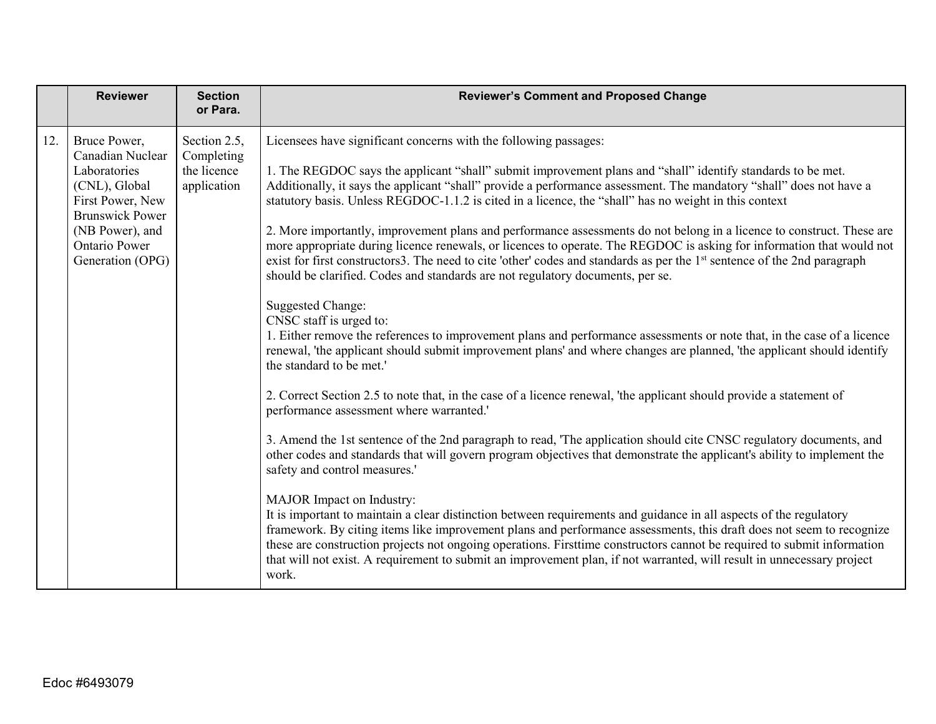|     | <b>Reviewer</b>                                                                                                                                                                | <b>Section</b><br>or Para.                               | <b>Reviewer's Comment and Proposed Change</b>                                                                                                                                                                                                                                                                                                                                                                                                                                                                                                                                                                                                                                                                                                                                                                                                                                                                                                                                                                                                                                                                                                                                                                                                                                                                                                                                                                                                                                                                                                                                                                                                                                                                                                                                                                                                                                                                                                                                                                                                                                                                                                                                                                                      |
|-----|--------------------------------------------------------------------------------------------------------------------------------------------------------------------------------|----------------------------------------------------------|------------------------------------------------------------------------------------------------------------------------------------------------------------------------------------------------------------------------------------------------------------------------------------------------------------------------------------------------------------------------------------------------------------------------------------------------------------------------------------------------------------------------------------------------------------------------------------------------------------------------------------------------------------------------------------------------------------------------------------------------------------------------------------------------------------------------------------------------------------------------------------------------------------------------------------------------------------------------------------------------------------------------------------------------------------------------------------------------------------------------------------------------------------------------------------------------------------------------------------------------------------------------------------------------------------------------------------------------------------------------------------------------------------------------------------------------------------------------------------------------------------------------------------------------------------------------------------------------------------------------------------------------------------------------------------------------------------------------------------------------------------------------------------------------------------------------------------------------------------------------------------------------------------------------------------------------------------------------------------------------------------------------------------------------------------------------------------------------------------------------------------------------------------------------------------------------------------------------------------|
| 12. | Bruce Power,<br>Canadian Nuclear<br>Laboratories<br>(CNL), Global<br>First Power, New<br><b>Brunswick Power</b><br>(NB Power), and<br><b>Ontario Power</b><br>Generation (OPG) | Section 2.5,<br>Completing<br>the licence<br>application | Licensees have significant concerns with the following passages:<br>1. The REGDOC says the applicant "shall" submit improvement plans and "shall" identify standards to be met.<br>Additionally, it says the applicant "shall" provide a performance assessment. The mandatory "shall" does not have a<br>statutory basis. Unless REGDOC-1.1.2 is cited in a licence, the "shall" has no weight in this context<br>2. More importantly, improvement plans and performance assessments do not belong in a licence to construct. These are<br>more appropriate during licence renewals, or licences to operate. The REGDOC is asking for information that would not<br>exist for first constructors3. The need to cite 'other' codes and standards as per the 1 <sup>st</sup> sentence of the 2nd paragraph<br>should be clarified. Codes and standards are not regulatory documents, per se.<br><b>Suggested Change:</b><br>CNSC staff is urged to:<br>1. Either remove the references to improvement plans and performance assessments or note that, in the case of a licence<br>renewal, 'the applicant should submit improvement plans' and where changes are planned, 'the applicant should identify<br>the standard to be met.'<br>2. Correct Section 2.5 to note that, in the case of a licence renewal, 'the applicant should provide a statement of<br>performance assessment where warranted.'<br>3. Amend the 1st sentence of the 2nd paragraph to read, 'The application should cite CNSC regulatory documents, and<br>other codes and standards that will govern program objectives that demonstrate the applicant's ability to implement the<br>safety and control measures.'<br>MAJOR Impact on Industry:<br>It is important to maintain a clear distinction between requirements and guidance in all aspects of the regulatory<br>framework. By citing items like improvement plans and performance assessments, this draft does not seem to recognize<br>these are construction projects not ongoing operations. Firsttime constructors cannot be required to submit information<br>that will not exist. A requirement to submit an improvement plan, if not warranted, will result in unnecessary project<br>work. |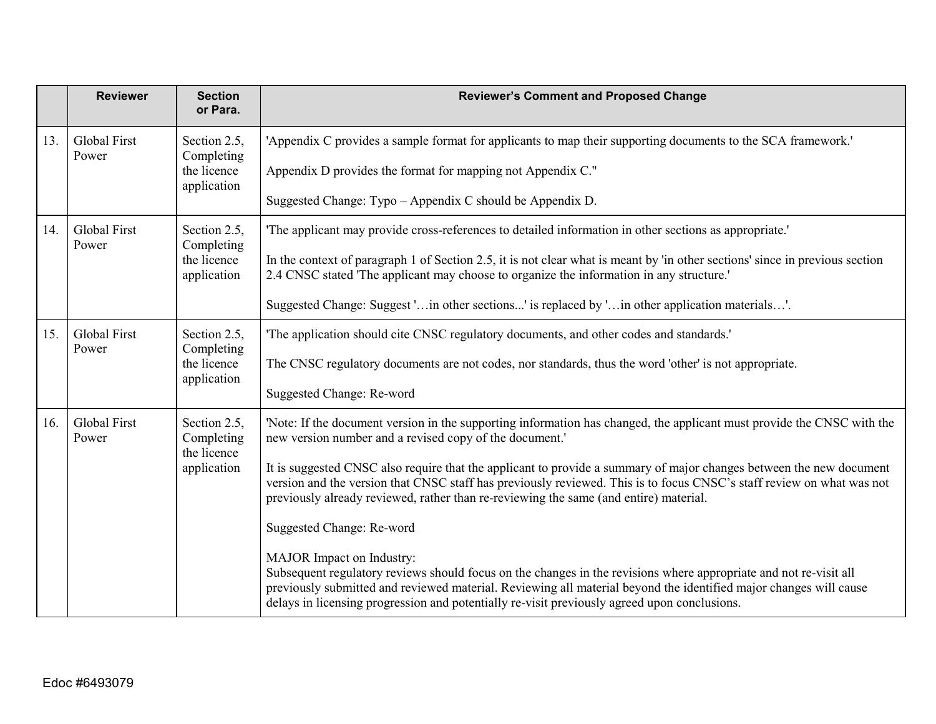|     | <b>Reviewer</b>              | <b>Section</b><br>or Para.                | <b>Reviewer's Comment and Proposed Change</b>                                                                                                                                                                                                                                                                                                                       |
|-----|------------------------------|-------------------------------------------|---------------------------------------------------------------------------------------------------------------------------------------------------------------------------------------------------------------------------------------------------------------------------------------------------------------------------------------------------------------------|
| 13. | <b>Global First</b><br>Power | Section 2.5,<br>Completing                | 'Appendix C provides a sample format for applicants to map their supporting documents to the SCA framework.'                                                                                                                                                                                                                                                        |
|     |                              | the licence<br>application                | Appendix D provides the format for mapping not Appendix C."                                                                                                                                                                                                                                                                                                         |
|     |                              |                                           | Suggested Change: Typo - Appendix C should be Appendix D.                                                                                                                                                                                                                                                                                                           |
| 14. | <b>Global First</b><br>Power | Section 2.5,<br>Completing                | The applicant may provide cross-references to detailed information in other sections as appropriate.                                                                                                                                                                                                                                                                |
|     |                              | the licence<br>application                | In the context of paragraph 1 of Section 2.5, it is not clear what is meant by 'in other sections' since in previous section<br>2.4 CNSC stated 'The applicant may choose to organize the information in any structure.'                                                                                                                                            |
|     |                              |                                           | Suggested Change: Suggest ' in other sections' is replaced by ' in other application materials'.                                                                                                                                                                                                                                                                    |
| 15. | <b>Global First</b><br>Power | Section 2.5,<br>Completing                | 'The application should cite CNSC regulatory documents, and other codes and standards.'                                                                                                                                                                                                                                                                             |
|     |                              | the licence<br>application                | The CNSC regulatory documents are not codes, nor standards, thus the word 'other' is not appropriate.                                                                                                                                                                                                                                                               |
|     |                              |                                           | Suggested Change: Re-word                                                                                                                                                                                                                                                                                                                                           |
| 16. | <b>Global First</b><br>Power | Section 2.5,<br>Completing<br>the licence | 'Note: If the document version in the supporting information has changed, the applicant must provide the CNSC with the<br>new version number and a revised copy of the document.'                                                                                                                                                                                   |
|     |                              | application                               | It is suggested CNSC also require that the applicant to provide a summary of major changes between the new document<br>version and the version that CNSC staff has previously reviewed. This is to focus CNSC's staff review on what was not<br>previously already reviewed, rather than re-reviewing the same (and entire) material.                               |
|     |                              |                                           | Suggested Change: Re-word                                                                                                                                                                                                                                                                                                                                           |
|     |                              |                                           | MAJOR Impact on Industry:<br>Subsequent regulatory reviews should focus on the changes in the revisions where appropriate and not re-visit all<br>previously submitted and reviewed material. Reviewing all material beyond the identified major changes will cause<br>delays in licensing progression and potentially re-visit previously agreed upon conclusions. |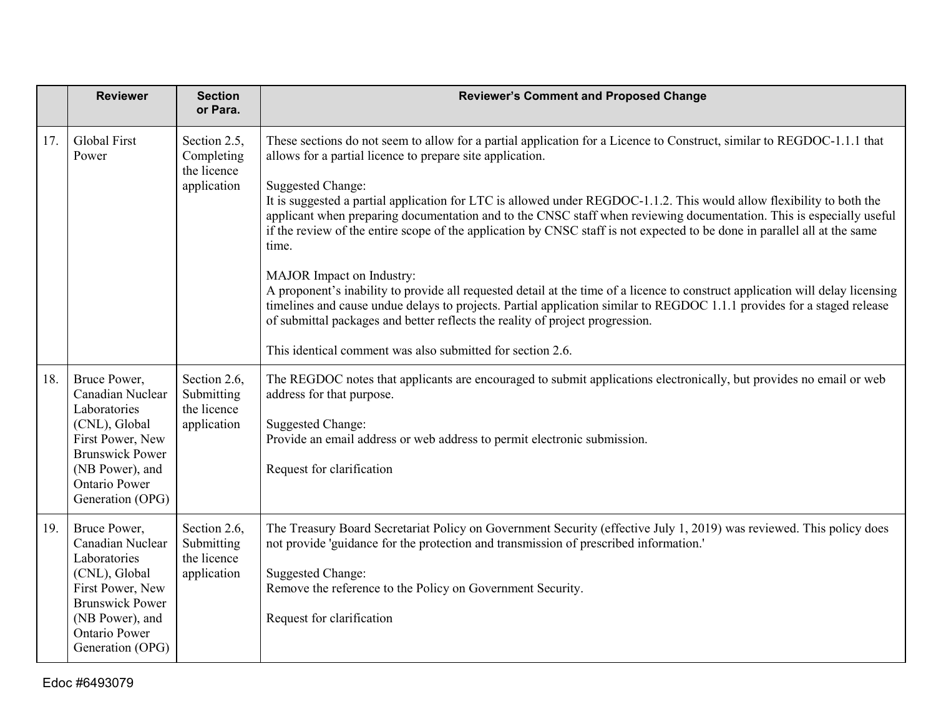|     | <b>Reviewer</b>                                                                                                                                                                | <b>Section</b><br>or Para.                               | <b>Reviewer's Comment and Proposed Change</b>                                                                                                                                                                                                                                                                                                                                                                                                                                                                                                                                                                                                                                                                                                                                                                                                                                                                                                                                                                                                   |
|-----|--------------------------------------------------------------------------------------------------------------------------------------------------------------------------------|----------------------------------------------------------|-------------------------------------------------------------------------------------------------------------------------------------------------------------------------------------------------------------------------------------------------------------------------------------------------------------------------------------------------------------------------------------------------------------------------------------------------------------------------------------------------------------------------------------------------------------------------------------------------------------------------------------------------------------------------------------------------------------------------------------------------------------------------------------------------------------------------------------------------------------------------------------------------------------------------------------------------------------------------------------------------------------------------------------------------|
| 17. | <b>Global First</b><br>Power                                                                                                                                                   | Section 2.5,<br>Completing<br>the licence<br>application | These sections do not seem to allow for a partial application for a Licence to Construct, similar to REGDOC-1.1.1 that<br>allows for a partial licence to prepare site application.<br><b>Suggested Change:</b><br>It is suggested a partial application for LTC is allowed under REGDOC-1.1.2. This would allow flexibility to both the<br>applicant when preparing documentation and to the CNSC staff when reviewing documentation. This is especially useful<br>if the review of the entire scope of the application by CNSC staff is not expected to be done in parallel all at the same<br>time.<br>MAJOR Impact on Industry:<br>A proponent's inability to provide all requested detail at the time of a licence to construct application will delay licensing<br>timelines and cause undue delays to projects. Partial application similar to REGDOC 1.1.1 provides for a staged release<br>of submittal packages and better reflects the reality of project progression.<br>This identical comment was also submitted for section 2.6. |
| 18. | Bruce Power,<br>Canadian Nuclear<br>Laboratories<br>(CNL), Global<br>First Power, New<br><b>Brunswick Power</b><br>(NB Power), and<br><b>Ontario Power</b><br>Generation (OPG) | Section 2.6,<br>Submitting<br>the licence<br>application | The REGDOC notes that applicants are encouraged to submit applications electronically, but provides no email or web<br>address for that purpose.<br><b>Suggested Change:</b><br>Provide an email address or web address to permit electronic submission.<br>Request for clarification                                                                                                                                                                                                                                                                                                                                                                                                                                                                                                                                                                                                                                                                                                                                                           |
| 19. | Bruce Power,<br>Canadian Nuclear<br>Laboratories<br>(CNL), Global<br>First Power, New<br><b>Brunswick Power</b><br>(NB Power), and<br>Ontario Power<br>Generation (OPG)        | Section 2.6,<br>Submitting<br>the licence<br>application | The Treasury Board Secretariat Policy on Government Security (effective July 1, 2019) was reviewed. This policy does<br>not provide 'guidance for the protection and transmission of prescribed information.'<br><b>Suggested Change:</b><br>Remove the reference to the Policy on Government Security.<br>Request for clarification                                                                                                                                                                                                                                                                                                                                                                                                                                                                                                                                                                                                                                                                                                            |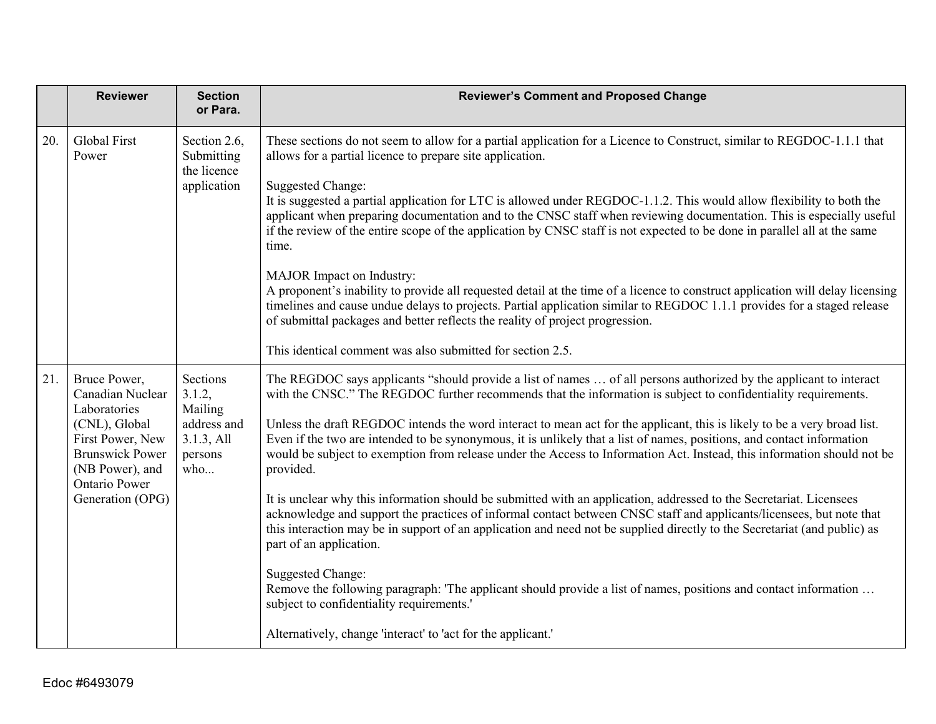|     | <b>Reviewer</b>                                                                                                                                                                | <b>Section</b><br>or Para.                                                   | <b>Reviewer's Comment and Proposed Change</b>                                                                                                                                                                                                                                                                                                                                                                                                                                                                                                                                                                                                                                                                                                                                                                                                                                                                                                                                                                                                                                                                                                                                                                                                                                                          |
|-----|--------------------------------------------------------------------------------------------------------------------------------------------------------------------------------|------------------------------------------------------------------------------|--------------------------------------------------------------------------------------------------------------------------------------------------------------------------------------------------------------------------------------------------------------------------------------------------------------------------------------------------------------------------------------------------------------------------------------------------------------------------------------------------------------------------------------------------------------------------------------------------------------------------------------------------------------------------------------------------------------------------------------------------------------------------------------------------------------------------------------------------------------------------------------------------------------------------------------------------------------------------------------------------------------------------------------------------------------------------------------------------------------------------------------------------------------------------------------------------------------------------------------------------------------------------------------------------------|
| 20. | <b>Global First</b><br>Power                                                                                                                                                   | Section 2.6,<br>Submitting<br>the licence<br>application                     | These sections do not seem to allow for a partial application for a Licence to Construct, similar to REGDOC-1.1.1 that<br>allows for a partial licence to prepare site application.<br><b>Suggested Change:</b><br>It is suggested a partial application for LTC is allowed under REGDOC-1.1.2. This would allow flexibility to both the<br>applicant when preparing documentation and to the CNSC staff when reviewing documentation. This is especially useful<br>if the review of the entire scope of the application by CNSC staff is not expected to be done in parallel all at the same<br>time.<br>MAJOR Impact on Industry:<br>A proponent's inability to provide all requested detail at the time of a licence to construct application will delay licensing<br>timelines and cause undue delays to projects. Partial application similar to REGDOC 1.1.1 provides for a staged release<br>of submittal packages and better reflects the reality of project progression.<br>This identical comment was also submitted for section 2.5.                                                                                                                                                                                                                                                        |
| 21. | Bruce Power,<br>Canadian Nuclear<br>Laboratories<br>(CNL), Global<br>First Power, New<br><b>Brunswick Power</b><br>(NB Power), and<br><b>Ontario Power</b><br>Generation (OPG) | Sections<br>3.1.2,<br>Mailing<br>address and<br>3.1.3, All<br>persons<br>who | The REGDOC says applicants "should provide a list of names  of all persons authorized by the applicant to interact<br>with the CNSC." The REGDOC further recommends that the information is subject to confidentiality requirements.<br>Unless the draft REGDOC intends the word interact to mean act for the applicant, this is likely to be a very broad list.<br>Even if the two are intended to be synonymous, it is unlikely that a list of names, positions, and contact information<br>would be subject to exemption from release under the Access to Information Act. Instead, this information should not be<br>provided.<br>It is unclear why this information should be submitted with an application, addressed to the Secretariat. Licensees<br>acknowledge and support the practices of informal contact between CNSC staff and applicants/licensees, but note that<br>this interaction may be in support of an application and need not be supplied directly to the Secretariat (and public) as<br>part of an application.<br><b>Suggested Change:</b><br>Remove the following paragraph: 'The applicant should provide a list of names, positions and contact information<br>subject to confidentiality requirements.'<br>Alternatively, change 'interact' to 'act for the applicant.' |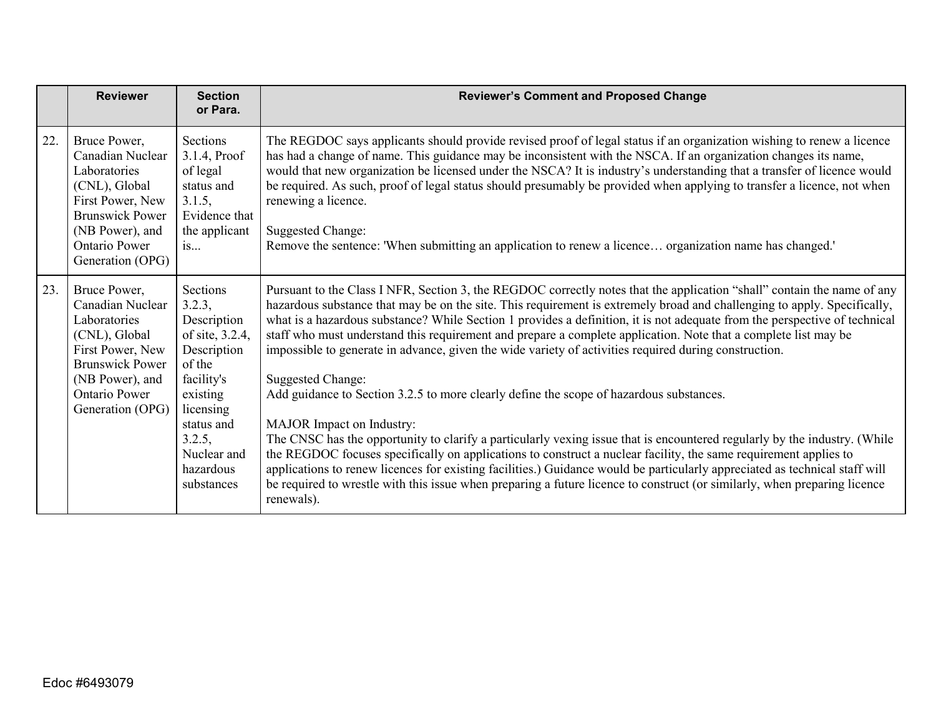|     | <b>Reviewer</b>                                                                                                                                                                | <b>Section</b><br>or Para.                                                                                                                                                             | <b>Reviewer's Comment and Proposed Change</b>                                                                                                                                                                                                                                                                                                                                                                                                                                                                                                                                                                                                                                                                                                                                                                                                                                                                                                                                                                                                                                                                                                                                                                                                                                                |
|-----|--------------------------------------------------------------------------------------------------------------------------------------------------------------------------------|----------------------------------------------------------------------------------------------------------------------------------------------------------------------------------------|----------------------------------------------------------------------------------------------------------------------------------------------------------------------------------------------------------------------------------------------------------------------------------------------------------------------------------------------------------------------------------------------------------------------------------------------------------------------------------------------------------------------------------------------------------------------------------------------------------------------------------------------------------------------------------------------------------------------------------------------------------------------------------------------------------------------------------------------------------------------------------------------------------------------------------------------------------------------------------------------------------------------------------------------------------------------------------------------------------------------------------------------------------------------------------------------------------------------------------------------------------------------------------------------|
| 22. | Bruce Power,<br>Canadian Nuclear<br>Laboratories<br>(CNL), Global<br>First Power, New<br><b>Brunswick Power</b><br>(NB Power), and<br><b>Ontario Power</b><br>Generation (OPG) | Sections<br>3.1.4, Proof<br>of legal<br>status and<br>3.1.5,<br>Evidence that<br>the applicant<br>is                                                                                   | The REGDOC says applicants should provide revised proof of legal status if an organization wishing to renew a licence<br>has had a change of name. This guidance may be inconsistent with the NSCA. If an organization changes its name,<br>would that new organization be licensed under the NSCA? It is industry's understanding that a transfer of licence would<br>be required. As such, proof of legal status should presumably be provided when applying to transfer a licence, not when<br>renewing a licence.<br><b>Suggested Change:</b><br>Remove the sentence: 'When submitting an application to renew a licence organization name has changed.'                                                                                                                                                                                                                                                                                                                                                                                                                                                                                                                                                                                                                                 |
| 23. | Bruce Power,<br>Canadian Nuclear<br>Laboratories<br>(CNL), Global<br>First Power, New<br><b>Brunswick Power</b><br>(NB Power), and<br><b>Ontario Power</b><br>Generation (OPG) | Sections<br>3.2.3,<br>Description<br>of site, 3.2.4,<br>Description<br>of the<br>facility's<br>existing<br>licensing<br>status and<br>3.2.5,<br>Nuclear and<br>hazardous<br>substances | Pursuant to the Class I NFR, Section 3, the REGDOC correctly notes that the application "shall" contain the name of any<br>hazardous substance that may be on the site. This requirement is extremely broad and challenging to apply. Specifically,<br>what is a hazardous substance? While Section 1 provides a definition, it is not adequate from the perspective of technical<br>staff who must understand this requirement and prepare a complete application. Note that a complete list may be<br>impossible to generate in advance, given the wide variety of activities required during construction.<br><b>Suggested Change:</b><br>Add guidance to Section 3.2.5 to more clearly define the scope of hazardous substances.<br>MAJOR Impact on Industry:<br>The CNSC has the opportunity to clarify a particularly vexing issue that is encountered regularly by the industry. (While<br>the REGDOC focuses specifically on applications to construct a nuclear facility, the same requirement applies to<br>applications to renew licences for existing facilities.) Guidance would be particularly appreciated as technical staff will<br>be required to wrestle with this issue when preparing a future licence to construct (or similarly, when preparing licence<br>renewals). |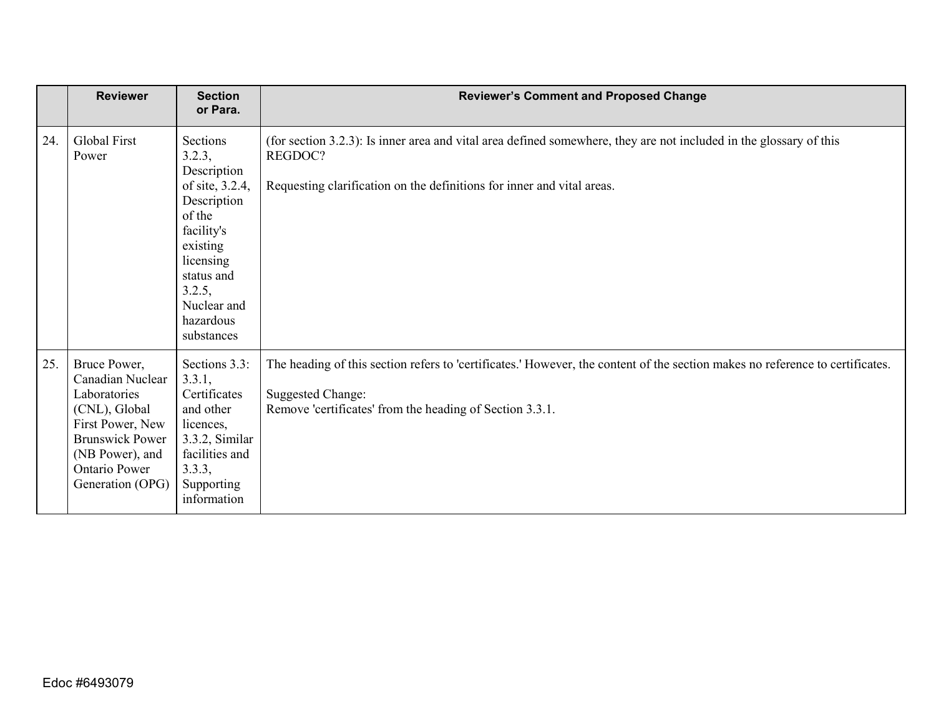|     | <b>Reviewer</b>                                                                                                                                                                | <b>Section</b><br>or Para.                                                                                                                                                             | <b>Reviewer's Comment and Proposed Change</b>                                                                                                                                                                         |
|-----|--------------------------------------------------------------------------------------------------------------------------------------------------------------------------------|----------------------------------------------------------------------------------------------------------------------------------------------------------------------------------------|-----------------------------------------------------------------------------------------------------------------------------------------------------------------------------------------------------------------------|
| 24. | Global First<br>Power                                                                                                                                                          | Sections<br>3.2.3,<br>Description<br>of site, 3.2.4,<br>Description<br>of the<br>facility's<br>existing<br>licensing<br>status and<br>3.2.5,<br>Nuclear and<br>hazardous<br>substances | (for section 3.2.3): Is inner area and vital area defined somewhere, they are not included in the glossary of this<br>REGDOC?<br>Requesting clarification on the definitions for inner and vital areas.               |
| 25. | Bruce Power,<br>Canadian Nuclear<br>Laboratories<br>(CNL), Global<br>First Power, New<br><b>Brunswick Power</b><br>(NB Power), and<br><b>Ontario Power</b><br>Generation (OPG) | Sections 3.3:<br>3.3.1,<br>Certificates<br>and other<br>licences,<br>3.3.2, Similar<br>facilities and<br>3.3.3,<br>Supporting<br>information                                           | The heading of this section refers to 'certificates.' However, the content of the section makes no reference to certificates.<br><b>Suggested Change:</b><br>Remove 'certificates' from the heading of Section 3.3.1. |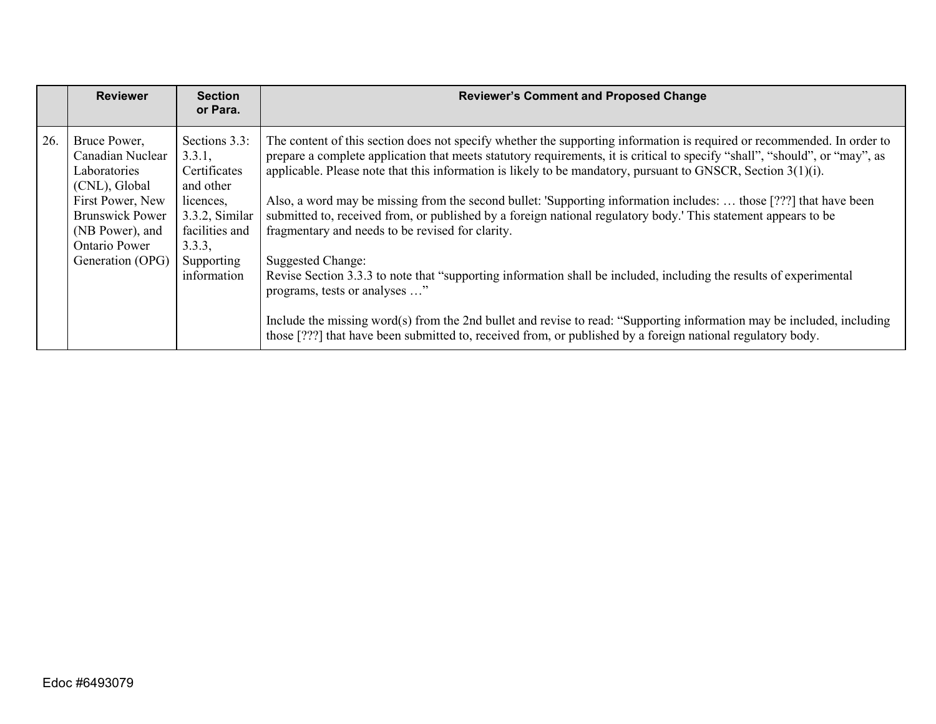|     | <b>Reviewer</b>                                                                                                                                                         | <b>Section</b><br>or Para.                                                                                                                   | <b>Reviewer's Comment and Proposed Change</b>                                                                                                                                                                                                                                                                                                                                                                                                                                                                                                                                                                                                                                                                                                                                                                                                                                                                                                                                                                                                                                          |
|-----|-------------------------------------------------------------------------------------------------------------------------------------------------------------------------|----------------------------------------------------------------------------------------------------------------------------------------------|----------------------------------------------------------------------------------------------------------------------------------------------------------------------------------------------------------------------------------------------------------------------------------------------------------------------------------------------------------------------------------------------------------------------------------------------------------------------------------------------------------------------------------------------------------------------------------------------------------------------------------------------------------------------------------------------------------------------------------------------------------------------------------------------------------------------------------------------------------------------------------------------------------------------------------------------------------------------------------------------------------------------------------------------------------------------------------------|
| 26. | Bruce Power,<br>Canadian Nuclear<br>Laboratories<br>(CNL), Global<br>First Power, New<br><b>Brunswick Power</b><br>(NB Power), and<br>Ontario Power<br>Generation (OPG) | Sections 3.3:<br>3.3.1,<br>Certificates<br>and other<br>licences,<br>3.3.2, Similar<br>facilities and<br>3.3.3,<br>Supporting<br>information | The content of this section does not specify whether the supporting information is required or recommended. In order to<br>prepare a complete application that meets statutory requirements, it is critical to specify "shall", "should", or "may", as<br>applicable. Please note that this information is likely to be mandatory, pursuant to GNSCR, Section 3(1)(i).<br>Also, a word may be missing from the second bullet: 'Supporting information includes:  those [???] that have been<br>submitted to, received from, or published by a foreign national regulatory body.' This statement appears to be<br>fragmentary and needs to be revised for clarity.<br>Suggested Change:<br>Revise Section 3.3.3 to note that "supporting information shall be included, including the results of experimental<br>programs, tests or analyses "<br>Include the missing word(s) from the 2nd bullet and revise to read: "Supporting information may be included, including<br>those [???] that have been submitted to, received from, or published by a foreign national regulatory body. |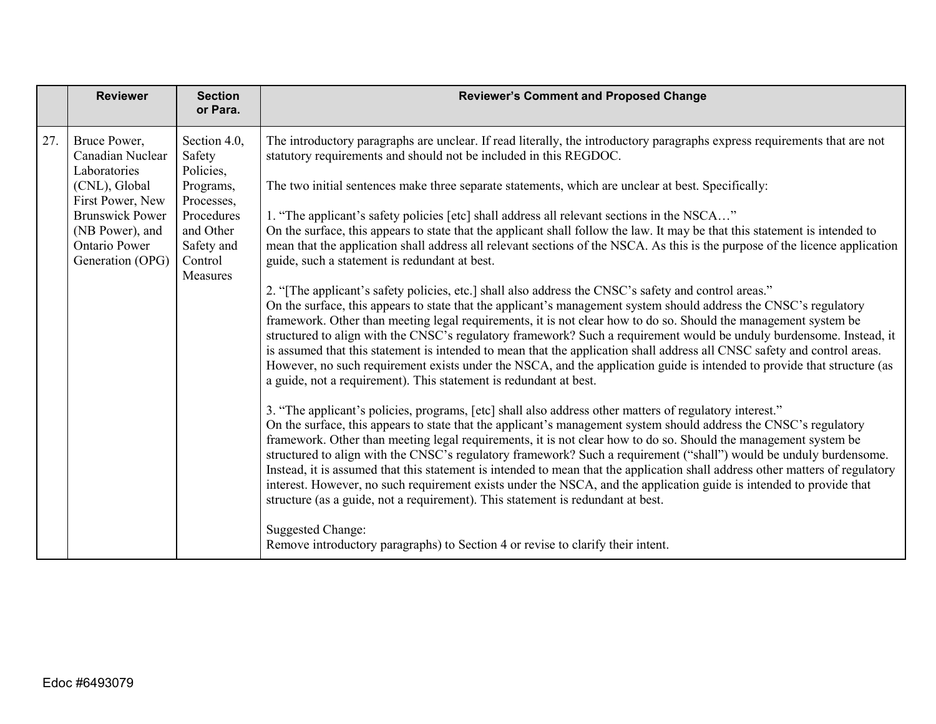|     | <b>Reviewer</b>                                                                                                                                                         | <b>Section</b><br>or Para.                                                                                                     | <b>Reviewer's Comment and Proposed Change</b>                                                                                                                                                                                                                                                                                                                                                                                                                                                                                                                                                                                                                                                                                                                                                                                                                                                                                                                                                                                                                                                                                                                                                                                                                                                                         |
|-----|-------------------------------------------------------------------------------------------------------------------------------------------------------------------------|--------------------------------------------------------------------------------------------------------------------------------|-----------------------------------------------------------------------------------------------------------------------------------------------------------------------------------------------------------------------------------------------------------------------------------------------------------------------------------------------------------------------------------------------------------------------------------------------------------------------------------------------------------------------------------------------------------------------------------------------------------------------------------------------------------------------------------------------------------------------------------------------------------------------------------------------------------------------------------------------------------------------------------------------------------------------------------------------------------------------------------------------------------------------------------------------------------------------------------------------------------------------------------------------------------------------------------------------------------------------------------------------------------------------------------------------------------------------|
| 27. | Bruce Power,<br>Canadian Nuclear<br>Laboratories<br>(CNL), Global<br>First Power, New<br><b>Brunswick Power</b><br>(NB Power), and<br>Ontario Power<br>Generation (OPG) | Section 4.0,<br>Safety<br>Policies,<br>Programs,<br>Processes,<br>Procedures<br>and Other<br>Safety and<br>Control<br>Measures | The introductory paragraphs are unclear. If read literally, the introductory paragraphs express requirements that are not<br>statutory requirements and should not be included in this REGDOC.<br>The two initial sentences make three separate statements, which are unclear at best. Specifically:<br>1. "The applicant's safety policies [etc] shall address all relevant sections in the NSCA"<br>On the surface, this appears to state that the applicant shall follow the law. It may be that this statement is intended to<br>mean that the application shall address all relevant sections of the NSCA. As this is the purpose of the licence application<br>guide, such a statement is redundant at best.<br>2. "The applicant's safety policies, etc.] shall also address the CNSC's safety and control areas."<br>On the surface, this appears to state that the applicant's management system should address the CNSC's regulatory<br>framework. Other than meeting legal requirements, it is not clear how to do so. Should the management system be<br>structured to align with the CNSC's regulatory framework? Such a requirement would be unduly burdensome. Instead, it<br>is assumed that this statement is intended to mean that the application shall address all CNSC safety and control areas. |
|     |                                                                                                                                                                         |                                                                                                                                | However, no such requirement exists under the NSCA, and the application guide is intended to provide that structure (as<br>a guide, not a requirement). This statement is redundant at best.<br>3. "The applicant's policies, programs, [etc] shall also address other matters of regulatory interest."<br>On the surface, this appears to state that the applicant's management system should address the CNSC's regulatory<br>framework. Other than meeting legal requirements, it is not clear how to do so. Should the management system be<br>structured to align with the CNSC's regulatory framework? Such a requirement ("shall") would be unduly burdensome.<br>Instead, it is assumed that this statement is intended to mean that the application shall address other matters of regulatory<br>interest. However, no such requirement exists under the NSCA, and the application guide is intended to provide that<br>structure (as a guide, not a requirement). This statement is redundant at best.<br><b>Suggested Change:</b><br>Remove introductory paragraphs) to Section 4 or revise to clarify their intent.                                                                                                                                                                                       |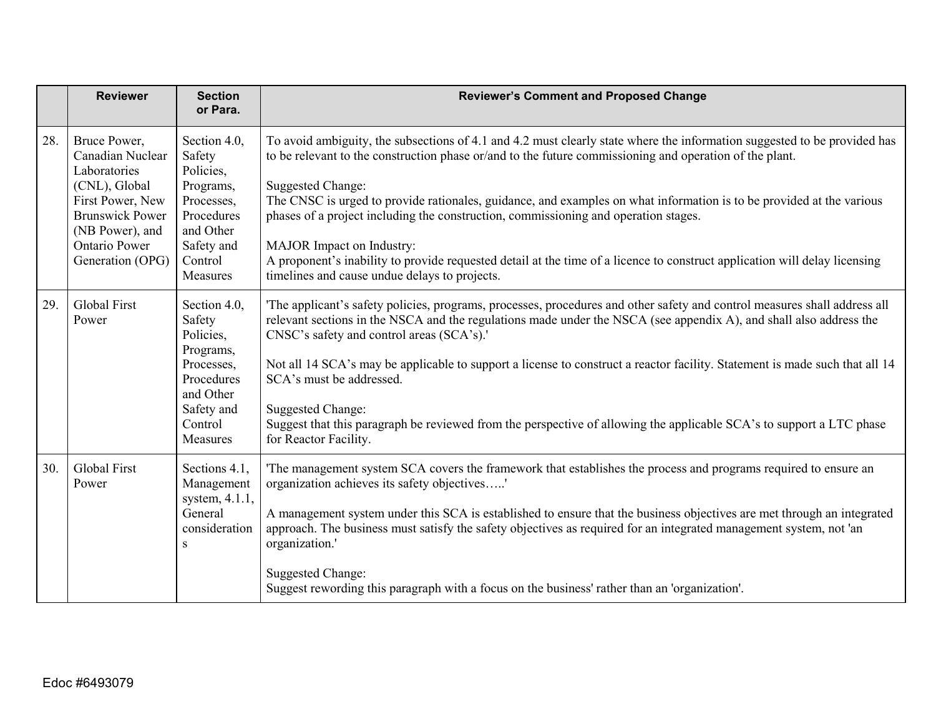|     | <b>Reviewer</b>                                                                                                                                                         | <b>Section</b><br>or Para.                                                                                                     | <b>Reviewer's Comment and Proposed Change</b>                                                                                                                                                                                                                                                                                                                                                                                                                                                                                                                                                                                                                                              |
|-----|-------------------------------------------------------------------------------------------------------------------------------------------------------------------------|--------------------------------------------------------------------------------------------------------------------------------|--------------------------------------------------------------------------------------------------------------------------------------------------------------------------------------------------------------------------------------------------------------------------------------------------------------------------------------------------------------------------------------------------------------------------------------------------------------------------------------------------------------------------------------------------------------------------------------------------------------------------------------------------------------------------------------------|
| 28. | Bruce Power,<br>Canadian Nuclear<br>Laboratories<br>(CNL), Global<br>First Power, New<br><b>Brunswick Power</b><br>(NB Power), and<br>Ontario Power<br>Generation (OPG) | Section 4.0,<br>Safety<br>Policies,<br>Programs,<br>Processes,<br>Procedures<br>and Other<br>Safety and<br>Control<br>Measures | To avoid ambiguity, the subsections of 4.1 and 4.2 must clearly state where the information suggested to be provided has<br>to be relevant to the construction phase or/and to the future commissioning and operation of the plant.<br><b>Suggested Change:</b><br>The CNSC is urged to provide rationales, guidance, and examples on what information is to be provided at the various<br>phases of a project including the construction, commissioning and operation stages.<br>MAJOR Impact on Industry:<br>A proponent's inability to provide requested detail at the time of a licence to construct application will delay licensing<br>timelines and cause undue delays to projects. |
| 29. | <b>Global First</b><br>Power                                                                                                                                            | Section 4.0,<br>Safety<br>Policies,<br>Programs,<br>Processes,<br>Procedures<br>and Other<br>Safety and<br>Control<br>Measures | The applicant's safety policies, programs, processes, procedures and other safety and control measures shall address all<br>relevant sections in the NSCA and the regulations made under the NSCA (see appendix A), and shall also address the<br>CNSC's safety and control areas (SCA's).'<br>Not all 14 SCA's may be applicable to support a license to construct a reactor facility. Statement is made such that all 14<br>SCA's must be addressed.<br><b>Suggested Change:</b><br>Suggest that this paragraph be reviewed from the perspective of allowing the applicable SCA's to support a LTC phase<br>for Reactor Facility.                                                        |
| 30. | <b>Global First</b><br>Power                                                                                                                                            | Sections 4.1,<br>Management<br>system, 4.1.1,<br>General<br>consideration<br>S                                                 | The management system SCA covers the framework that establishes the process and programs required to ensure an<br>organization achieves its safety objectives'<br>A management system under this SCA is established to ensure that the business objectives are met through an integrated<br>approach. The business must satisfy the safety objectives as required for an integrated management system, not 'an<br>organization.'<br><b>Suggested Change:</b><br>Suggest rewording this paragraph with a focus on the business' rather than an 'organization'.                                                                                                                              |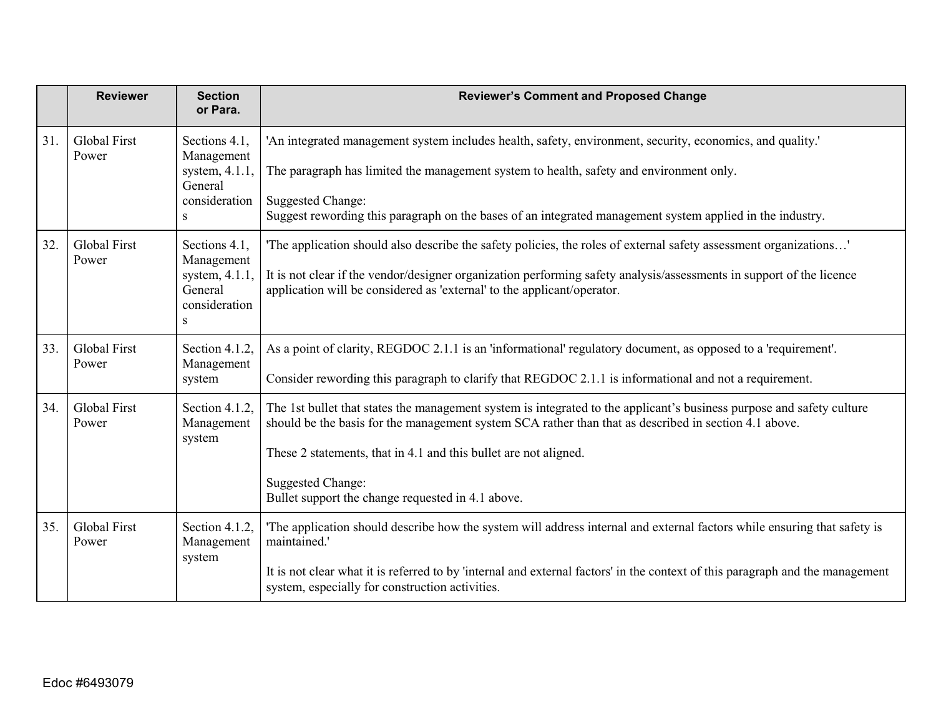|     | <b>Reviewer</b>              | <b>Section</b><br>or Para.                                                             | <b>Reviewer's Comment and Proposed Change</b>                                                                                                                                                                                                                                                                                                                                       |
|-----|------------------------------|----------------------------------------------------------------------------------------|-------------------------------------------------------------------------------------------------------------------------------------------------------------------------------------------------------------------------------------------------------------------------------------------------------------------------------------------------------------------------------------|
| 31. | Global First<br>Power        | Sections 4.1,<br>Management<br>system, 4.1.1,<br>General<br>consideration<br>${\bf S}$ | 'An integrated management system includes health, safety, environment, security, economics, and quality.'<br>The paragraph has limited the management system to health, safety and environment only.<br><b>Suggested Change:</b><br>Suggest rewording this paragraph on the bases of an integrated management system applied in the industry.                                       |
| 32. | Global First<br>Power        | Sections 4.1,<br>Management<br>system, 4.1.1,<br>General<br>consideration<br>S         | The application should also describe the safety policies, the roles of external safety assessment organizations'<br>It is not clear if the vendor/designer organization performing safety analysis/assessments in support of the licence<br>application will be considered as 'external' to the applicant/operator.                                                                 |
| 33. | <b>Global First</b><br>Power | Section 4.1.2.<br>Management<br>system                                                 | As a point of clarity, REGDOC 2.1.1 is an 'informational' regulatory document, as opposed to a 'requirement'.<br>Consider rewording this paragraph to clarify that REGDOC 2.1.1 is informational and not a requirement.                                                                                                                                                             |
| 34. | <b>Global First</b><br>Power | Section 4.1.2,<br>Management<br>system                                                 | The 1st bullet that states the management system is integrated to the applicant's business purpose and safety culture<br>should be the basis for the management system SCA rather than that as described in section 4.1 above.<br>These 2 statements, that in 4.1 and this bullet are not aligned.<br><b>Suggested Change:</b><br>Bullet support the change requested in 4.1 above. |
| 35. | <b>Global First</b><br>Power | Section 4.1.2,<br>Management<br>system                                                 | The application should describe how the system will address internal and external factors while ensuring that safety is<br>maintained.'<br>It is not clear what it is referred to by 'internal and external factors' in the context of this paragraph and the management<br>system, especially for construction activities.                                                         |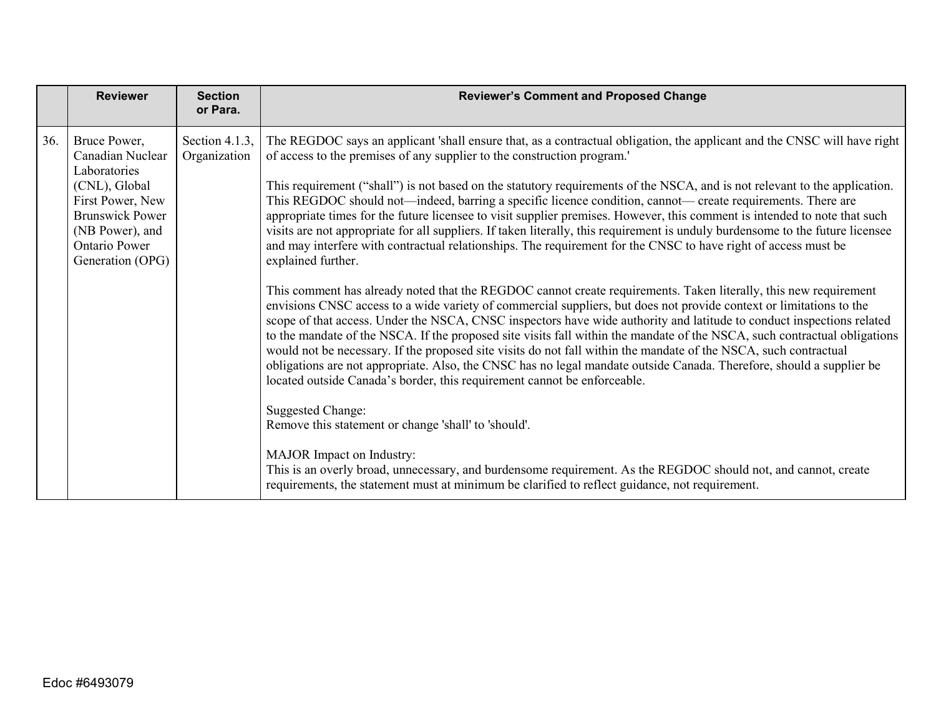|     | <b>Reviewer</b>                                                                                                                                                                | <b>Section</b><br>or Para.     | <b>Reviewer's Comment and Proposed Change</b>                                                                                                                                                                                                                                                                                                                                                                                                                                                                                                                                                                                                                                                                                                                                                                                                                                                                                                                                                                                                                                                                                                                                                                                                                                                                                                                                                                                                                                                                                                                                                                                                                                                               |
|-----|--------------------------------------------------------------------------------------------------------------------------------------------------------------------------------|--------------------------------|-------------------------------------------------------------------------------------------------------------------------------------------------------------------------------------------------------------------------------------------------------------------------------------------------------------------------------------------------------------------------------------------------------------------------------------------------------------------------------------------------------------------------------------------------------------------------------------------------------------------------------------------------------------------------------------------------------------------------------------------------------------------------------------------------------------------------------------------------------------------------------------------------------------------------------------------------------------------------------------------------------------------------------------------------------------------------------------------------------------------------------------------------------------------------------------------------------------------------------------------------------------------------------------------------------------------------------------------------------------------------------------------------------------------------------------------------------------------------------------------------------------------------------------------------------------------------------------------------------------------------------------------------------------------------------------------------------------|
| 36. | Bruce Power,<br>Canadian Nuclear<br>Laboratories<br>(CNL), Global<br>First Power, New<br><b>Brunswick Power</b><br>(NB Power), and<br><b>Ontario Power</b><br>Generation (OPG) | Section 4.1.3,<br>Organization | The REGDOC says an applicant 'shall ensure that, as a contractual obligation, the applicant and the CNSC will have right<br>of access to the premises of any supplier to the construction program.<br>This requirement ("shall") is not based on the statutory requirements of the NSCA, and is not relevant to the application.<br>This REGDOC should not—indeed, barring a specific licence condition, cannot— create requirements. There are<br>appropriate times for the future licensee to visit supplier premises. However, this comment is intended to note that such<br>visits are not appropriate for all suppliers. If taken literally, this requirement is unduly burdensome to the future licensee<br>and may interfere with contractual relationships. The requirement for the CNSC to have right of access must be<br>explained further.<br>This comment has already noted that the REGDOC cannot create requirements. Taken literally, this new requirement<br>envisions CNSC access to a wide variety of commercial suppliers, but does not provide context or limitations to the<br>scope of that access. Under the NSCA, CNSC inspectors have wide authority and latitude to conduct inspections related<br>to the mandate of the NSCA. If the proposed site visits fall within the mandate of the NSCA, such contractual obligations<br>would not be necessary. If the proposed site visits do not fall within the mandate of the NSCA, such contractual<br>obligations are not appropriate. Also, the CNSC has no legal mandate outside Canada. Therefore, should a supplier be<br>located outside Canada's border, this requirement cannot be enforceable.<br><b>Suggested Change:</b> |
|     |                                                                                                                                                                                |                                | Remove this statement or change 'shall' to 'should'.<br>MAJOR Impact on Industry:<br>This is an overly broad, unnecessary, and burdensome requirement. As the REGDOC should not, and cannot, create<br>requirements, the statement must at minimum be clarified to reflect guidance, not requirement.                                                                                                                                                                                                                                                                                                                                                                                                                                                                                                                                                                                                                                                                                                                                                                                                                                                                                                                                                                                                                                                                                                                                                                                                                                                                                                                                                                                                       |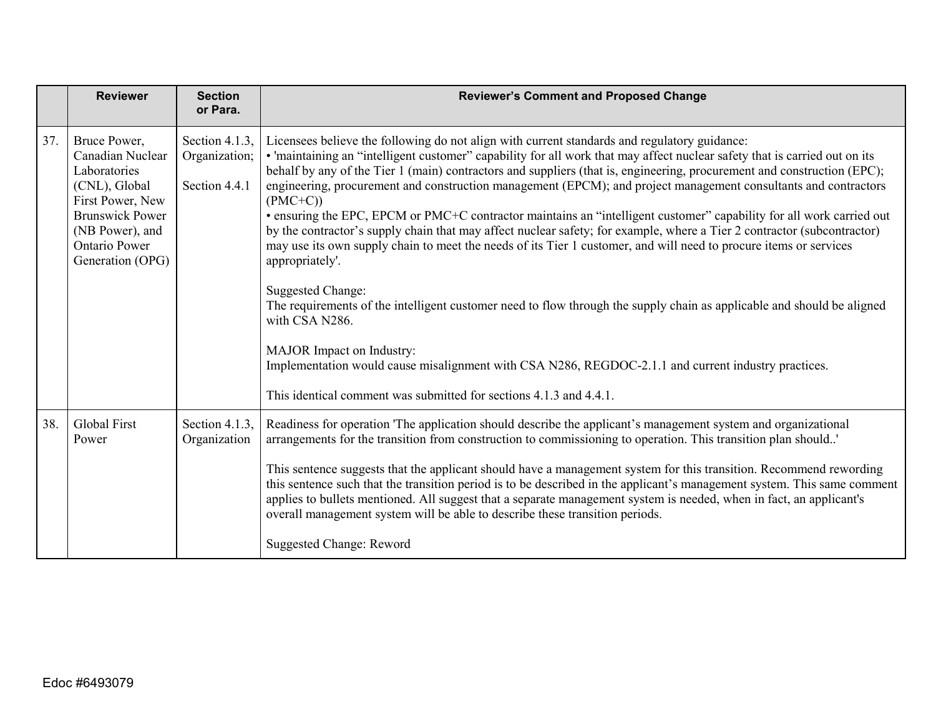|     | <b>Reviewer</b>                                                                                                                                                                | <b>Section</b><br>or Para.                       | <b>Reviewer's Comment and Proposed Change</b>                                                                                                                                                                                                                                                                                                                                                                                                                                                                                                                                                                                                                                                                                                                                                                                                                                     |
|-----|--------------------------------------------------------------------------------------------------------------------------------------------------------------------------------|--------------------------------------------------|-----------------------------------------------------------------------------------------------------------------------------------------------------------------------------------------------------------------------------------------------------------------------------------------------------------------------------------------------------------------------------------------------------------------------------------------------------------------------------------------------------------------------------------------------------------------------------------------------------------------------------------------------------------------------------------------------------------------------------------------------------------------------------------------------------------------------------------------------------------------------------------|
| 37. | Bruce Power,<br>Canadian Nuclear<br>Laboratories<br>(CNL), Global<br>First Power, New<br><b>Brunswick Power</b><br>(NB Power), and<br><b>Ontario Power</b><br>Generation (OPG) | Section 4.1.3,<br>Organization;<br>Section 4.4.1 | Licensees believe the following do not align with current standards and regulatory guidance:<br>• 'maintaining an "intelligent customer" capability for all work that may affect nuclear safety that is carried out on its<br>behalf by any of the Tier 1 (main) contractors and suppliers (that is, engineering, procurement and construction (EPC);<br>engineering, procurement and construction management (EPCM); and project management consultants and contractors<br>$(PMC+C))$<br>• ensuring the EPC, EPCM or PMC+C contractor maintains an "intelligent customer" capability for all work carried out<br>by the contractor's supply chain that may affect nuclear safety; for example, where a Tier 2 contractor (subcontractor)<br>may use its own supply chain to meet the needs of its Tier 1 customer, and will need to procure items or services<br>appropriately'. |
|     |                                                                                                                                                                                |                                                  | <b>Suggested Change:</b><br>The requirements of the intelligent customer need to flow through the supply chain as applicable and should be aligned<br>with CSA N286.<br>MAJOR Impact on Industry:<br>Implementation would cause misalignment with CSA N286, REGDOC-2.1.1 and current industry practices.<br>This identical comment was submitted for sections 4.1.3 and 4.4.1.                                                                                                                                                                                                                                                                                                                                                                                                                                                                                                    |
| 38. | Global First<br>Power                                                                                                                                                          | Section 4.1.3,<br>Organization                   | Readiness for operation 'The application should describe the applicant's management system and organizational<br>arrangements for the transition from construction to commissioning to operation. This transition plan should'<br>This sentence suggests that the applicant should have a management system for this transition. Recommend rewording<br>this sentence such that the transition period is to be described in the applicant's management system. This same comment<br>applies to bullets mentioned. All suggest that a separate management system is needed, when in fact, an applicant's<br>overall management system will be able to describe these transition periods.<br>Suggested Change: Reword                                                                                                                                                               |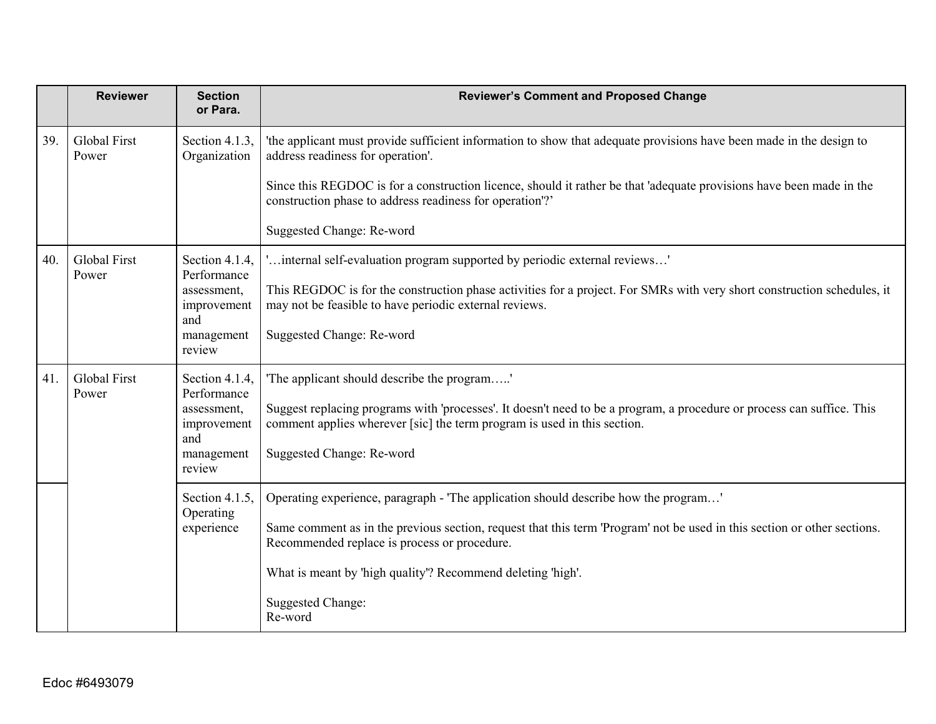|     | <b>Reviewer</b>              | <b>Section</b><br>or Para.                | <b>Reviewer's Comment and Proposed Change</b>                                                                                                                                                      |
|-----|------------------------------|-------------------------------------------|----------------------------------------------------------------------------------------------------------------------------------------------------------------------------------------------------|
| 39. | Global First<br>Power        | Section 4.1.3,<br>Organization            | 'the applicant must provide sufficient information to show that adequate provisions have been made in the design to<br>address readiness for operation'.                                           |
|     |                              |                                           | Since this REGDOC is for a construction licence, should it rather be that 'adequate provisions have been made in the<br>construction phase to address readiness for operation"?                    |
|     |                              |                                           | Suggested Change: Re-word                                                                                                                                                                          |
| 40. | <b>Global First</b><br>Power | Section 4.1.4,<br>Performance             | 'internal self-evaluation program supported by periodic external reviews'                                                                                                                          |
|     |                              | assessment,<br>improvement<br>and         | This REGDOC is for the construction phase activities for a project. For SMRs with very short construction schedules, it<br>may not be feasible to have periodic external reviews.                  |
|     |                              | management<br>review                      | Suggested Change: Re-word                                                                                                                                                                          |
| 41. | <b>Global First</b><br>Power | Section 4.1.4,<br>Performance             | 'The applicant should describe the program'                                                                                                                                                        |
|     | and<br>review                | assessment,<br>improvement                | Suggest replacing programs with 'processes'. It doesn't need to be a program, a procedure or process can suffice. This<br>comment applies wherever [sic] the term program is used in this section. |
|     |                              | management                                | Suggested Change: Re-word                                                                                                                                                                          |
|     |                              | Section 4.1.5,<br>Operating<br>experience | Operating experience, paragraph - 'The application should describe how the program'                                                                                                                |
|     |                              |                                           | Same comment as in the previous section, request that this term 'Program' not be used in this section or other sections.<br>Recommended replace is process or procedure.                           |
|     |                              |                                           | What is meant by 'high quality'? Recommend deleting 'high'.                                                                                                                                        |
|     |                              |                                           | <b>Suggested Change:</b><br>Re-word                                                                                                                                                                |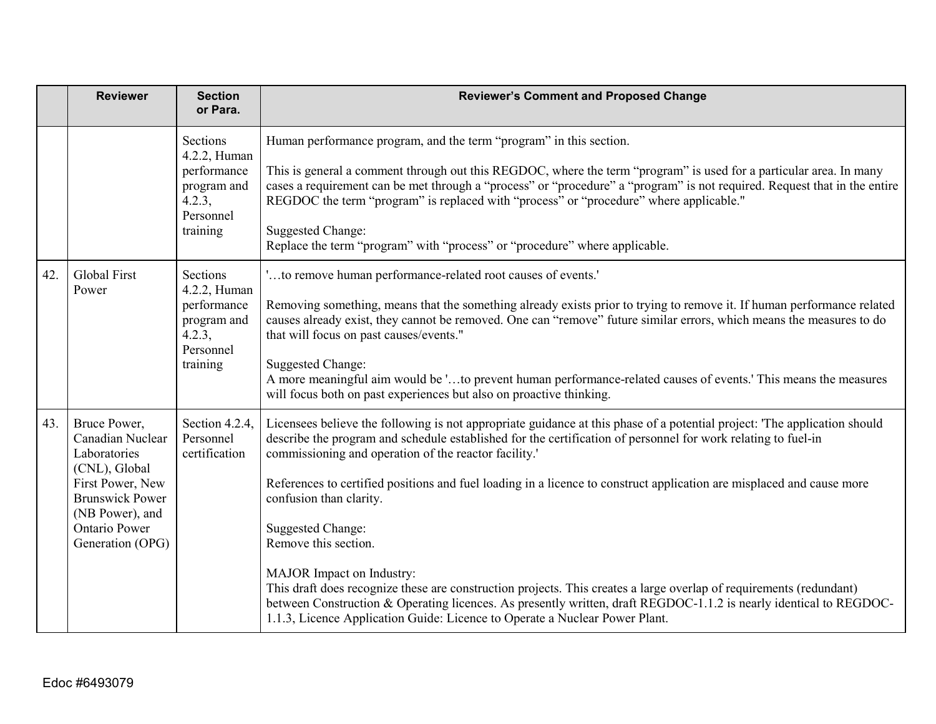|     | <b>Reviewer</b>                                                                                                                                                                | <b>Section</b><br>or Para.                                                                | <b>Reviewer's Comment and Proposed Change</b>                                                                                                                                                                                                                                                                                                                                                                                                                                                                                                                                                                                                                                                                                                                                                                                                                        |
|-----|--------------------------------------------------------------------------------------------------------------------------------------------------------------------------------|-------------------------------------------------------------------------------------------|----------------------------------------------------------------------------------------------------------------------------------------------------------------------------------------------------------------------------------------------------------------------------------------------------------------------------------------------------------------------------------------------------------------------------------------------------------------------------------------------------------------------------------------------------------------------------------------------------------------------------------------------------------------------------------------------------------------------------------------------------------------------------------------------------------------------------------------------------------------------|
|     |                                                                                                                                                                                | Sections<br>4.2.2, Human<br>performance<br>program and<br>4.2.3,<br>Personnel<br>training | Human performance program, and the term "program" in this section.<br>This is general a comment through out this REGDOC, where the term "program" is used for a particular area. In many<br>cases a requirement can be met through a "process" or "procedure" a "program" is not required. Request that in the entire<br>REGDOC the term "program" is replaced with "process" or "procedure" where applicable."<br><b>Suggested Change:</b><br>Replace the term "program" with "process" or "procedure" where applicable.                                                                                                                                                                                                                                                                                                                                            |
| 42. | <b>Global First</b><br>Power                                                                                                                                                   | Sections<br>4.2.2, Human<br>performance<br>program and<br>4.2.3,<br>Personnel<br>training | 'to remove human performance-related root causes of events.'<br>Removing something, means that the something already exists prior to trying to remove it. If human performance related<br>causes already exist, they cannot be removed. One can "remove" future similar errors, which means the measures to do<br>that will focus on past causes/events."<br><b>Suggested Change:</b><br>A more meaningful aim would be 'to prevent human performance-related causes of events.' This means the measures<br>will focus both on past experiences but also on proactive thinking.                                                                                                                                                                                                                                                                                      |
| 43. | Bruce Power,<br>Canadian Nuclear<br>Laboratories<br>(CNL), Global<br>First Power, New<br><b>Brunswick Power</b><br>(NB Power), and<br><b>Ontario Power</b><br>Generation (OPG) | Section 4.2.4,<br>Personnel<br>certification                                              | Licensees believe the following is not appropriate guidance at this phase of a potential project: 'The application should<br>describe the program and schedule established for the certification of personnel for work relating to fuel-in<br>commissioning and operation of the reactor facility.'<br>References to certified positions and fuel loading in a licence to construct application are misplaced and cause more<br>confusion than clarity.<br><b>Suggested Change:</b><br>Remove this section.<br>MAJOR Impact on Industry:<br>This draft does recognize these are construction projects. This creates a large overlap of requirements (redundant)<br>between Construction & Operating licences. As presently written, draft REGDOC-1.1.2 is nearly identical to REGDOC-<br>1.1.3, Licence Application Guide: Licence to Operate a Nuclear Power Plant. |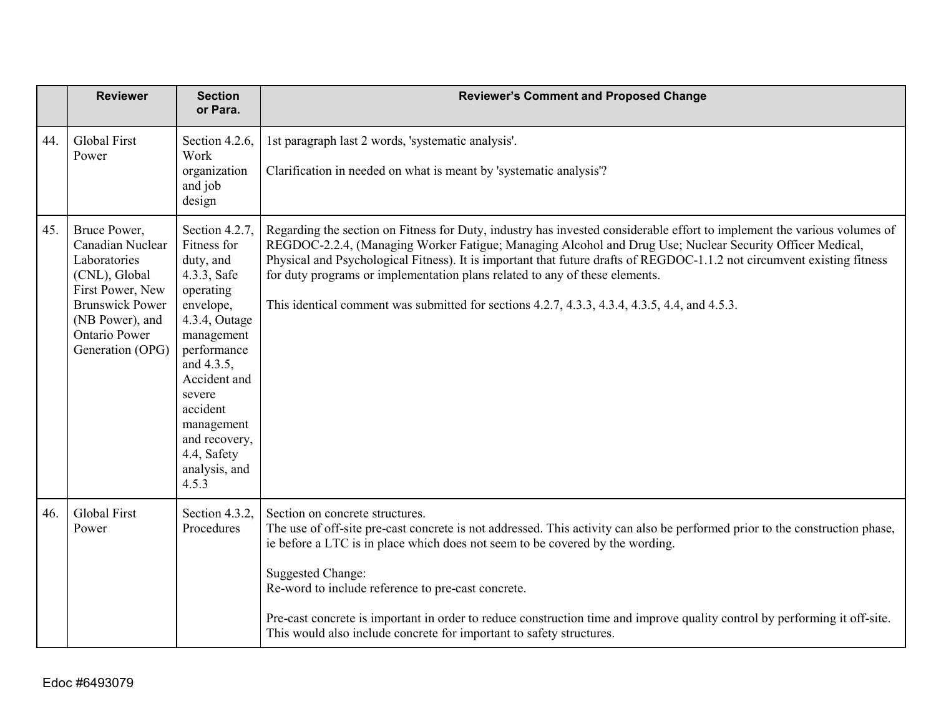|     | <b>Reviewer</b>                                                                                                                                                                | <b>Section</b><br>or Para.                                                                                                                                                                                                                                    | <b>Reviewer's Comment and Proposed Change</b>                                                                                                                                                                                                                                                                                                                                                                                                                                                                                                   |
|-----|--------------------------------------------------------------------------------------------------------------------------------------------------------------------------------|---------------------------------------------------------------------------------------------------------------------------------------------------------------------------------------------------------------------------------------------------------------|-------------------------------------------------------------------------------------------------------------------------------------------------------------------------------------------------------------------------------------------------------------------------------------------------------------------------------------------------------------------------------------------------------------------------------------------------------------------------------------------------------------------------------------------------|
| 44. | <b>Global First</b><br>Power                                                                                                                                                   | Section 4.2.6,<br>Work<br>organization<br>and job<br>design                                                                                                                                                                                                   | 1st paragraph last 2 words, 'systematic analysis'.<br>Clarification in needed on what is meant by 'systematic analysis'?                                                                                                                                                                                                                                                                                                                                                                                                                        |
| 45. | Bruce Power,<br>Canadian Nuclear<br>Laboratories<br>(CNL), Global<br>First Power, New<br><b>Brunswick Power</b><br>(NB Power), and<br><b>Ontario Power</b><br>Generation (OPG) | Section 4.2.7,<br>Fitness for<br>duty, and<br>4.3.3, Safe<br>operating<br>envelope,<br>4.3.4, Outage<br>management<br>performance<br>and 4.3.5,<br>Accident and<br>severe<br>accident<br>management<br>and recovery,<br>4.4, Safety<br>analysis, and<br>4.5.3 | Regarding the section on Fitness for Duty, industry has invested considerable effort to implement the various volumes of<br>REGDOC-2.2.4, (Managing Worker Fatigue; Managing Alcohol and Drug Use; Nuclear Security Officer Medical,<br>Physical and Psychological Fitness). It is important that future drafts of REGDOC-1.1.2 not circumvent existing fitness<br>for duty programs or implementation plans related to any of these elements.<br>This identical comment was submitted for sections 4.2.7, 4.3.3, 4.3.4, 4.3.5, 4.4, and 4.5.3. |
| 46. | <b>Global First</b><br>Power                                                                                                                                                   | Section 4.3.2,<br>Procedures                                                                                                                                                                                                                                  | Section on concrete structures.<br>The use of off-site pre-cast concrete is not addressed. This activity can also be performed prior to the construction phase,<br>ie before a LTC is in place which does not seem to be covered by the wording.<br><b>Suggested Change:</b><br>Re-word to include reference to pre-cast concrete.<br>Pre-cast concrete is important in order to reduce construction time and improve quality control by performing it off-site.<br>This would also include concrete for important to safety structures.        |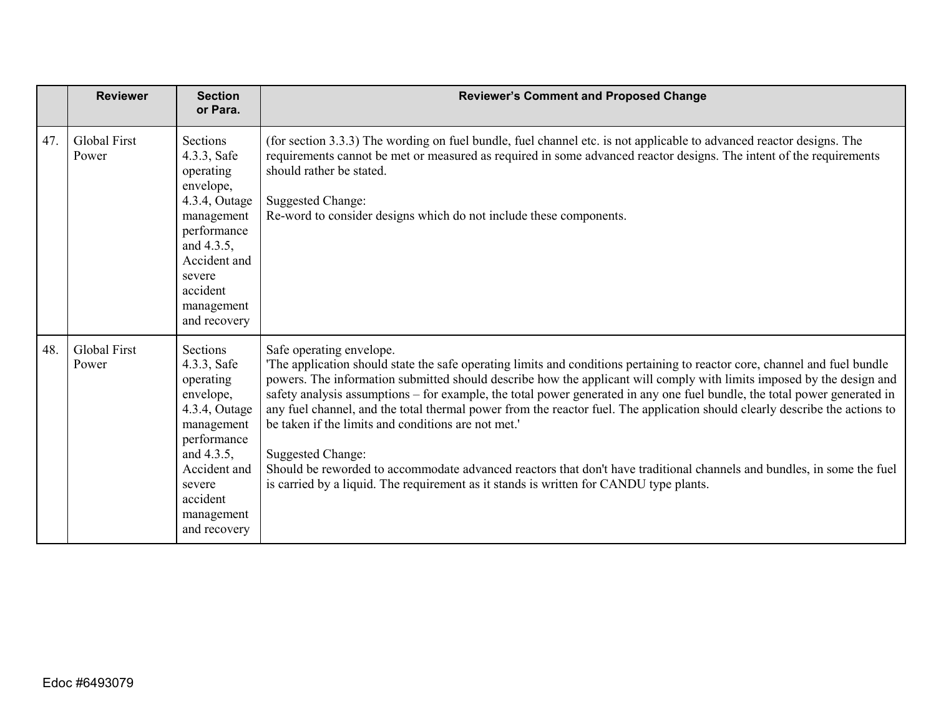|     | <b>Reviewer</b>              | <b>Section</b><br>or Para.                                                                                                                                                        | <b>Reviewer's Comment and Proposed Change</b>                                                                                                                                                                                                                                                                                                                                                                                                                                                                                                                                                                                                                                                                                                                                                                                             |
|-----|------------------------------|-----------------------------------------------------------------------------------------------------------------------------------------------------------------------------------|-------------------------------------------------------------------------------------------------------------------------------------------------------------------------------------------------------------------------------------------------------------------------------------------------------------------------------------------------------------------------------------------------------------------------------------------------------------------------------------------------------------------------------------------------------------------------------------------------------------------------------------------------------------------------------------------------------------------------------------------------------------------------------------------------------------------------------------------|
| 47. | <b>Global First</b><br>Power | Sections<br>4.3.3, Safe<br>operating<br>envelope,<br>4.3.4, Outage<br>management<br>performance<br>and 4.3.5,<br>Accident and<br>severe<br>accident<br>management<br>and recovery | (for section 3.3.3) The wording on fuel bundle, fuel channel etc. is not applicable to advanced reactor designs. The<br>requirements cannot be met or measured as required in some advanced reactor designs. The intent of the requirements<br>should rather be stated.<br><b>Suggested Change:</b><br>Re-word to consider designs which do not include these components.                                                                                                                                                                                                                                                                                                                                                                                                                                                                 |
| 48. | <b>Global First</b><br>Power | Sections<br>4.3.3, Safe<br>operating<br>envelope,<br>4.3.4, Outage<br>management<br>performance<br>and 4.3.5,<br>Accident and<br>severe<br>accident<br>management<br>and recovery | Safe operating envelope.<br>The application should state the safe operating limits and conditions pertaining to reactor core, channel and fuel bundle<br>powers. The information submitted should describe how the applicant will comply with limits imposed by the design and<br>safety analysis assumptions - for example, the total power generated in any one fuel bundle, the total power generated in<br>any fuel channel, and the total thermal power from the reactor fuel. The application should clearly describe the actions to<br>be taken if the limits and conditions are not met.<br>Suggested Change:<br>Should be reworded to accommodate advanced reactors that don't have traditional channels and bundles, in some the fuel<br>is carried by a liquid. The requirement as it stands is written for CANDU type plants. |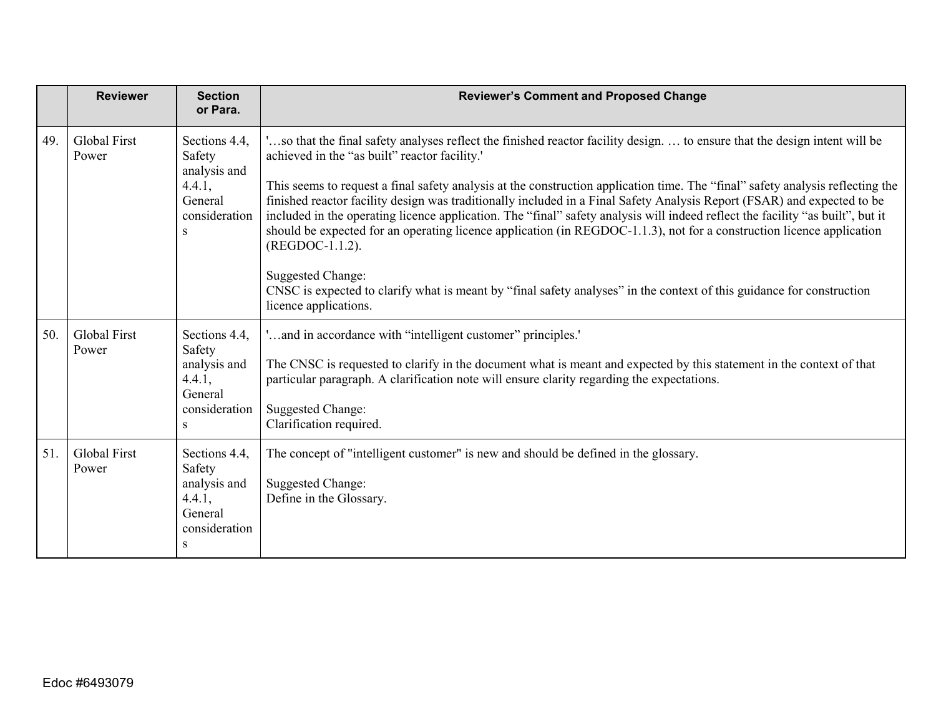|     | <b>Reviewer</b>              | <b>Section</b><br>or Para.                                                         | <b>Reviewer's Comment and Proposed Change</b>                                                                                                                                                                                                                                                                                                                                                                                                                                                                                                                                                                                                                                                                                                                                                                                                                                              |
|-----|------------------------------|------------------------------------------------------------------------------------|--------------------------------------------------------------------------------------------------------------------------------------------------------------------------------------------------------------------------------------------------------------------------------------------------------------------------------------------------------------------------------------------------------------------------------------------------------------------------------------------------------------------------------------------------------------------------------------------------------------------------------------------------------------------------------------------------------------------------------------------------------------------------------------------------------------------------------------------------------------------------------------------|
| 49. | Global First<br>Power        | Sections 4.4,<br>Safety<br>analysis and<br>4.4.1,<br>General<br>consideration<br>S | so that the final safety analyses reflect the finished reactor facility design to ensure that the design intent will be<br>achieved in the "as built" reactor facility.'<br>This seems to request a final safety analysis at the construction application time. The "final" safety analysis reflecting the<br>finished reactor facility design was traditionally included in a Final Safety Analysis Report (FSAR) and expected to be<br>included in the operating licence application. The "final" safety analysis will indeed reflect the facility "as built", but it<br>should be expected for an operating licence application (in REGDOC-1.1.3), not for a construction licence application<br>(REGDOC-1.1.2).<br>Suggested Change:<br>CNSC is expected to clarify what is meant by "final safety analyses" in the context of this guidance for construction<br>licence applications. |
| 50. | <b>Global First</b><br>Power | Sections 4.4,<br>Safety<br>analysis and<br>4.4.1,<br>General<br>consideration<br>S | 'and in accordance with "intelligent customer" principles.'<br>The CNSC is requested to clarify in the document what is meant and expected by this statement in the context of that<br>particular paragraph. A clarification note will ensure clarity regarding the expectations.<br><b>Suggested Change:</b><br>Clarification required.                                                                                                                                                                                                                                                                                                                                                                                                                                                                                                                                                   |
| 51. | Global First<br>Power        | Sections 4.4,<br>Safety<br>analysis and<br>4.4.1,<br>General<br>consideration<br>S | The concept of "intelligent customer" is new and should be defined in the glossary.<br><b>Suggested Change:</b><br>Define in the Glossary.                                                                                                                                                                                                                                                                                                                                                                                                                                                                                                                                                                                                                                                                                                                                                 |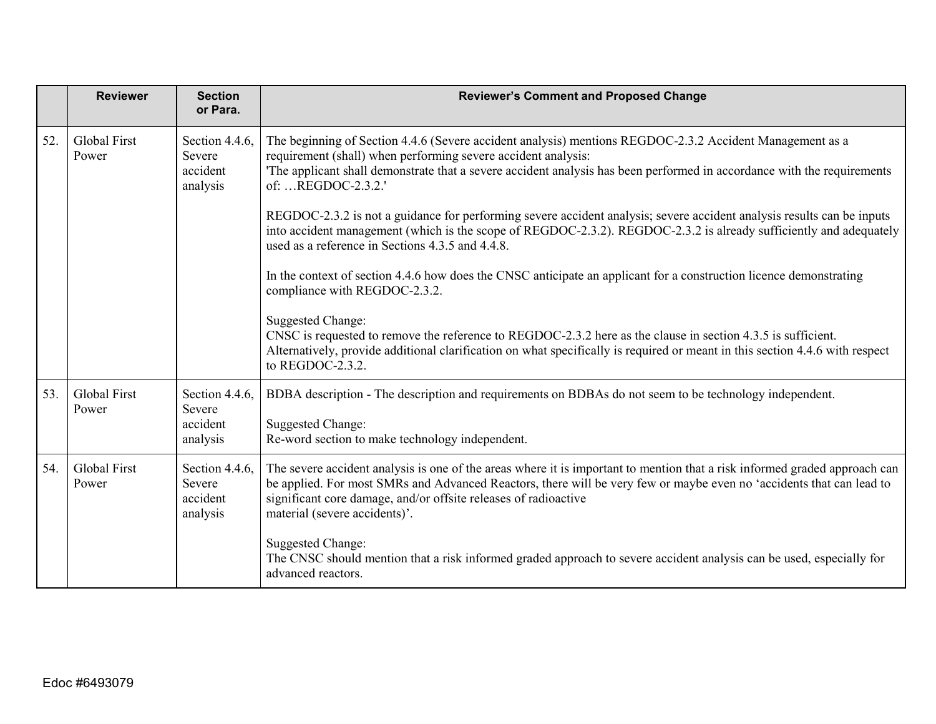|     | <b>Reviewer</b>              | <b>Section</b><br>or Para.                       | <b>Reviewer's Comment and Proposed Change</b>                                                                                                                                                                                                                                                                                                          |
|-----|------------------------------|--------------------------------------------------|--------------------------------------------------------------------------------------------------------------------------------------------------------------------------------------------------------------------------------------------------------------------------------------------------------------------------------------------------------|
| 52. | <b>Global First</b><br>Power | Section 4.4.6,<br>Severe<br>accident<br>analysis | The beginning of Section 4.4.6 (Severe accident analysis) mentions REGDOC-2.3.2 Accident Management as a<br>requirement (shall) when performing severe accident analysis:<br>The applicant shall demonstrate that a severe accident analysis has been performed in accordance with the requirements<br>of: REGDOC-2.3.2.'                              |
|     |                              |                                                  | REGDOC-2.3.2 is not a guidance for performing severe accident analysis; severe accident analysis results can be inputs<br>into accident management (which is the scope of REGDOC-2.3.2). REGDOC-2.3.2 is already sufficiently and adequately<br>used as a reference in Sections 4.3.5 and 4.4.8.                                                       |
|     |                              |                                                  | In the context of section 4.4.6 how does the CNSC anticipate an applicant for a construction licence demonstrating<br>compliance with REGDOC-2.3.2.                                                                                                                                                                                                    |
|     |                              |                                                  | <b>Suggested Change:</b><br>CNSC is requested to remove the reference to REGDOC-2.3.2 here as the clause in section 4.3.5 is sufficient.<br>Alternatively, provide additional clarification on what specifically is required or meant in this section 4.4.6 with respect<br>to REGDOC-2.3.2.                                                           |
| 53. | <b>Global First</b><br>Power | Section 4.4.6,<br>Severe<br>accident<br>analysis | BDBA description - The description and requirements on BDBAs do not seem to be technology independent.<br><b>Suggested Change:</b><br>Re-word section to make technology independent.                                                                                                                                                                  |
| 54. | <b>Global First</b><br>Power | Section 4.4.6,<br>Severe<br>accident<br>analysis | The severe accident analysis is one of the areas where it is important to mention that a risk informed graded approach can<br>be applied. For most SMRs and Advanced Reactors, there will be very few or maybe even no 'accidents that can lead to<br>significant core damage, and/or offsite releases of radioactive<br>material (severe accidents)'. |
|     |                              |                                                  | <b>Suggested Change:</b><br>The CNSC should mention that a risk informed graded approach to severe accident analysis can be used, especially for<br>advanced reactors.                                                                                                                                                                                 |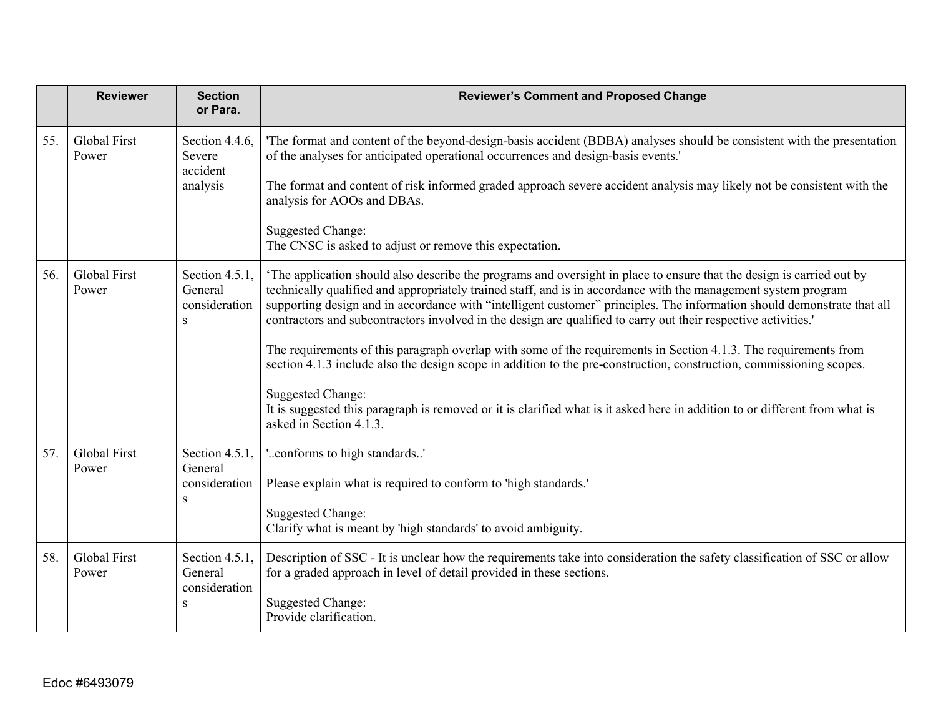|     | <b>Reviewer</b>              | <b>Section</b><br>or Para.                              | <b>Reviewer's Comment and Proposed Change</b>                                                                                                                                                                                                                                                                                                                                                                                                                                                                                                                                                                                                                                                                                                                                                                                                                                                                         |
|-----|------------------------------|---------------------------------------------------------|-----------------------------------------------------------------------------------------------------------------------------------------------------------------------------------------------------------------------------------------------------------------------------------------------------------------------------------------------------------------------------------------------------------------------------------------------------------------------------------------------------------------------------------------------------------------------------------------------------------------------------------------------------------------------------------------------------------------------------------------------------------------------------------------------------------------------------------------------------------------------------------------------------------------------|
| 55. | <b>Global First</b><br>Power | Section 4.4.6,<br>Severe<br>accident<br>analysis        | The format and content of the beyond-design-basis accident (BDBA) analyses should be consistent with the presentation<br>of the analyses for anticipated operational occurrences and design-basis events.'<br>The format and content of risk informed graded approach severe accident analysis may likely not be consistent with the<br>analysis for AOOs and DBAs.<br><b>Suggested Change:</b><br>The CNSC is asked to adjust or remove this expectation.                                                                                                                                                                                                                                                                                                                                                                                                                                                            |
| 56. | Global First<br>Power        | Section 4.5.1,<br>General<br>consideration<br>S         | The application should also describe the programs and oversight in place to ensure that the design is carried out by<br>technically qualified and appropriately trained staff, and is in accordance with the management system program<br>supporting design and in accordance with "intelligent customer" principles. The information should demonstrate that all<br>contractors and subcontractors involved in the design are qualified to carry out their respective activities.'<br>The requirements of this paragraph overlap with some of the requirements in Section 4.1.3. The requirements from<br>section 4.1.3 include also the design scope in addition to the pre-construction, construction, commissioning scopes.<br><b>Suggested Change:</b><br>It is suggested this paragraph is removed or it is clarified what is it asked here in addition to or different from what is<br>asked in Section 4.1.3. |
| 57. | <b>Global First</b><br>Power | Section 4.5.1,<br>General<br>consideration<br>S         | 'conforms to high standards'<br>Please explain what is required to conform to 'high standards.'<br><b>Suggested Change:</b><br>Clarify what is meant by 'high standards' to avoid ambiguity.                                                                                                                                                                                                                                                                                                                                                                                                                                                                                                                                                                                                                                                                                                                          |
| 58. | <b>Global First</b><br>Power | Section 4.5.1,<br>General<br>consideration<br>${\bf S}$ | Description of SSC - It is unclear how the requirements take into consideration the safety classification of SSC or allow<br>for a graded approach in level of detail provided in these sections.<br><b>Suggested Change:</b><br>Provide clarification.                                                                                                                                                                                                                                                                                                                                                                                                                                                                                                                                                                                                                                                               |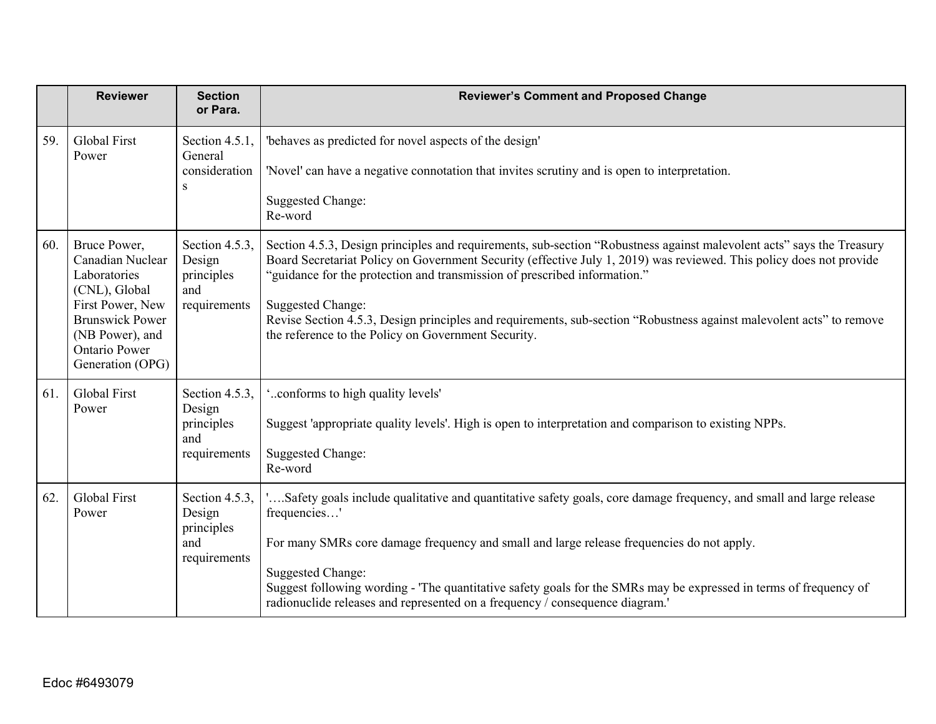|     | <b>Reviewer</b>                                                                                                                                                                | <b>Section</b><br>or Para.                                    | <b>Reviewer's Comment and Proposed Change</b>                                                                                                                                                                                                                                                                                                                                                                                                                                                                                        |
|-----|--------------------------------------------------------------------------------------------------------------------------------------------------------------------------------|---------------------------------------------------------------|--------------------------------------------------------------------------------------------------------------------------------------------------------------------------------------------------------------------------------------------------------------------------------------------------------------------------------------------------------------------------------------------------------------------------------------------------------------------------------------------------------------------------------------|
| 59. | Global First<br>Power                                                                                                                                                          | Section 4.5.1,<br>General<br>consideration<br>S               | 'behaves as predicted for novel aspects of the design'<br>'Novel' can have a negative connotation that invites scrutiny and is open to interpretation.<br><b>Suggested Change:</b><br>Re-word                                                                                                                                                                                                                                                                                                                                        |
| 60. | Bruce Power,<br>Canadian Nuclear<br>Laboratories<br>(CNL), Global<br>First Power, New<br><b>Brunswick Power</b><br>(NB Power), and<br><b>Ontario Power</b><br>Generation (OPG) | Section 4.5.3,<br>Design<br>principles<br>and<br>requirements | Section 4.5.3, Design principles and requirements, sub-section "Robustness against malevolent acts" says the Treasury<br>Board Secretariat Policy on Government Security (effective July 1, 2019) was reviewed. This policy does not provide<br>"guidance for the protection and transmission of prescribed information."<br><b>Suggested Change:</b><br>Revise Section 4.5.3, Design principles and requirements, sub-section "Robustness against malevolent acts" to remove<br>the reference to the Policy on Government Security. |
| 61. | Global First<br>Power                                                                                                                                                          | Section 4.5.3,<br>Design<br>principles<br>and<br>requirements | 'conforms to high quality levels'<br>Suggest 'appropriate quality levels'. High is open to interpretation and comparison to existing NPPs.<br>Suggested Change:<br>Re-word                                                                                                                                                                                                                                                                                                                                                           |
| 62. | Global First<br>Power                                                                                                                                                          | Section 4.5.3,<br>Design<br>principles<br>and<br>requirements | "Safety goals include qualitative and quantitative safety goals, core damage frequency, and small and large release<br>frequencies'<br>For many SMRs core damage frequency and small and large release frequencies do not apply.<br><b>Suggested Change:</b><br>Suggest following wording - 'The quantitative safety goals for the SMRs may be expressed in terms of frequency of<br>radionuclide releases and represented on a frequency / consequence diagram.'                                                                    |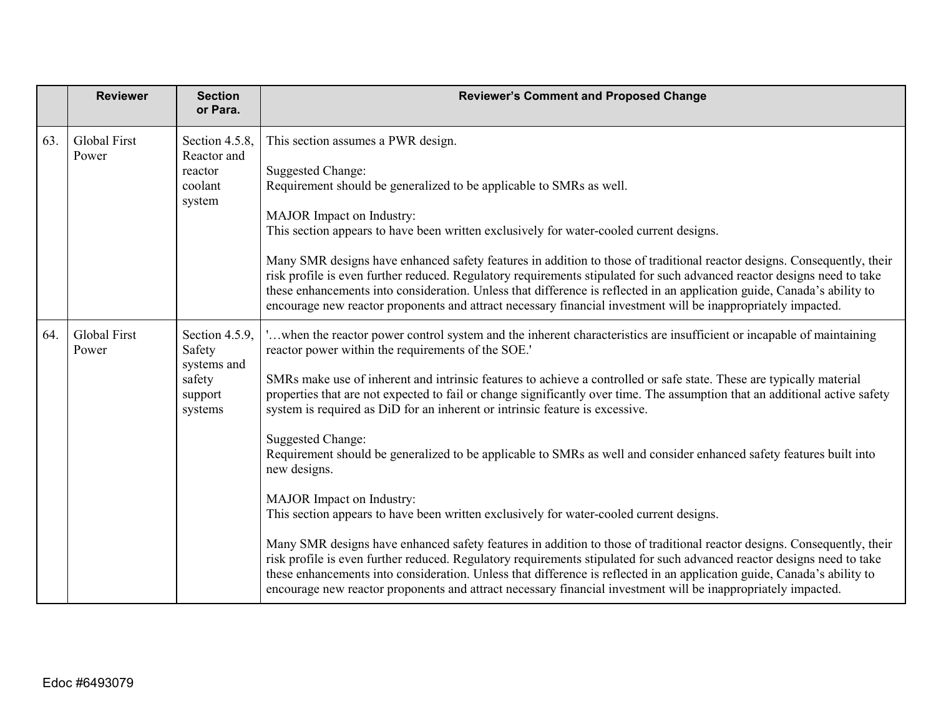|     | <b>Reviewer</b>              | <b>Section</b><br>or Para.                                              | <b>Reviewer's Comment and Proposed Change</b>                                                                                                                                                                                                                                                                                                                                                                                                                                                  |
|-----|------------------------------|-------------------------------------------------------------------------|------------------------------------------------------------------------------------------------------------------------------------------------------------------------------------------------------------------------------------------------------------------------------------------------------------------------------------------------------------------------------------------------------------------------------------------------------------------------------------------------|
| 63. | <b>Global First</b><br>Power | Section 4.5.8,<br>Reactor and<br>reactor<br>coolant<br>system           | This section assumes a PWR design.<br><b>Suggested Change:</b><br>Requirement should be generalized to be applicable to SMRs as well.                                                                                                                                                                                                                                                                                                                                                          |
|     |                              |                                                                         | MAJOR Impact on Industry:<br>This section appears to have been written exclusively for water-cooled current designs.                                                                                                                                                                                                                                                                                                                                                                           |
|     |                              |                                                                         | Many SMR designs have enhanced safety features in addition to those of traditional reactor designs. Consequently, their<br>risk profile is even further reduced. Regulatory requirements stipulated for such advanced reactor designs need to take<br>these enhancements into consideration. Unless that difference is reflected in an application guide, Canada's ability to<br>encourage new reactor proponents and attract necessary financial investment will be inappropriately impacted. |
| 64. | Global First<br>Power        | Section 4.5.9,<br>Safety<br>systems and<br>safety<br>support<br>systems | 'when the reactor power control system and the inherent characteristics are insufficient or incapable of maintaining<br>reactor power within the requirements of the SOE.'                                                                                                                                                                                                                                                                                                                     |
|     |                              |                                                                         | SMRs make use of inherent and intrinsic features to achieve a controlled or safe state. These are typically material<br>properties that are not expected to fail or change significantly over time. The assumption that an additional active safety<br>system is required as DiD for an inherent or intrinsic feature is excessive.                                                                                                                                                            |
|     |                              |                                                                         | <b>Suggested Change:</b><br>Requirement should be generalized to be applicable to SMRs as well and consider enhanced safety features built into<br>new designs.                                                                                                                                                                                                                                                                                                                                |
|     |                              |                                                                         | MAJOR Impact on Industry:<br>This section appears to have been written exclusively for water-cooled current designs.                                                                                                                                                                                                                                                                                                                                                                           |
|     |                              |                                                                         | Many SMR designs have enhanced safety features in addition to those of traditional reactor designs. Consequently, their<br>risk profile is even further reduced. Regulatory requirements stipulated for such advanced reactor designs need to take<br>these enhancements into consideration. Unless that difference is reflected in an application guide, Canada's ability to<br>encourage new reactor proponents and attract necessary financial investment will be inappropriately impacted. |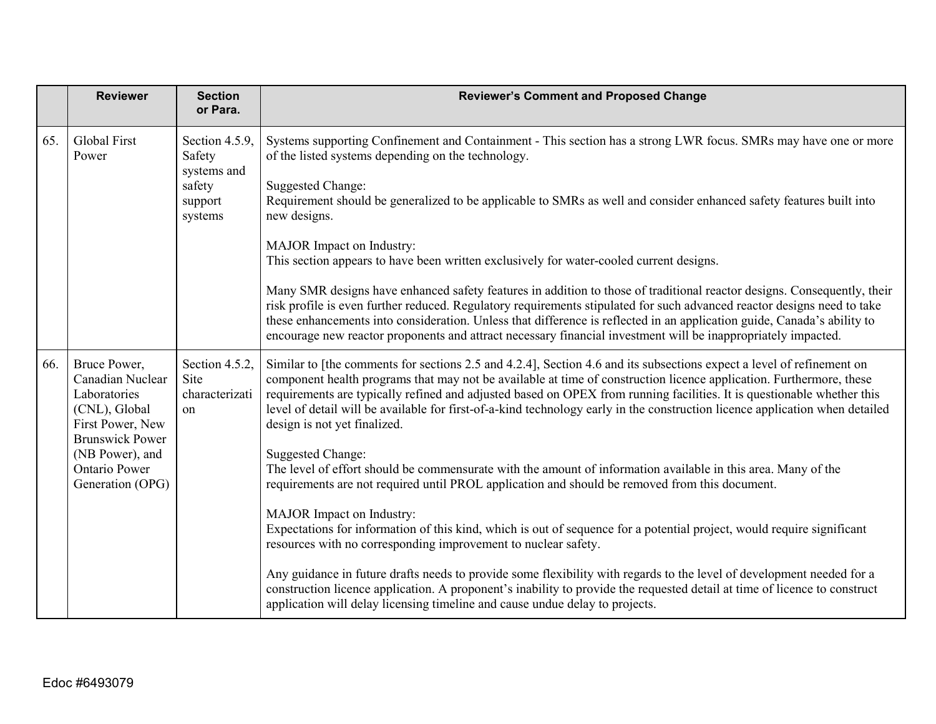|     | <b>Reviewer</b>                                                                                                                                                         | <b>Section</b><br>or Para.                                              | <b>Reviewer's Comment and Proposed Change</b>                                                                                                                                                                                                                                                                                                                                                                                                                                                                                                                                                                                                                                                                                                                                                               |
|-----|-------------------------------------------------------------------------------------------------------------------------------------------------------------------------|-------------------------------------------------------------------------|-------------------------------------------------------------------------------------------------------------------------------------------------------------------------------------------------------------------------------------------------------------------------------------------------------------------------------------------------------------------------------------------------------------------------------------------------------------------------------------------------------------------------------------------------------------------------------------------------------------------------------------------------------------------------------------------------------------------------------------------------------------------------------------------------------------|
| 65. | <b>Global First</b><br>Power                                                                                                                                            | Section 4.5.9,<br>Safety<br>systems and<br>safety<br>support<br>systems | Systems supporting Confinement and Containment - This section has a strong LWR focus. SMRs may have one or more<br>of the listed systems depending on the technology.<br><b>Suggested Change:</b><br>Requirement should be generalized to be applicable to SMRs as well and consider enhanced safety features built into<br>new designs.<br>MAJOR Impact on Industry:<br>This section appears to have been written exclusively for water-cooled current designs.                                                                                                                                                                                                                                                                                                                                            |
|     |                                                                                                                                                                         |                                                                         | Many SMR designs have enhanced safety features in addition to those of traditional reactor designs. Consequently, their<br>risk profile is even further reduced. Regulatory requirements stipulated for such advanced reactor designs need to take<br>these enhancements into consideration. Unless that difference is reflected in an application guide, Canada's ability to<br>encourage new reactor proponents and attract necessary financial investment will be inappropriately impacted.                                                                                                                                                                                                                                                                                                              |
| 66. | Bruce Power,<br>Canadian Nuclear<br>Laboratories<br>(CNL), Global<br>First Power, New<br><b>Brunswick Power</b><br>(NB Power), and<br>Ontario Power<br>Generation (OPG) | Section 4.5.2,<br>Site<br>characterizati<br>on                          | Similar to [the comments for sections 2.5 and 4.2.4], Section 4.6 and its subsections expect a level of refinement on<br>component health programs that may not be available at time of construction licence application. Furthermore, these<br>requirements are typically refined and adjusted based on OPEX from running facilities. It is questionable whether this<br>level of detail will be available for first-of-a-kind technology early in the construction licence application when detailed<br>design is not yet finalized.<br>Suggested Change:<br>The level of effort should be commensurate with the amount of information available in this area. Many of the<br>requirements are not required until PROL application and should be removed from this document.<br>MAJOR Impact on Industry: |
|     |                                                                                                                                                                         |                                                                         | Expectations for information of this kind, which is out of sequence for a potential project, would require significant<br>resources with no corresponding improvement to nuclear safety.<br>Any guidance in future drafts needs to provide some flexibility with regards to the level of development needed for a<br>construction licence application. A proponent's inability to provide the requested detail at time of licence to construct<br>application will delay licensing timeline and cause undue delay to projects.                                                                                                                                                                                                                                                                              |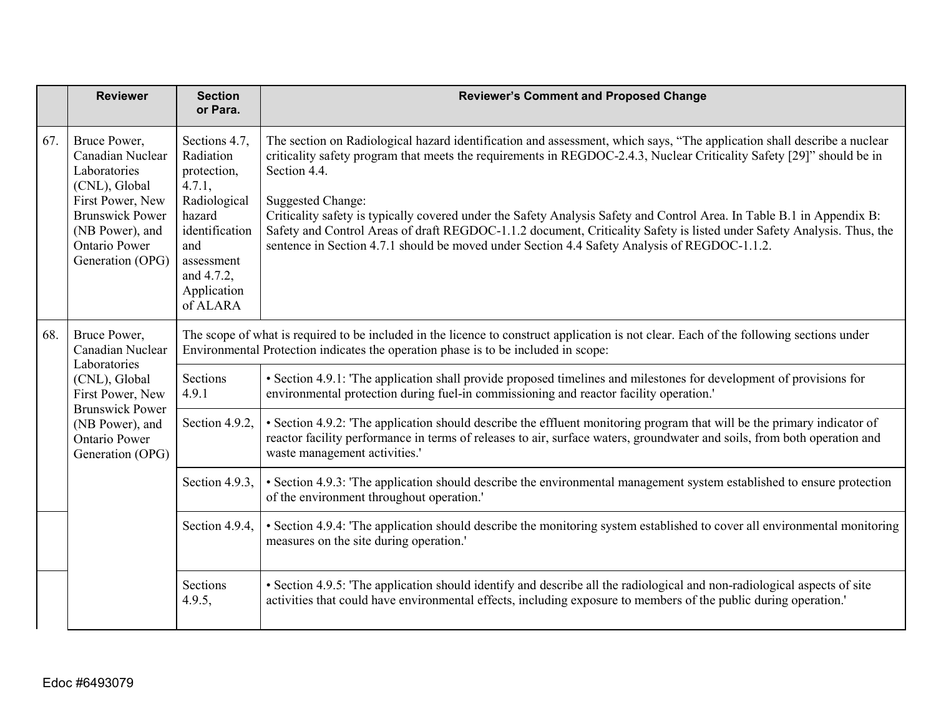|     | <b>Reviewer</b>                                                                                                                                                                | <b>Section</b><br>or Para.                                                                                                                                                                                                    | <b>Reviewer's Comment and Proposed Change</b>                                                                                                                                                                                                                                                                                                                                                                                                                                                                                                                                                                                                    |
|-----|--------------------------------------------------------------------------------------------------------------------------------------------------------------------------------|-------------------------------------------------------------------------------------------------------------------------------------------------------------------------------------------------------------------------------|--------------------------------------------------------------------------------------------------------------------------------------------------------------------------------------------------------------------------------------------------------------------------------------------------------------------------------------------------------------------------------------------------------------------------------------------------------------------------------------------------------------------------------------------------------------------------------------------------------------------------------------------------|
| 67. | Bruce Power,<br>Canadian Nuclear<br>Laboratories<br>(CNL), Global<br>First Power, New<br><b>Brunswick Power</b><br>(NB Power), and<br><b>Ontario Power</b><br>Generation (OPG) | Sections 4.7,<br>Radiation<br>protection,<br>4.7.1,<br>Radiological<br>hazard<br>identification<br>and<br>assessment<br>and 4.7.2,<br>Application<br>of ALARA                                                                 | The section on Radiological hazard identification and assessment, which says, "The application shall describe a nuclear<br>criticality safety program that meets the requirements in REGDOC-2.4.3, Nuclear Criticality Safety [29]" should be in<br>Section 4.4.<br><b>Suggested Change:</b><br>Criticality safety is typically covered under the Safety Analysis Safety and Control Area. In Table B.1 in Appendix B:<br>Safety and Control Areas of draft REGDOC-1.1.2 document, Criticality Safety is listed under Safety Analysis. Thus, the<br>sentence in Section 4.7.1 should be moved under Section 4.4 Safety Analysis of REGDOC-1.1.2. |
| 68. | Bruce Power,<br>Canadian Nuclear<br>Laboratories<br>(CNL), Global<br>First Power, New<br><b>Brunswick Power</b><br>(NB Power), and<br><b>Ontario Power</b><br>Generation (OPG) | The scope of what is required to be included in the licence to construct application is not clear. Each of the following sections under<br>Environmental Protection indicates the operation phase is to be included in scope: |                                                                                                                                                                                                                                                                                                                                                                                                                                                                                                                                                                                                                                                  |
|     |                                                                                                                                                                                | Sections<br>4.9.1                                                                                                                                                                                                             | • Section 4.9.1: The application shall provide proposed timelines and milestones for development of provisions for<br>environmental protection during fuel-in commissioning and reactor facility operation.                                                                                                                                                                                                                                                                                                                                                                                                                                      |
|     |                                                                                                                                                                                | Section 4.9.2,                                                                                                                                                                                                                | • Section 4.9.2: The application should describe the effluent monitoring program that will be the primary indicator of<br>reactor facility performance in terms of releases to air, surface waters, groundwater and soils, from both operation and<br>waste management activities.'                                                                                                                                                                                                                                                                                                                                                              |
|     |                                                                                                                                                                                | Section 4.9.3,                                                                                                                                                                                                                | • Section 4.9.3: The application should describe the environmental management system established to ensure protection<br>of the environment throughout operation.'                                                                                                                                                                                                                                                                                                                                                                                                                                                                               |
|     |                                                                                                                                                                                | Section 4.9.4,                                                                                                                                                                                                                | • Section 4.9.4: 'The application should describe the monitoring system established to cover all environmental monitoring<br>measures on the site during operation.'                                                                                                                                                                                                                                                                                                                                                                                                                                                                             |
|     |                                                                                                                                                                                | Sections<br>4.9.5,                                                                                                                                                                                                            | • Section 4.9.5: 'The application should identify and describe all the radiological and non-radiological aspects of site<br>activities that could have environmental effects, including exposure to members of the public during operation.'                                                                                                                                                                                                                                                                                                                                                                                                     |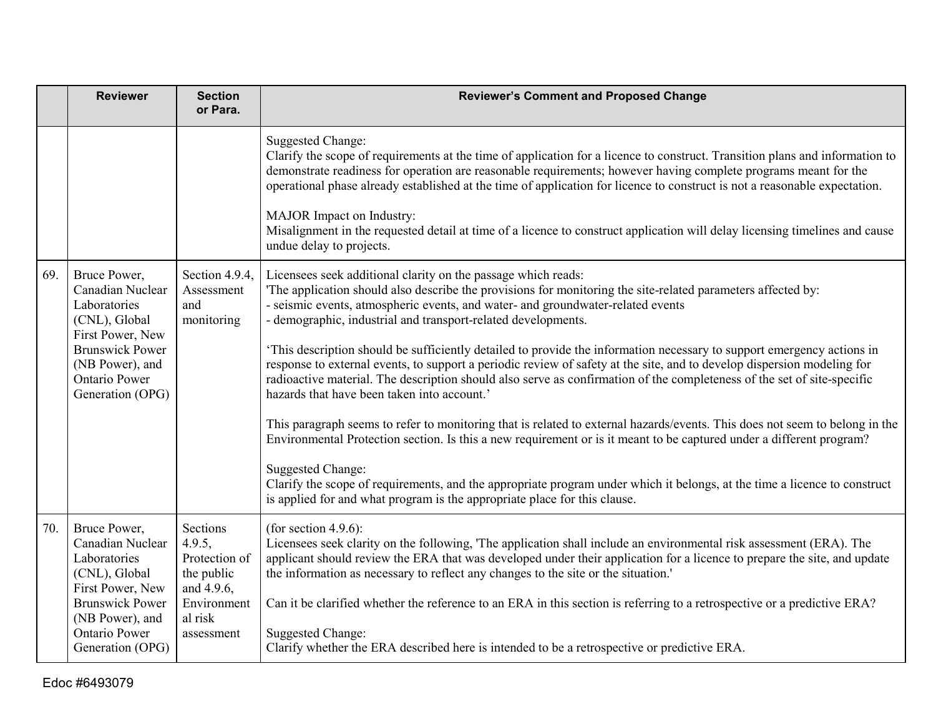|     | <b>Reviewer</b>                                                                                                                                                                | <b>Section</b><br>or Para.                                                                              | <b>Reviewer's Comment and Proposed Change</b>                                                                                                                                                                                                                                                                                                                                                                                                                                                                                                                                                                                                                                                                                                                                                                                                                                                                                                                                                                                                                                                                                                                                                                                                                |
|-----|--------------------------------------------------------------------------------------------------------------------------------------------------------------------------------|---------------------------------------------------------------------------------------------------------|--------------------------------------------------------------------------------------------------------------------------------------------------------------------------------------------------------------------------------------------------------------------------------------------------------------------------------------------------------------------------------------------------------------------------------------------------------------------------------------------------------------------------------------------------------------------------------------------------------------------------------------------------------------------------------------------------------------------------------------------------------------------------------------------------------------------------------------------------------------------------------------------------------------------------------------------------------------------------------------------------------------------------------------------------------------------------------------------------------------------------------------------------------------------------------------------------------------------------------------------------------------|
|     |                                                                                                                                                                                |                                                                                                         | <b>Suggested Change:</b><br>Clarify the scope of requirements at the time of application for a licence to construct. Transition plans and information to<br>demonstrate readiness for operation are reasonable requirements; however having complete programs meant for the<br>operational phase already established at the time of application for licence to construct is not a reasonable expectation.<br>MAJOR Impact on Industry:<br>Misalignment in the requested detail at time of a licence to construct application will delay licensing timelines and cause<br>undue delay to projects.                                                                                                                                                                                                                                                                                                                                                                                                                                                                                                                                                                                                                                                            |
| 69. | Bruce Power,<br>Canadian Nuclear<br>Laboratories<br>(CNL), Global<br>First Power, New<br><b>Brunswick Power</b><br>(NB Power), and<br>Ontario Power<br>Generation (OPG)        | Section 4.9.4,<br>Assessment<br>and<br>monitoring                                                       | Licensees seek additional clarity on the passage which reads:<br>The application should also describe the provisions for monitoring the site-related parameters affected by:<br>- seismic events, atmospheric events, and water- and groundwater-related events<br>- demographic, industrial and transport-related developments.<br>'This description should be sufficiently detailed to provide the information necessary to support emergency actions in<br>response to external events, to support a periodic review of safety at the site, and to develop dispersion modeling for<br>radioactive material. The description should also serve as confirmation of the completeness of the set of site-specific<br>hazards that have been taken into account.'<br>This paragraph seems to refer to monitoring that is related to external hazards/events. This does not seem to belong in the<br>Environmental Protection section. Is this a new requirement or is it meant to be captured under a different program?<br><b>Suggested Change:</b><br>Clarify the scope of requirements, and the appropriate program under which it belongs, at the time a licence to construct<br>is applied for and what program is the appropriate place for this clause. |
| 70. | Bruce Power,<br>Canadian Nuclear<br>Laboratories<br>(CNL), Global<br>First Power, New<br><b>Brunswick Power</b><br>(NB Power), and<br><b>Ontario Power</b><br>Generation (OPG) | Sections<br>4.9.5,<br>Protection of<br>the public<br>and 4.9.6,<br>Environment<br>al risk<br>assessment | (for section 4.9.6):<br>Licensees seek clarity on the following, 'The application shall include an environmental risk assessment (ERA). The<br>applicant should review the ERA that was developed under their application for a licence to prepare the site, and update<br>the information as necessary to reflect any changes to the site or the situation.'<br>Can it be clarified whether the reference to an ERA in this section is referring to a retrospective or a predictive ERA?<br><b>Suggested Change:</b><br>Clarify whether the ERA described here is intended to be a retrospective or predictive ERA.                                                                                                                                                                                                                                                                                                                                                                                                                                                                                                                                                                                                                                         |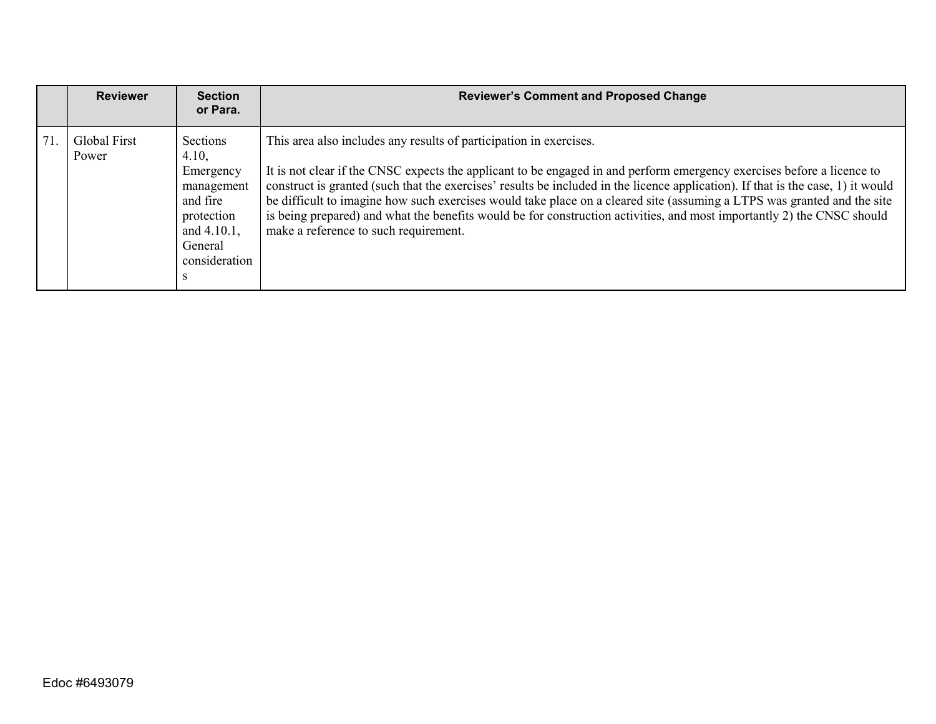|     | <b>Reviewer</b>       | <b>Section</b><br>or Para.                                                                                                    | <b>Reviewer's Comment and Proposed Change</b>                                                                                                                                                                                                                                                                                                                                                                                                                                                                                                                                                                                  |
|-----|-----------------------|-------------------------------------------------------------------------------------------------------------------------------|--------------------------------------------------------------------------------------------------------------------------------------------------------------------------------------------------------------------------------------------------------------------------------------------------------------------------------------------------------------------------------------------------------------------------------------------------------------------------------------------------------------------------------------------------------------------------------------------------------------------------------|
| 71. | Global First<br>Power | Sections<br>4.10,<br>Emergency<br>management<br>and fire<br>protection<br>and 4.10.1,<br>General<br>consideration<br><b>S</b> | This area also includes any results of participation in exercises.<br>It is not clear if the CNSC expects the applicant to be engaged in and perform emergency exercises before a licence to<br>construct is granted (such that the exercises' results be included in the licence application). If that is the case, 1) it would<br>be difficult to imagine how such exercises would take place on a cleared site (assuming a LTPS was granted and the site<br>is being prepared) and what the benefits would be for construction activities, and most importantly 2) the CNSC should<br>make a reference to such requirement. |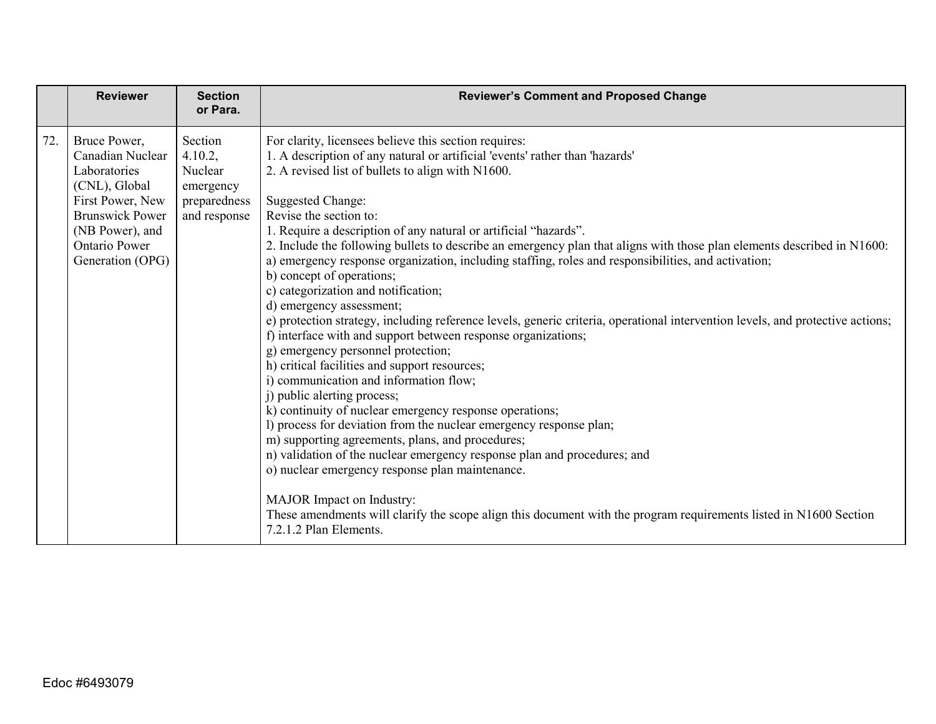|     | <b>Reviewer</b>                                                                                                                                                                | <b>Section</b><br>or Para.                                                 | <b>Reviewer's Comment and Proposed Change</b>                                                                                                                                                                                                                                                                                                                                                                                                                                                                                                                                                                                                                                                                                                                                                                                                                                                                                                                                                                                                                                                                                                                                                                                                                                                                                                                                                                                                                                                                             |
|-----|--------------------------------------------------------------------------------------------------------------------------------------------------------------------------------|----------------------------------------------------------------------------|---------------------------------------------------------------------------------------------------------------------------------------------------------------------------------------------------------------------------------------------------------------------------------------------------------------------------------------------------------------------------------------------------------------------------------------------------------------------------------------------------------------------------------------------------------------------------------------------------------------------------------------------------------------------------------------------------------------------------------------------------------------------------------------------------------------------------------------------------------------------------------------------------------------------------------------------------------------------------------------------------------------------------------------------------------------------------------------------------------------------------------------------------------------------------------------------------------------------------------------------------------------------------------------------------------------------------------------------------------------------------------------------------------------------------------------------------------------------------------------------------------------------------|
| 72. | Bruce Power,<br>Canadian Nuclear<br>Laboratories<br>(CNL), Global<br>First Power, New<br><b>Brunswick Power</b><br>(NB Power), and<br><b>Ontario Power</b><br>Generation (OPG) | Section<br>4.10.2,<br>Nuclear<br>emergency<br>preparedness<br>and response | For clarity, licensees believe this section requires:<br>1. A description of any natural or artificial 'events' rather than 'hazards'<br>2. A revised list of bullets to align with N1600.<br><b>Suggested Change:</b><br>Revise the section to:<br>1. Require a description of any natural or artificial "hazards".<br>2. Include the following bullets to describe an emergency plan that aligns with those plan elements described in N1600:<br>a) emergency response organization, including staffing, roles and responsibilities, and activation;<br>b) concept of operations;<br>c) categorization and notification;<br>d) emergency assessment;<br>e) protection strategy, including reference levels, generic criteria, operational intervention levels, and protective actions;<br>f) interface with and support between response organizations;<br>g) emergency personnel protection;<br>h) critical facilities and support resources;<br>i) communication and information flow;<br>j) public alerting process;<br>k) continuity of nuclear emergency response operations;<br>l) process for deviation from the nuclear emergency response plan;<br>m) supporting agreements, plans, and procedures;<br>n) validation of the nuclear emergency response plan and procedures; and<br>o) nuclear emergency response plan maintenance.<br>MAJOR Impact on Industry:<br>These amendments will clarify the scope align this document with the program requirements listed in N1600 Section<br>7.2.1.2 Plan Elements. |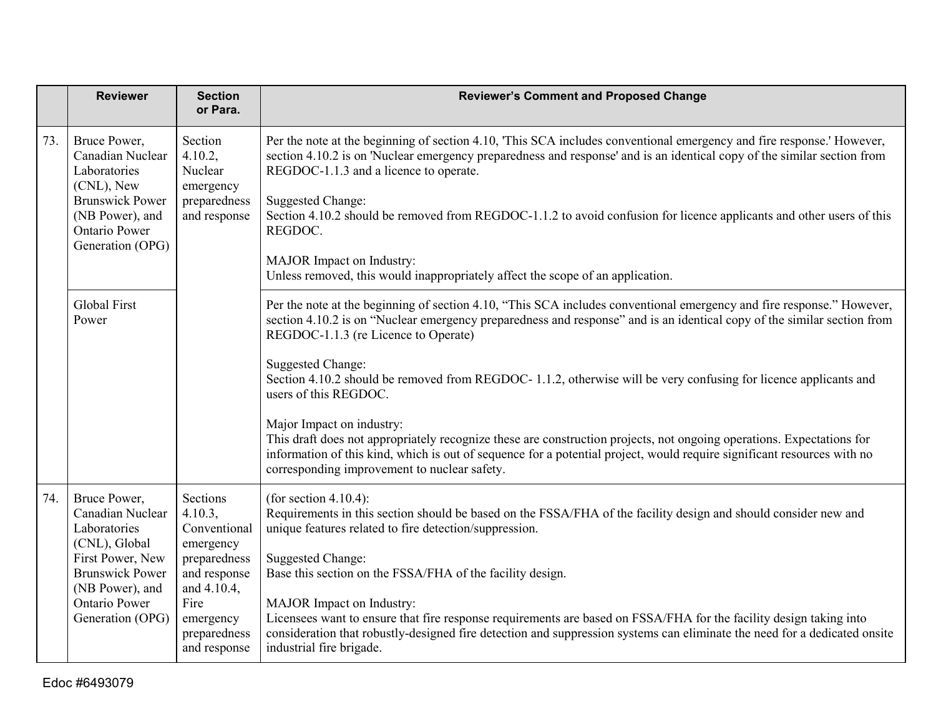|     | <b>Reviewer</b>                                                                                                                                                         | <b>Section</b><br>or Para.                                                                                                                           | <b>Reviewer's Comment and Proposed Change</b>                                                                                                                                                                                                                                                                                                                                                                                                                                                                                                                                                                                                                                                                                                                                                     |
|-----|-------------------------------------------------------------------------------------------------------------------------------------------------------------------------|------------------------------------------------------------------------------------------------------------------------------------------------------|---------------------------------------------------------------------------------------------------------------------------------------------------------------------------------------------------------------------------------------------------------------------------------------------------------------------------------------------------------------------------------------------------------------------------------------------------------------------------------------------------------------------------------------------------------------------------------------------------------------------------------------------------------------------------------------------------------------------------------------------------------------------------------------------------|
| 73. | Bruce Power,<br>Canadian Nuclear<br>Laboratories<br>(CNL), New<br><b>Brunswick Power</b><br>(NB Power), and<br>Ontario Power<br>Generation (OPG)                        | Section<br>4.10.2,<br>Nuclear<br>emergency<br>preparedness<br>and response                                                                           | Per the note at the beginning of section 4.10, 'This SCA includes conventional emergency and fire response.' However,<br>section 4.10.2 is on 'Nuclear emergency preparedness and response' and is an identical copy of the similar section from<br>REGDOC-1.1.3 and a licence to operate.<br><b>Suggested Change:</b><br>Section 4.10.2 should be removed from REGDOC-1.1.2 to avoid confusion for licence applicants and other users of this<br>REGDOC.<br>MAJOR Impact on Industry:<br>Unless removed, this would inappropriately affect the scope of an application.                                                                                                                                                                                                                          |
|     | <b>Global First</b><br>Power                                                                                                                                            |                                                                                                                                                      | Per the note at the beginning of section 4.10, "This SCA includes conventional emergency and fire response." However,<br>section 4.10.2 is on "Nuclear emergency preparedness and response" and is an identical copy of the similar section from<br>REGDOC-1.1.3 (re Licence to Operate)<br><b>Suggested Change:</b><br>Section 4.10.2 should be removed from REGDOC-1.1.2, otherwise will be very confusing for licence applicants and<br>users of this REGDOC.<br>Major Impact on industry:<br>This draft does not appropriately recognize these are construction projects, not ongoing operations. Expectations for<br>information of this kind, which is out of sequence for a potential project, would require significant resources with no<br>corresponding improvement to nuclear safety. |
| 74. | Bruce Power,<br>Canadian Nuclear<br>Laboratories<br>(CNL), Global<br>First Power, New<br><b>Brunswick Power</b><br>(NB Power), and<br>Ontario Power<br>Generation (OPG) | Sections<br>4.10.3,<br>Conventional<br>emergency<br>preparedness<br>and response<br>and 4.10.4,<br>Fire<br>emergency<br>preparedness<br>and response | (for section 4.10.4):<br>Requirements in this section should be based on the FSSA/FHA of the facility design and should consider new and<br>unique features related to fire detection/suppression.<br><b>Suggested Change:</b><br>Base this section on the FSSA/FHA of the facility design.<br>MAJOR Impact on Industry:<br>Licensees want to ensure that fire response requirements are based on FSSA/FHA for the facility design taking into<br>consideration that robustly-designed fire detection and suppression systems can eliminate the need for a dedicated onsite<br>industrial fire brigade.                                                                                                                                                                                           |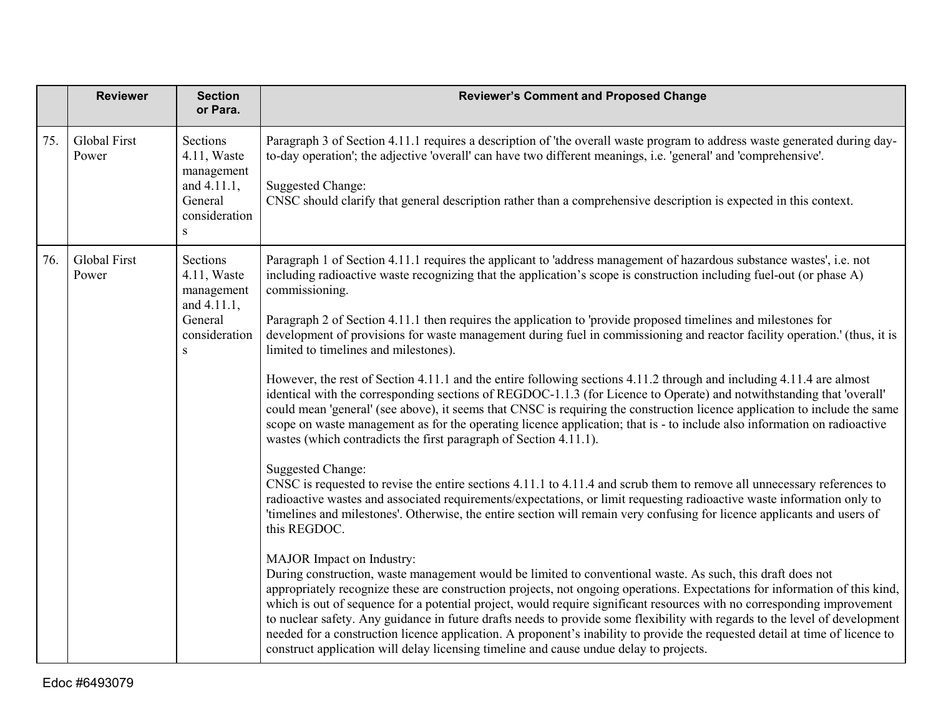|     | <b>Reviewer</b>              | <b>Section</b><br>or Para.                                                            | <b>Reviewer's Comment and Proposed Change</b>                                                                                                                                                                                                                                                                                                                                                                                                                                                                                                                                                                                                                                                                                                                                                                                                                                                                                                                                                                                                                                                                                                                                                                                                                                                                                                                                                                                                                                                                                                                                                                                                                                                                                                                                                                                                                                                                                                                                                                                                                                                                                                                                                                                                                                                                                    |
|-----|------------------------------|---------------------------------------------------------------------------------------|----------------------------------------------------------------------------------------------------------------------------------------------------------------------------------------------------------------------------------------------------------------------------------------------------------------------------------------------------------------------------------------------------------------------------------------------------------------------------------------------------------------------------------------------------------------------------------------------------------------------------------------------------------------------------------------------------------------------------------------------------------------------------------------------------------------------------------------------------------------------------------------------------------------------------------------------------------------------------------------------------------------------------------------------------------------------------------------------------------------------------------------------------------------------------------------------------------------------------------------------------------------------------------------------------------------------------------------------------------------------------------------------------------------------------------------------------------------------------------------------------------------------------------------------------------------------------------------------------------------------------------------------------------------------------------------------------------------------------------------------------------------------------------------------------------------------------------------------------------------------------------------------------------------------------------------------------------------------------------------------------------------------------------------------------------------------------------------------------------------------------------------------------------------------------------------------------------------------------------------------------------------------------------------------------------------------------------|
| 75. | Global First<br>Power        | Sections<br>4.11, Waste<br>management<br>and 4.11.1,<br>General<br>consideration<br>S | Paragraph 3 of Section 4.11.1 requires a description of 'the overall waste program to address waste generated during day-<br>to-day operation'; the adjective 'overall' can have two different meanings, i.e. 'general' and 'comprehensive'.<br><b>Suggested Change:</b><br>CNSC should clarify that general description rather than a comprehensive description is expected in this context.                                                                                                                                                                                                                                                                                                                                                                                                                                                                                                                                                                                                                                                                                                                                                                                                                                                                                                                                                                                                                                                                                                                                                                                                                                                                                                                                                                                                                                                                                                                                                                                                                                                                                                                                                                                                                                                                                                                                    |
| 76. | <b>Global First</b><br>Power | Sections<br>4.11, Waste<br>management<br>and 4.11.1,<br>General<br>consideration<br>S | Paragraph 1 of Section 4.11.1 requires the applicant to 'address management of hazardous substance wastes', i.e. not<br>including radioactive waste recognizing that the application's scope is construction including fuel-out (or phase A)<br>commissioning.<br>Paragraph 2 of Section 4.11.1 then requires the application to 'provide proposed timelines and milestones for<br>development of provisions for waste management during fuel in commissioning and reactor facility operation.' (thus, it is<br>limited to timelines and milestones).<br>However, the rest of Section 4.11.1 and the entire following sections 4.11.2 through and including 4.11.4 are almost<br>identical with the corresponding sections of REGDOC-1.1.3 (for Licence to Operate) and notwithstanding that 'overall'<br>could mean 'general' (see above), it seems that CNSC is requiring the construction licence application to include the same<br>scope on waste management as for the operating licence application; that is - to include also information on radioactive<br>wastes (which contradicts the first paragraph of Section 4.11.1).<br><b>Suggested Change:</b><br>CNSC is requested to revise the entire sections 4.11.1 to 4.11.4 and scrub them to remove all unnecessary references to<br>radioactive wastes and associated requirements/expectations, or limit requesting radioactive waste information only to<br>'timelines and milestones'. Otherwise, the entire section will remain very confusing for licence applicants and users of<br>this REGDOC.<br>MAJOR Impact on Industry:<br>During construction, waste management would be limited to conventional waste. As such, this draft does not<br>appropriately recognize these are construction projects, not ongoing operations. Expectations for information of this kind,<br>which is out of sequence for a potential project, would require significant resources with no corresponding improvement<br>to nuclear safety. Any guidance in future drafts needs to provide some flexibility with regards to the level of development<br>needed for a construction licence application. A proponent's inability to provide the requested detail at time of licence to<br>construct application will delay licensing timeline and cause undue delay to projects. |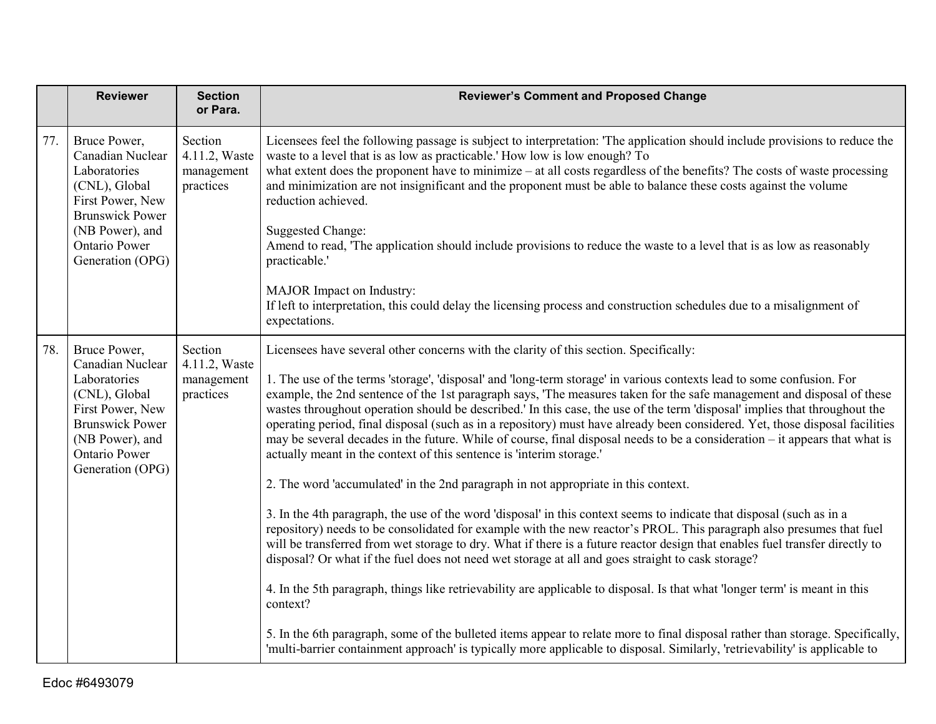|     | <b>Reviewer</b>                                                                                                                                                                | <b>Section</b><br>or Para.                          | <b>Reviewer's Comment and Proposed Change</b>                                                                                                                                                                                                                                                                                                                                                                                                                                                                                                                                                                                                                                                                                                                                                                                                                                                                                                                                                                                                                                                                                                                                                                                                                                                                                                                                                                                                                                                                                                                                                                                                                                                                                                                                                         |
|-----|--------------------------------------------------------------------------------------------------------------------------------------------------------------------------------|-----------------------------------------------------|-------------------------------------------------------------------------------------------------------------------------------------------------------------------------------------------------------------------------------------------------------------------------------------------------------------------------------------------------------------------------------------------------------------------------------------------------------------------------------------------------------------------------------------------------------------------------------------------------------------------------------------------------------------------------------------------------------------------------------------------------------------------------------------------------------------------------------------------------------------------------------------------------------------------------------------------------------------------------------------------------------------------------------------------------------------------------------------------------------------------------------------------------------------------------------------------------------------------------------------------------------------------------------------------------------------------------------------------------------------------------------------------------------------------------------------------------------------------------------------------------------------------------------------------------------------------------------------------------------------------------------------------------------------------------------------------------------------------------------------------------------------------------------------------------------|
| 77. | Bruce Power,<br>Canadian Nuclear<br>Laboratories<br>(CNL), Global<br>First Power, New<br><b>Brunswick Power</b><br>(NB Power), and<br><b>Ontario Power</b><br>Generation (OPG) | Section<br>4.11.2, Waste<br>management<br>practices | Licensees feel the following passage is subject to interpretation: 'The application should include provisions to reduce the<br>waste to a level that is as low as practicable.' How low is low enough? To<br>what extent does the proponent have to minimize $-$ at all costs regardless of the benefits? The costs of waste processing<br>and minimization are not insignificant and the proponent must be able to balance these costs against the volume<br>reduction achieved.<br><b>Suggested Change:</b><br>Amend to read, 'The application should include provisions to reduce the waste to a level that is as low as reasonably<br>practicable.'<br>MAJOR Impact on Industry:<br>If left to interpretation, this could delay the licensing process and construction schedules due to a misalignment of<br>expectations.                                                                                                                                                                                                                                                                                                                                                                                                                                                                                                                                                                                                                                                                                                                                                                                                                                                                                                                                                                        |
| 78. | Bruce Power,<br>Canadian Nuclear<br>Laboratories<br>(CNL), Global<br>First Power, New<br><b>Brunswick Power</b><br>(NB Power), and<br><b>Ontario Power</b><br>Generation (OPG) | Section<br>4.11.2, Waste<br>management<br>practices | Licensees have several other concerns with the clarity of this section. Specifically:<br>1. The use of the terms 'storage', 'disposal' and 'long-term storage' in various contexts lead to some confusion. For<br>example, the 2nd sentence of the 1st paragraph says, 'The measures taken for the safe management and disposal of these<br>wastes throughout operation should be described.' In this case, the use of the term 'disposal' implies that throughout the<br>operating period, final disposal (such as in a repository) must have already been considered. Yet, those disposal facilities<br>may be several decades in the future. While of course, final disposal needs to be a consideration - it appears that what is<br>actually meant in the context of this sentence is 'interim storage.'<br>2. The word 'accumulated' in the 2nd paragraph in not appropriate in this context.<br>3. In the 4th paragraph, the use of the word 'disposal' in this context seems to indicate that disposal (such as in a<br>repository) needs to be consolidated for example with the new reactor's PROL. This paragraph also presumes that fuel<br>will be transferred from wet storage to dry. What if there is a future reactor design that enables fuel transfer directly to<br>disposal? Or what if the fuel does not need wet storage at all and goes straight to cask storage?<br>4. In the 5th paragraph, things like retrievability are applicable to disposal. Is that what 'longer term' is meant in this<br>context?<br>5. In the 6th paragraph, some of the bulleted items appear to relate more to final disposal rather than storage. Specifically,<br>'multi-barrier containment approach' is typically more applicable to disposal. Similarly, 'retrievability' is applicable to |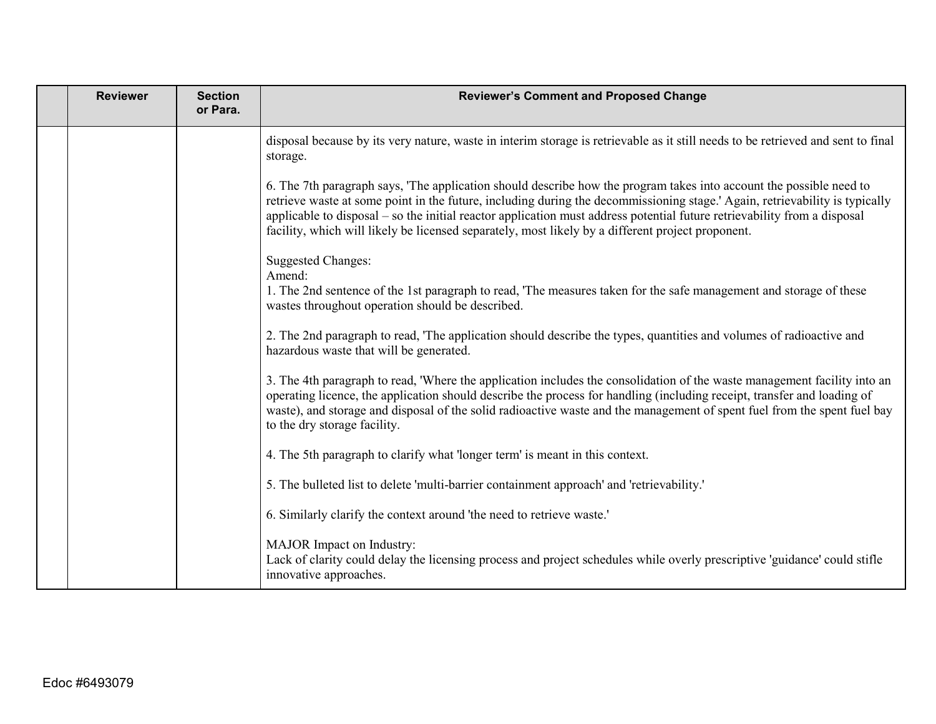| <b>Reviewer</b> | <b>Section</b><br>or Para. | <b>Reviewer's Comment and Proposed Change</b>                                                                                                                                                                                                                                                                                                                                                                                                                                       |
|-----------------|----------------------------|-------------------------------------------------------------------------------------------------------------------------------------------------------------------------------------------------------------------------------------------------------------------------------------------------------------------------------------------------------------------------------------------------------------------------------------------------------------------------------------|
|                 |                            | disposal because by its very nature, waste in interim storage is retrievable as it still needs to be retrieved and sent to final<br>storage.                                                                                                                                                                                                                                                                                                                                        |
|                 |                            | 6. The 7th paragraph says, 'The application should describe how the program takes into account the possible need to<br>retrieve waste at some point in the future, including during the decommissioning stage.' Again, retrievability is typically<br>applicable to disposal – so the initial reactor application must address potential future retrievability from a disposal<br>facility, which will likely be licensed separately, most likely by a different project proponent. |
|                 |                            | <b>Suggested Changes:</b><br>Amend:<br>1. The 2nd sentence of the 1st paragraph to read, 'The measures taken for the safe management and storage of these<br>wastes throughout operation should be described.                                                                                                                                                                                                                                                                       |
|                 |                            | 2. The 2nd paragraph to read, 'The application should describe the types, quantities and volumes of radioactive and<br>hazardous waste that will be generated.                                                                                                                                                                                                                                                                                                                      |
|                 |                            | 3. The 4th paragraph to read, 'Where the application includes the consolidation of the waste management facility into an<br>operating licence, the application should describe the process for handling (including receipt, transfer and loading of<br>waste), and storage and disposal of the solid radioactive waste and the management of spent fuel from the spent fuel bay<br>to the dry storage facility.                                                                     |
|                 |                            | 4. The 5th paragraph to clarify what 'longer term' is meant in this context.                                                                                                                                                                                                                                                                                                                                                                                                        |
|                 |                            | 5. The bulleted list to delete 'multi-barrier containment approach' and 'retrievability.'                                                                                                                                                                                                                                                                                                                                                                                           |
|                 |                            | 6. Similarly clarify the context around 'the need to retrieve waste.'                                                                                                                                                                                                                                                                                                                                                                                                               |
|                 |                            | MAJOR Impact on Industry:<br>Lack of clarity could delay the licensing process and project schedules while overly prescriptive 'guidance' could stifle<br>innovative approaches.                                                                                                                                                                                                                                                                                                    |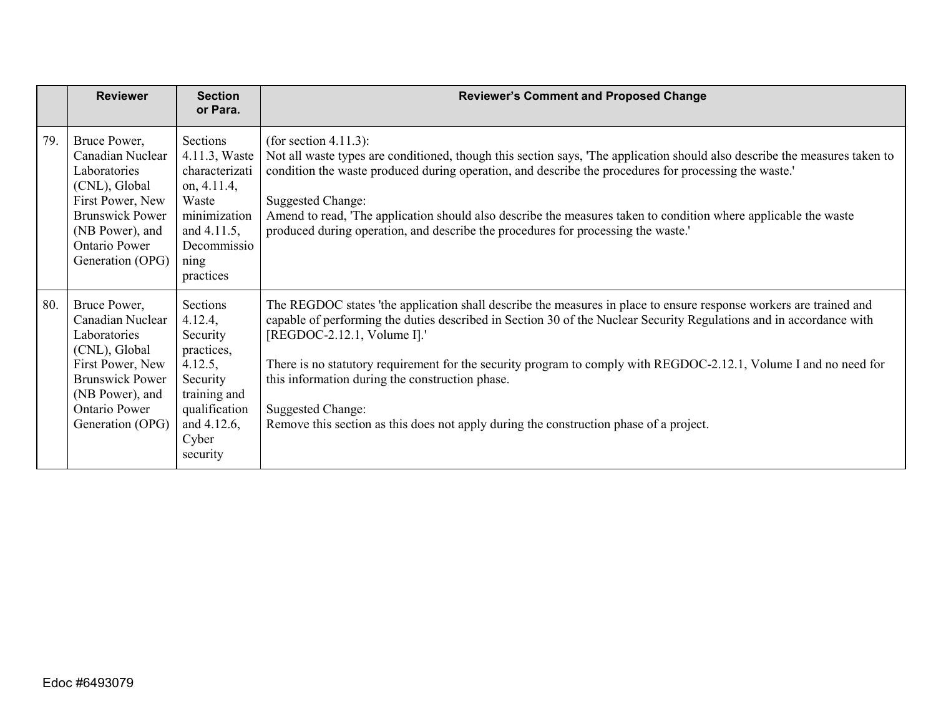|     | <b>Reviewer</b>                                                                                                                                                         | <b>Section</b><br>or Para.                                                                                                                      | <b>Reviewer's Comment and Proposed Change</b>                                                                                                                                                                                                                                                                                                                                                                                                                                                                                                                          |
|-----|-------------------------------------------------------------------------------------------------------------------------------------------------------------------------|-------------------------------------------------------------------------------------------------------------------------------------------------|------------------------------------------------------------------------------------------------------------------------------------------------------------------------------------------------------------------------------------------------------------------------------------------------------------------------------------------------------------------------------------------------------------------------------------------------------------------------------------------------------------------------------------------------------------------------|
| 79. | Bruce Power,<br>Canadian Nuclear<br>Laboratories<br>(CNL), Global<br>First Power, New<br><b>Brunswick Power</b><br>(NB Power), and<br>Ontario Power<br>Generation (OPG) | Sections<br>4.11.3, Waste<br>characterizati<br>on, 4.11.4,<br>Waste<br>minimization<br>and 4.11.5,<br>Decommissio<br>$\sin \theta$<br>practices | (for section 4.11.3):<br>Not all waste types are conditioned, though this section says, 'The application should also describe the measures taken to<br>condition the waste produced during operation, and describe the procedures for processing the waste.'<br>Suggested Change:<br>Amend to read, 'The application should also describe the measures taken to condition where applicable the waste<br>produced during operation, and describe the procedures for processing the waste.'                                                                              |
| 80. | Bruce Power,<br>Canadian Nuclear<br>Laboratories<br>(CNL), Global<br>First Power, New<br><b>Brunswick Power</b><br>(NB Power), and<br>Ontario Power<br>Generation (OPG) | Sections<br>4.12.4,<br>Security<br>practices,<br>4.12.5,<br>Security<br>training and<br>qualification<br>and 4.12.6,<br>Cyber<br>security       | The REGDOC states 'the application shall describe the measures in place to ensure response workers are trained and<br>capable of performing the duties described in Section 30 of the Nuclear Security Regulations and in accordance with<br>[REGDOC-2.12.1, Volume I].'<br>There is no statutory requirement for the security program to comply with REGDOC-2.12.1, Volume I and no need for<br>this information during the construction phase.<br><b>Suggested Change:</b><br>Remove this section as this does not apply during the construction phase of a project. |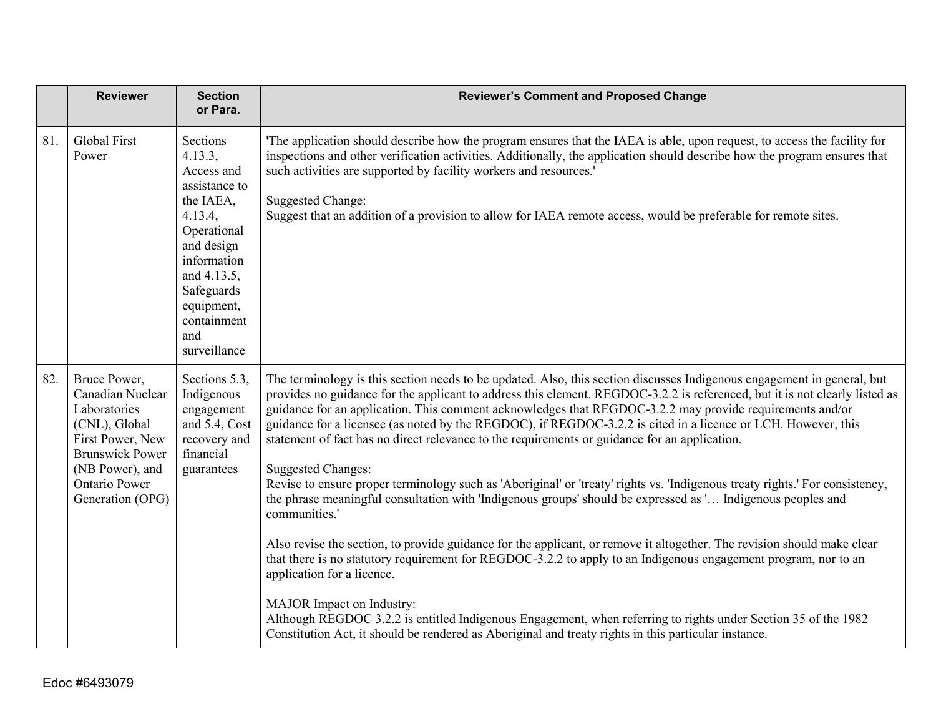|     | <b>Reviewer</b>                                                                                                                                                                | <b>Section</b><br>or Para.                                                                                                                                                                              | <b>Reviewer's Comment and Proposed Change</b>                                                                                                                                                                                                                                                                                                                                                                                                                                                                                                                                                                                                                                                                                                                                                                                                                                                                                                                                                                                                                                                                                                                                                                                                                                                                                                                                                                        |
|-----|--------------------------------------------------------------------------------------------------------------------------------------------------------------------------------|---------------------------------------------------------------------------------------------------------------------------------------------------------------------------------------------------------|----------------------------------------------------------------------------------------------------------------------------------------------------------------------------------------------------------------------------------------------------------------------------------------------------------------------------------------------------------------------------------------------------------------------------------------------------------------------------------------------------------------------------------------------------------------------------------------------------------------------------------------------------------------------------------------------------------------------------------------------------------------------------------------------------------------------------------------------------------------------------------------------------------------------------------------------------------------------------------------------------------------------------------------------------------------------------------------------------------------------------------------------------------------------------------------------------------------------------------------------------------------------------------------------------------------------------------------------------------------------------------------------------------------------|
| 81. | Global First<br>Power                                                                                                                                                          | Sections<br>4.13.3,<br>Access and<br>assistance to<br>the IAEA,<br>4.13.4,<br>Operational<br>and design<br>information<br>and 4.13.5,<br>Safeguards<br>equipment,<br>containment<br>and<br>surveillance | The application should describe how the program ensures that the IAEA is able, upon request, to access the facility for<br>inspections and other verification activities. Additionally, the application should describe how the program ensures that<br>such activities are supported by facility workers and resources.'<br><b>Suggested Change:</b><br>Suggest that an addition of a provision to allow for IAEA remote access, would be preferable for remote sites.                                                                                                                                                                                                                                                                                                                                                                                                                                                                                                                                                                                                                                                                                                                                                                                                                                                                                                                                              |
| 82. | Bruce Power,<br>Canadian Nuclear<br>Laboratories<br>(CNL), Global<br>First Power, New<br><b>Brunswick Power</b><br>(NB Power), and<br><b>Ontario Power</b><br>Generation (OPG) | Sections 5.3,<br>Indigenous<br>engagement<br>and 5.4, Cost<br>recovery and<br>financial<br>guarantees                                                                                                   | The terminology is this section needs to be updated. Also, this section discusses Indigenous engagement in general, but<br>provides no guidance for the applicant to address this element. REGDOC-3.2.2 is referenced, but it is not clearly listed as<br>guidance for an application. This comment acknowledges that REGDOC-3.2.2 may provide requirements and/or<br>guidance for a licensee (as noted by the REGDOC), if REGDOC-3.2.2 is cited in a licence or LCH. However, this<br>statement of fact has no direct relevance to the requirements or guidance for an application.<br><b>Suggested Changes:</b><br>Revise to ensure proper terminology such as 'Aboriginal' or 'treaty' rights vs. 'Indigenous treaty rights.' For consistency,<br>the phrase meaningful consultation with 'Indigenous groups' should be expressed as ' Indigenous peoples and<br>communities.'<br>Also revise the section, to provide guidance for the applicant, or remove it altogether. The revision should make clear<br>that there is no statutory requirement for REGDOC-3.2.2 to apply to an Indigenous engagement program, nor to an<br>application for a licence.<br>MAJOR Impact on Industry:<br>Although REGDOC 3.2.2 is entitled Indigenous Engagement, when referring to rights under Section 35 of the 1982<br>Constitution Act, it should be rendered as Aboriginal and treaty rights in this particular instance. |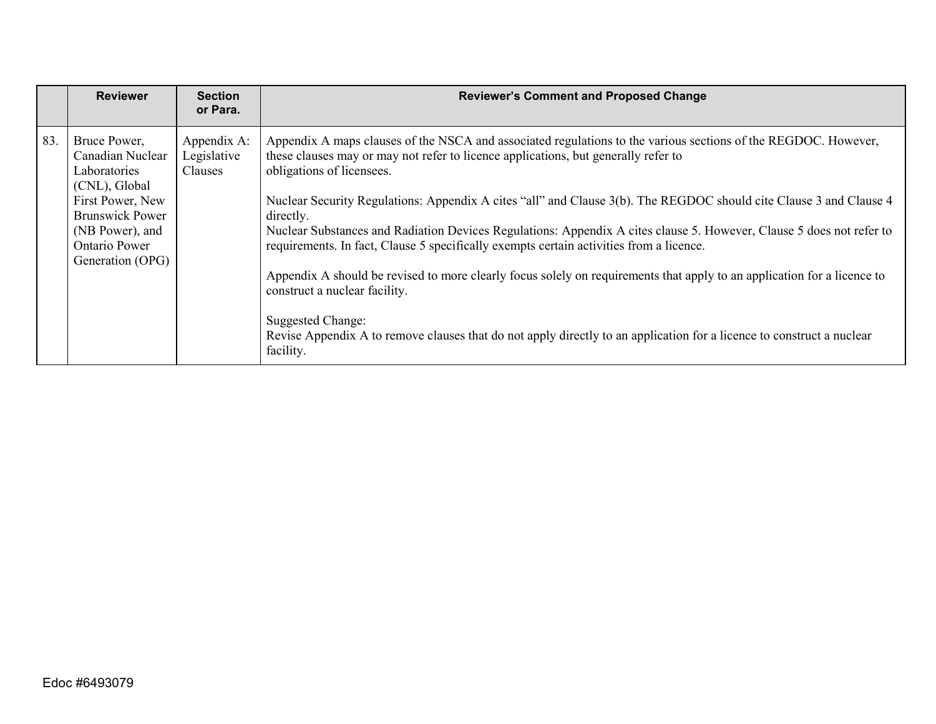|     | <b>Reviewer</b>                                                                                                                                                                | <b>Section</b><br>or Para.            | <b>Reviewer's Comment and Proposed Change</b>                                                                                                                                                                                                                                                                                                                                                                                                                                                                                                                                                                                                                                                                                                                                                                                                                                                                  |
|-----|--------------------------------------------------------------------------------------------------------------------------------------------------------------------------------|---------------------------------------|----------------------------------------------------------------------------------------------------------------------------------------------------------------------------------------------------------------------------------------------------------------------------------------------------------------------------------------------------------------------------------------------------------------------------------------------------------------------------------------------------------------------------------------------------------------------------------------------------------------------------------------------------------------------------------------------------------------------------------------------------------------------------------------------------------------------------------------------------------------------------------------------------------------|
| 83. | Bruce Power,<br>Canadian Nuclear<br>Laboratories<br>(CNL), Global<br>First Power, New<br><b>Brunswick Power</b><br>(NB Power), and<br><b>Ontario Power</b><br>Generation (OPG) | Appendix A:<br>Legislative<br>Clauses | Appendix A maps clauses of the NSCA and associated regulations to the various sections of the REGDOC. However,<br>these clauses may or may not refer to licence applications, but generally refer to<br>obligations of licensees.<br>Nuclear Security Regulations: Appendix A cites "all" and Clause 3(b). The REGDOC should cite Clause 3 and Clause 4<br>directly.<br>Nuclear Substances and Radiation Devices Regulations: Appendix A cites clause 5. However, Clause 5 does not refer to<br>requirements. In fact, Clause 5 specifically exempts certain activities from a licence.<br>Appendix A should be revised to more clearly focus solely on requirements that apply to an application for a licence to<br>construct a nuclear facility.<br>Suggested Change:<br>Revise Appendix A to remove clauses that do not apply directly to an application for a licence to construct a nuclear<br>facility. |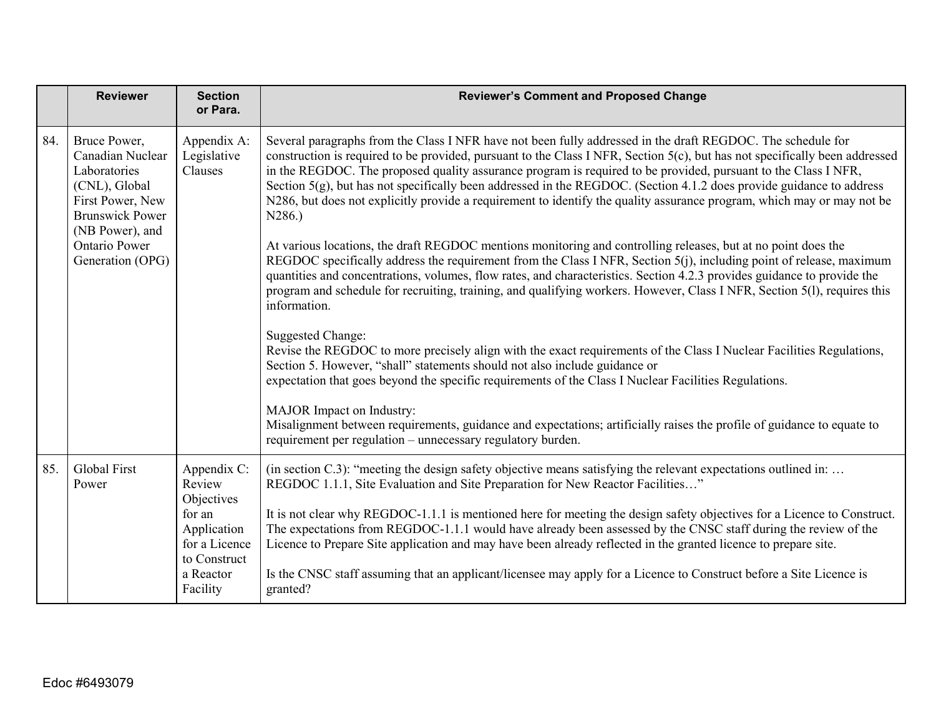|     | <b>Reviewer</b>                                                                                                                    | <b>Section</b><br>or Para.                             | <b>Reviewer's Comment and Proposed Change</b>                                                                                                                                                                                                                                                                                                                                                                                                                                                                                                                                                                                  |
|-----|------------------------------------------------------------------------------------------------------------------------------------|--------------------------------------------------------|--------------------------------------------------------------------------------------------------------------------------------------------------------------------------------------------------------------------------------------------------------------------------------------------------------------------------------------------------------------------------------------------------------------------------------------------------------------------------------------------------------------------------------------------------------------------------------------------------------------------------------|
| 84. | Bruce Power,<br>Canadian Nuclear<br>Laboratories<br>(CNL), Global<br>First Power, New<br><b>Brunswick Power</b><br>(NB Power), and | Appendix A:<br>Legislative<br>Clauses                  | Several paragraphs from the Class I NFR have not been fully addressed in the draft REGDOC. The schedule for<br>construction is required to be provided, pursuant to the Class I NFR, Section $5(c)$ , but has not specifically been addressed<br>in the REGDOC. The proposed quality assurance program is required to be provided, pursuant to the Class I NFR,<br>Section $5(g)$ , but has not specifically been addressed in the REGDOC. (Section 4.1.2 does provide guidance to address<br>N286, but does not explicitly provide a requirement to identify the quality assurance program, which may or may not be<br>N286.) |
|     | <b>Ontario Power</b><br>Generation (OPG)                                                                                           |                                                        | At various locations, the draft REGDOC mentions monitoring and controlling releases, but at no point does the<br>REGDOC specifically address the requirement from the Class I NFR, Section 5(j), including point of release, maximum<br>quantities and concentrations, volumes, flow rates, and characteristics. Section 4.2.3 provides guidance to provide the<br>program and schedule for recruiting, training, and qualifying workers. However, Class I NFR, Section 5(1), requires this<br>information.                                                                                                                    |
|     |                                                                                                                                    |                                                        | Suggested Change:<br>Revise the REGDOC to more precisely align with the exact requirements of the Class I Nuclear Facilities Regulations,<br>Section 5. However, "shall" statements should not also include guidance or<br>expectation that goes beyond the specific requirements of the Class I Nuclear Facilities Regulations.                                                                                                                                                                                                                                                                                               |
|     |                                                                                                                                    |                                                        | MAJOR Impact on Industry:<br>Misalignment between requirements, guidance and expectations; artificially raises the profile of guidance to equate to<br>requirement per regulation - unnecessary regulatory burden.                                                                                                                                                                                                                                                                                                                                                                                                             |
| 85. | Global First<br>Power                                                                                                              | Appendix C:<br>Review<br>Objectives                    | (in section C.3): "meeting the design safety objective means satisfying the relevant expectations outlined in:<br>REGDOC 1.1.1, Site Evaluation and Site Preparation for New Reactor Facilities"                                                                                                                                                                                                                                                                                                                                                                                                                               |
|     |                                                                                                                                    | for an<br>Application<br>for a Licence<br>to Construct | It is not clear why REGDOC-1.1.1 is mentioned here for meeting the design safety objectives for a Licence to Construct.<br>The expectations from REGDOC-1.1.1 would have already been assessed by the CNSC staff during the review of the<br>Licence to Prepare Site application and may have been already reflected in the granted licence to prepare site.                                                                                                                                                                                                                                                                   |
|     |                                                                                                                                    | a Reactor<br>Facility                                  | Is the CNSC staff assuming that an applicant/licensee may apply for a Licence to Construct before a Site Licence is<br>granted?                                                                                                                                                                                                                                                                                                                                                                                                                                                                                                |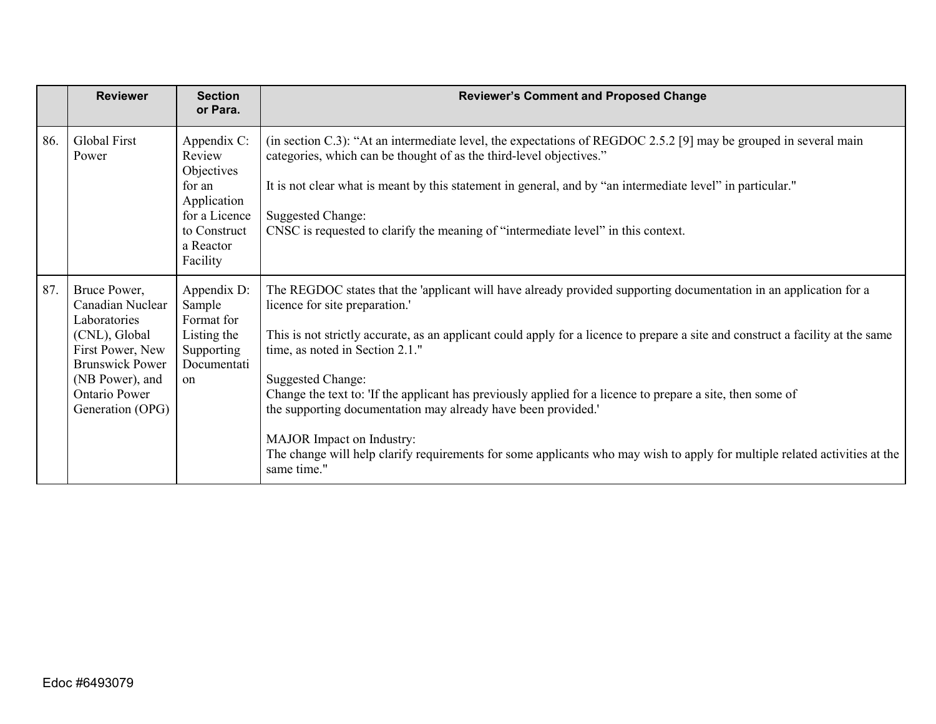|     | <b>Reviewer</b>                                                                                                                                                                | <b>Section</b><br>or Para.                                                                                             | <b>Reviewer's Comment and Proposed Change</b>                                                                                                                                                                                                                                                                                                                                                                                                                                                                                                                                                                                                                                                                 |
|-----|--------------------------------------------------------------------------------------------------------------------------------------------------------------------------------|------------------------------------------------------------------------------------------------------------------------|---------------------------------------------------------------------------------------------------------------------------------------------------------------------------------------------------------------------------------------------------------------------------------------------------------------------------------------------------------------------------------------------------------------------------------------------------------------------------------------------------------------------------------------------------------------------------------------------------------------------------------------------------------------------------------------------------------------|
| 86. | Global First<br>Power                                                                                                                                                          | Appendix C:<br>Review<br>Objectives<br>for an<br>Application<br>for a Licence<br>to Construct<br>a Reactor<br>Facility | (in section C.3): "At an intermediate level, the expectations of REGDOC 2.5.2 [9] may be grouped in several main<br>categories, which can be thought of as the third-level objectives."<br>It is not clear what is meant by this statement in general, and by "an intermediate level" in particular."<br><b>Suggested Change:</b><br>CNSC is requested to clarify the meaning of "intermediate level" in this context.                                                                                                                                                                                                                                                                                        |
| 87. | Bruce Power,<br>Canadian Nuclear<br>Laboratories<br>(CNL), Global<br>First Power, New<br><b>Brunswick Power</b><br>(NB Power), and<br><b>Ontario Power</b><br>Generation (OPG) | Appendix D:<br>Sample<br>Format for<br>Listing the<br>Supporting<br>Documentati<br><sub>on</sub>                       | The REGDOC states that the 'applicant will have already provided supporting documentation in an application for a<br>licence for site preparation.<br>This is not strictly accurate, as an applicant could apply for a licence to prepare a site and construct a facility at the same<br>time, as noted in Section 2.1."<br><b>Suggested Change:</b><br>Change the text to: 'If the applicant has previously applied for a licence to prepare a site, then some of<br>the supporting documentation may already have been provided.'<br>MAJOR Impact on Industry:<br>The change will help clarify requirements for some applicants who may wish to apply for multiple related activities at the<br>same time." |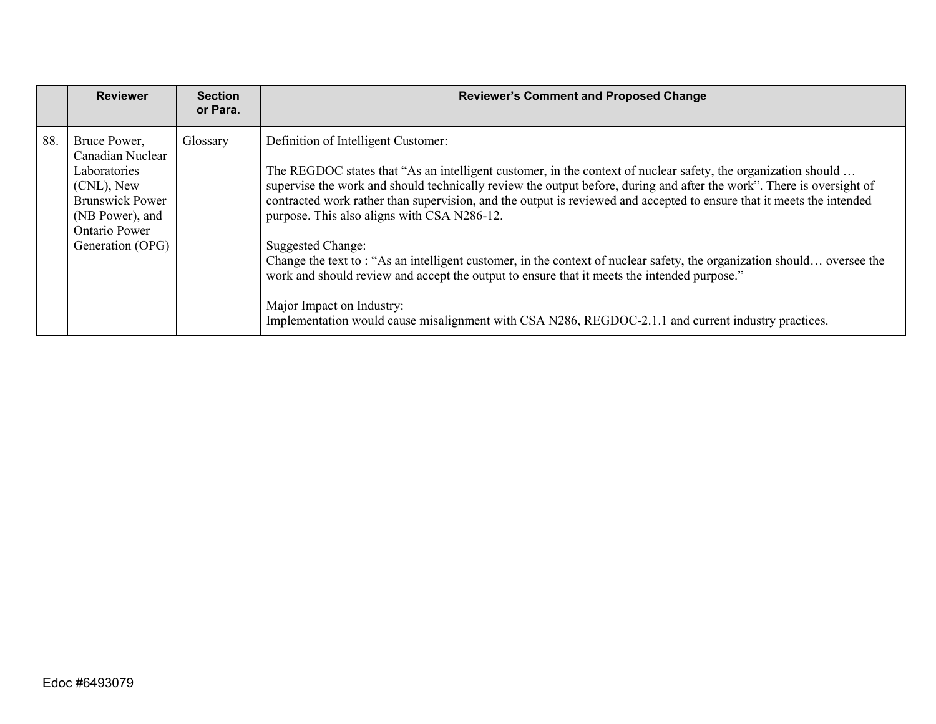|     | <b>Reviewer</b>                                                                                                                                         | <b>Section</b><br>or Para. | <b>Reviewer's Comment and Proposed Change</b>                                                                                                                                                                                                                                                                                                                                                                                                                                                                                                                                                                                                                                                                                                                                                                                           |
|-----|---------------------------------------------------------------------------------------------------------------------------------------------------------|----------------------------|-----------------------------------------------------------------------------------------------------------------------------------------------------------------------------------------------------------------------------------------------------------------------------------------------------------------------------------------------------------------------------------------------------------------------------------------------------------------------------------------------------------------------------------------------------------------------------------------------------------------------------------------------------------------------------------------------------------------------------------------------------------------------------------------------------------------------------------------|
| 88. | Bruce Power,<br>Canadian Nuclear<br>Laboratories<br>(CNL), New<br><b>Brunswick Power</b><br>(NB Power), and<br><b>Ontario Power</b><br>Generation (OPG) | Glossary                   | Definition of Intelligent Customer:<br>The REGDOC states that "As an intelligent customer, in the context of nuclear safety, the organization should<br>supervise the work and should technically review the output before, during and after the work". There is oversight of<br>contracted work rather than supervision, and the output is reviewed and accepted to ensure that it meets the intended<br>purpose. This also aligns with CSA N286-12.<br>Suggested Change:<br>Change the text to: "As an intelligent customer, in the context of nuclear safety, the organization should oversee the<br>work and should review and accept the output to ensure that it meets the intended purpose."<br>Major Impact on Industry:<br>Implementation would cause misalignment with CSA N286, REGDOC-2.1.1 and current industry practices. |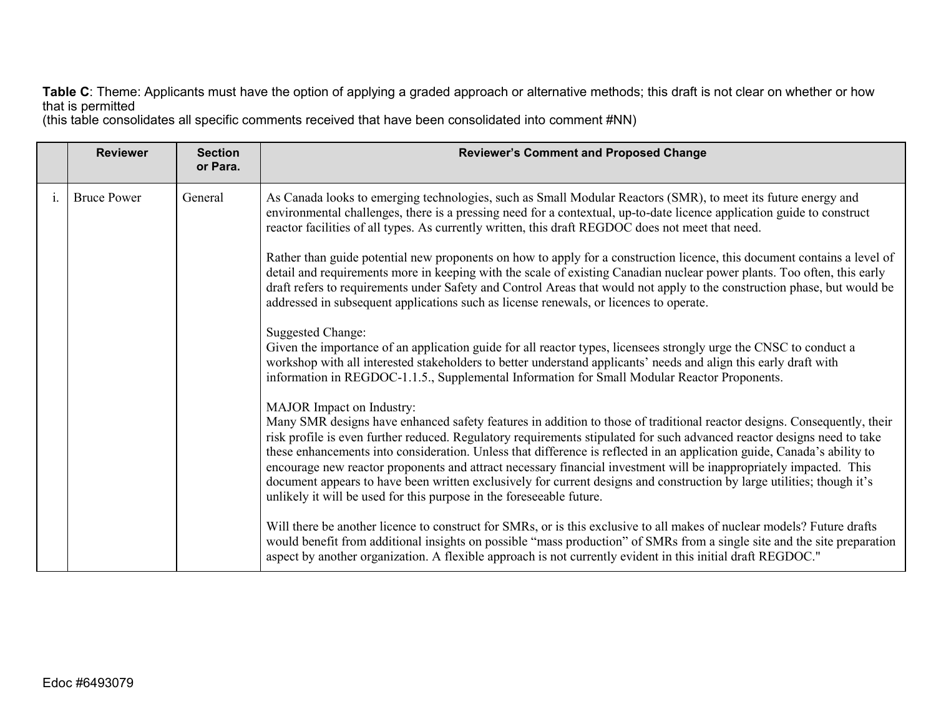**Table C**: Theme: Applicants must have the option of applying a graded approach or alternative methods; this draft is not clear on whether or how that is permitted

(this table consolidates all specific comments received that have been consolidated into comment #NN)

|                | <b>Reviewer</b>    | <b>Section</b><br>or Para. | <b>Reviewer's Comment and Proposed Change</b>                                                                                                                                                                                                                                                                                                                                                                                                                                                                                                                                                                                                                                                                                      |
|----------------|--------------------|----------------------------|------------------------------------------------------------------------------------------------------------------------------------------------------------------------------------------------------------------------------------------------------------------------------------------------------------------------------------------------------------------------------------------------------------------------------------------------------------------------------------------------------------------------------------------------------------------------------------------------------------------------------------------------------------------------------------------------------------------------------------|
| $\mathbf{1}$ . | <b>Bruce Power</b> | General                    | As Canada looks to emerging technologies, such as Small Modular Reactors (SMR), to meet its future energy and<br>environmental challenges, there is a pressing need for a contextual, up-to-date licence application guide to construct<br>reactor facilities of all types. As currently written, this draft REGDOC does not meet that need.                                                                                                                                                                                                                                                                                                                                                                                       |
|                |                    |                            | Rather than guide potential new proponents on how to apply for a construction licence, this document contains a level of<br>detail and requirements more in keeping with the scale of existing Canadian nuclear power plants. Too often, this early<br>draft refers to requirements under Safety and Control Areas that would not apply to the construction phase, but would be<br>addressed in subsequent applications such as license renewals, or licences to operate.                                                                                                                                                                                                                                                          |
|                |                    |                            | <b>Suggested Change:</b><br>Given the importance of an application guide for all reactor types, licensees strongly urge the CNSC to conduct a<br>workshop with all interested stakeholders to better understand applicants' needs and align this early draft with<br>information in REGDOC-1.1.5., Supplemental Information for Small Modular Reactor Proponents.                                                                                                                                                                                                                                                                                                                                                                  |
|                |                    |                            | MAJOR Impact on Industry:<br>Many SMR designs have enhanced safety features in addition to those of traditional reactor designs. Consequently, their<br>risk profile is even further reduced. Regulatory requirements stipulated for such advanced reactor designs need to take<br>these enhancements into consideration. Unless that difference is reflected in an application guide, Canada's ability to<br>encourage new reactor proponents and attract necessary financial investment will be inappropriately impacted. This<br>document appears to have been written exclusively for current designs and construction by large utilities; though it's<br>unlikely it will be used for this purpose in the foreseeable future. |
|                |                    |                            | Will there be another licence to construct for SMRs, or is this exclusive to all makes of nuclear models? Future drafts<br>would benefit from additional insights on possible "mass production" of SMRs from a single site and the site preparation<br>aspect by another organization. A flexible approach is not currently evident in this initial draft REGDOC."                                                                                                                                                                                                                                                                                                                                                                 |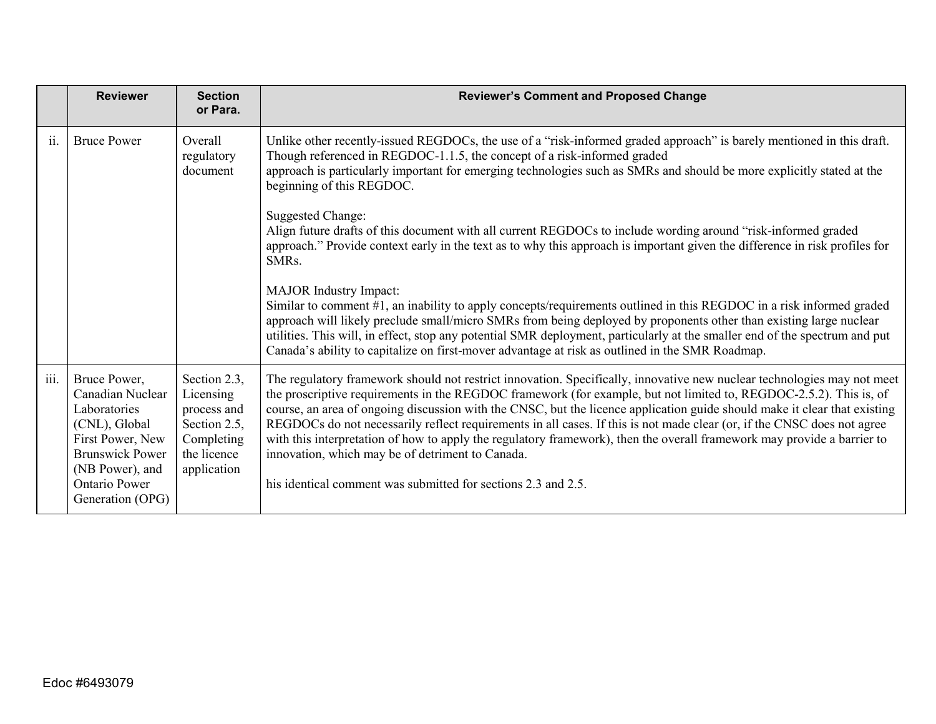|      | <b>Reviewer</b>                                                                                                                                                                | <b>Section</b><br>or Para.                                                                           | <b>Reviewer's Comment and Proposed Change</b>                                                                                                                                                                                                                                                                                                                                                                                                                                                                                                                                                                                                                                                                                                         |
|------|--------------------------------------------------------------------------------------------------------------------------------------------------------------------------------|------------------------------------------------------------------------------------------------------|-------------------------------------------------------------------------------------------------------------------------------------------------------------------------------------------------------------------------------------------------------------------------------------------------------------------------------------------------------------------------------------------------------------------------------------------------------------------------------------------------------------------------------------------------------------------------------------------------------------------------------------------------------------------------------------------------------------------------------------------------------|
| ii.  | <b>Bruce Power</b>                                                                                                                                                             | Overall<br>regulatory<br>document                                                                    | Unlike other recently-issued REGDOCs, the use of a "risk-informed graded approach" is barely mentioned in this draft.<br>Though referenced in REGDOC-1.1.5, the concept of a risk-informed graded<br>approach is particularly important for emerging technologies such as SMRs and should be more explicitly stated at the<br>beginning of this REGDOC.                                                                                                                                                                                                                                                                                                                                                                                               |
|      |                                                                                                                                                                                |                                                                                                      | <b>Suggested Change:</b><br>Align future drafts of this document with all current REGDOCs to include wording around "risk-informed graded"<br>approach." Provide context early in the text as to why this approach is important given the difference in risk profiles for<br>SMRs.                                                                                                                                                                                                                                                                                                                                                                                                                                                                    |
|      |                                                                                                                                                                                |                                                                                                      | <b>MAJOR</b> Industry Impact:<br>Similar to comment #1, an inability to apply concepts/requirements outlined in this REGDOC in a risk informed graded<br>approach will likely preclude small/micro SMRs from being deployed by proponents other than existing large nuclear<br>utilities. This will, in effect, stop any potential SMR deployment, particularly at the smaller end of the spectrum and put<br>Canada's ability to capitalize on first-mover advantage at risk as outlined in the SMR Roadmap.                                                                                                                                                                                                                                         |
| iii. | Bruce Power,<br>Canadian Nuclear<br>Laboratories<br>(CNL), Global<br>First Power, New<br><b>Brunswick Power</b><br>(NB Power), and<br><b>Ontario Power</b><br>Generation (OPG) | Section 2.3,<br>Licensing<br>process and<br>Section 2.5,<br>Completing<br>the licence<br>application | The regulatory framework should not restrict innovation. Specifically, innovative new nuclear technologies may not meet<br>the proscriptive requirements in the REGDOC framework (for example, but not limited to, REGDOC-2.5.2). This is, of<br>course, an area of ongoing discussion with the CNSC, but the licence application guide should make it clear that existing<br>REGDOCs do not necessarily reflect requirements in all cases. If this is not made clear (or, if the CNSC does not agree<br>with this interpretation of how to apply the regulatory framework), then the overall framework may provide a barrier to<br>innovation, which may be of detriment to Canada.<br>his identical comment was submitted for sections 2.3 and 2.5. |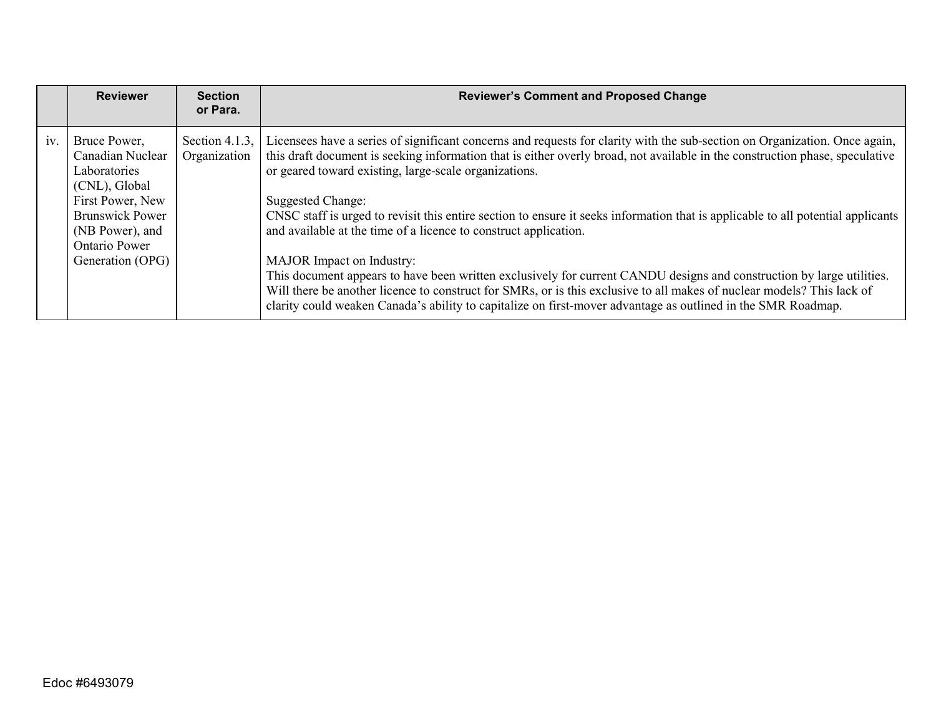|     | <b>Reviewer</b>                                                                                                                                                         | <b>Section</b><br>or Para.     | <b>Reviewer's Comment and Proposed Change</b>                                                                                                                                                                                                                                                                                                                                                                                                                                                                                                                                                                                                                                                                                                                                                                                                                                                                                                           |
|-----|-------------------------------------------------------------------------------------------------------------------------------------------------------------------------|--------------------------------|---------------------------------------------------------------------------------------------------------------------------------------------------------------------------------------------------------------------------------------------------------------------------------------------------------------------------------------------------------------------------------------------------------------------------------------------------------------------------------------------------------------------------------------------------------------------------------------------------------------------------------------------------------------------------------------------------------------------------------------------------------------------------------------------------------------------------------------------------------------------------------------------------------------------------------------------------------|
| iv. | Bruce Power,<br>Canadian Nuclear<br>Laboratories<br>(CNL), Global<br>First Power, New<br><b>Brunswick Power</b><br>(NB Power), and<br>Ontario Power<br>Generation (OPG) | Section 4.1.3,<br>Organization | Licensees have a series of significant concerns and requests for clarity with the sub-section on Organization. Once again,<br>this draft document is seeking information that is either overly broad, not available in the construction phase, speculative<br>or geared toward existing, large-scale organizations.<br>Suggested Change:<br>CNSC staff is urged to revisit this entire section to ensure it seeks information that is applicable to all potential applicants<br>and available at the time of a licence to construct application.<br><b>MAJOR</b> Impact on Industry:<br>This document appears to have been written exclusively for current CANDU designs and construction by large utilities.<br>Will there be another licence to construct for SMRs, or is this exclusive to all makes of nuclear models? This lack of<br>clarity could weaken Canada's ability to capitalize on first-mover advantage as outlined in the SMR Roadmap. |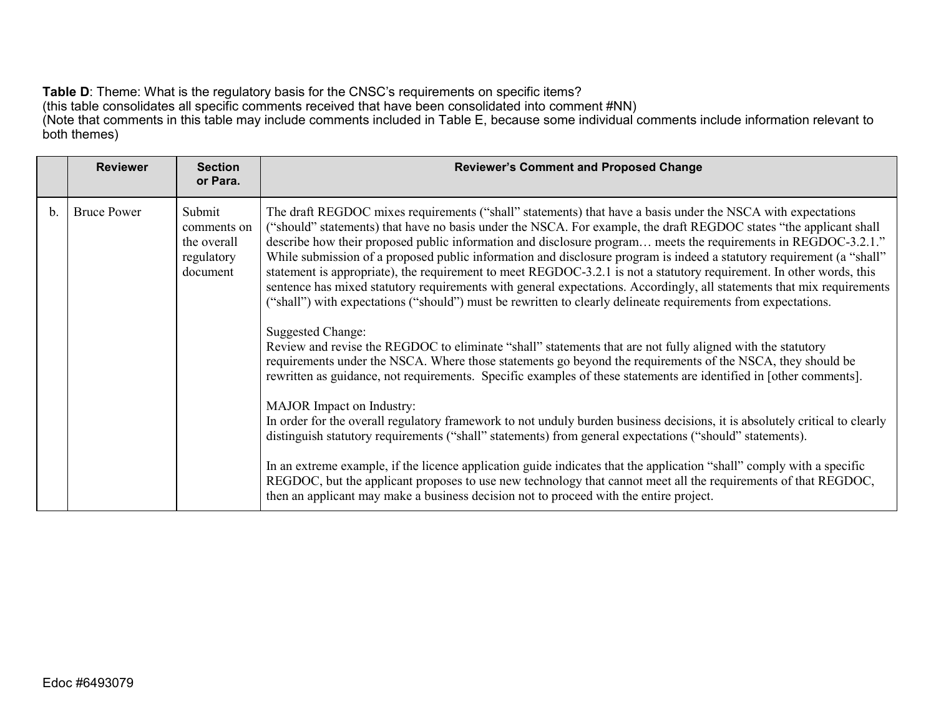**Table D**: Theme: What is the regulatory basis for the CNSC's requirements on specific items? (this table consolidates all specific comments received that have been consolidated into comment #NN) (Note that comments in this table may include comments included in Table E, because some individual comments include information relevant to both themes)

|    | <b>Reviewer</b>    | <b>Section</b><br>or Para.                                     | <b>Reviewer's Comment and Proposed Change</b>                                                                                                                                                                                                                                                                                                                                                                                                                                                                                                                                                                                                                                                                                                                                                                                                                                                                                                                                      |
|----|--------------------|----------------------------------------------------------------|------------------------------------------------------------------------------------------------------------------------------------------------------------------------------------------------------------------------------------------------------------------------------------------------------------------------------------------------------------------------------------------------------------------------------------------------------------------------------------------------------------------------------------------------------------------------------------------------------------------------------------------------------------------------------------------------------------------------------------------------------------------------------------------------------------------------------------------------------------------------------------------------------------------------------------------------------------------------------------|
| b. | <b>Bruce Power</b> | Submit<br>comments on<br>the overall<br>regulatory<br>document | The draft REGDOC mixes requirements ("shall" statements) that have a basis under the NSCA with expectations<br>("should" statements) that have no basis under the NSCA. For example, the draft REGDOC states "the applicant shall<br>describe how their proposed public information and disclosure program meets the requirements in REGDOC-3.2.1."<br>While submission of a proposed public information and disclosure program is indeed a statutory requirement (a "shall"<br>statement is appropriate), the requirement to meet REGDOC-3.2.1 is not a statutory requirement. In other words, this<br>sentence has mixed statutory requirements with general expectations. Accordingly, all statements that mix requirements<br>("shall") with expectations ("should") must be rewritten to clearly delineate requirements from expectations.<br>Suggested Change:<br>Review and revise the REGDOC to eliminate "shall" statements that are not fully aligned with the statutory |
|    |                    |                                                                | requirements under the NSCA. Where those statements go beyond the requirements of the NSCA, they should be<br>rewritten as guidance, not requirements. Specific examples of these statements are identified in [other comments].                                                                                                                                                                                                                                                                                                                                                                                                                                                                                                                                                                                                                                                                                                                                                   |
|    |                    |                                                                | MAJOR Impact on Industry:<br>In order for the overall regulatory framework to not unduly burden business decisions, it is absolutely critical to clearly<br>distinguish statutory requirements ("shall" statements) from general expectations ("should" statements).                                                                                                                                                                                                                                                                                                                                                                                                                                                                                                                                                                                                                                                                                                               |
|    |                    |                                                                | In an extreme example, if the licence application guide indicates that the application "shall" comply with a specific<br>REGDOC, but the applicant proposes to use new technology that cannot meet all the requirements of that REGDOC,<br>then an applicant may make a business decision not to proceed with the entire project.                                                                                                                                                                                                                                                                                                                                                                                                                                                                                                                                                                                                                                                  |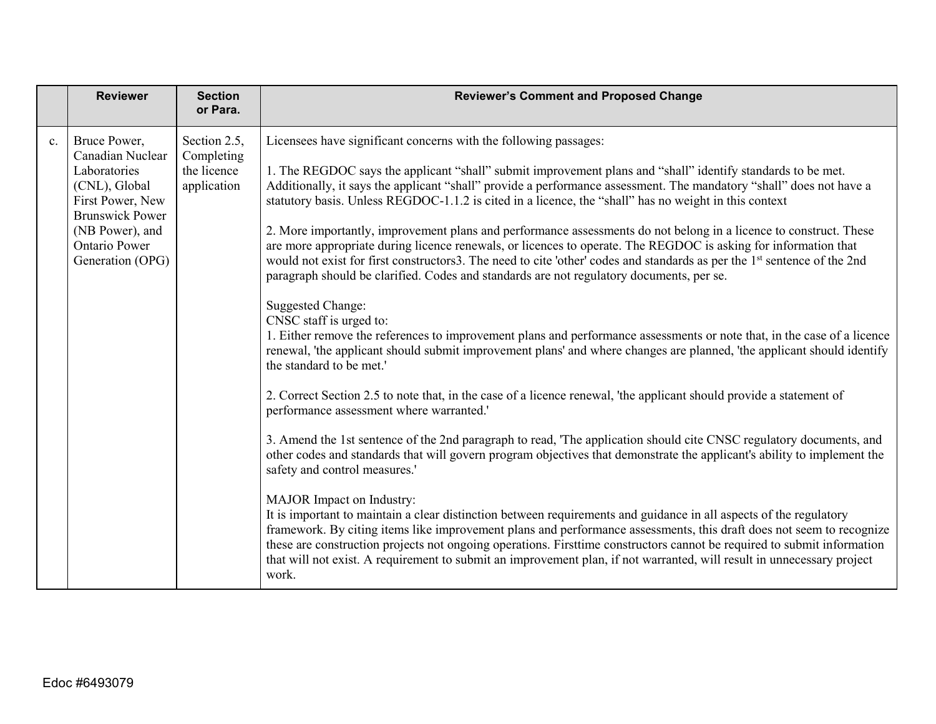|    | <b>Reviewer</b>                                                                                                                                                         | <b>Section</b><br>or Para.                               | <b>Reviewer's Comment and Proposed Change</b>                                                                                                                                                                                                                                                                                                                                                                                                                                                                                                                                                                                                                                                                                                                                                                                                                                                                                                                                                                                                                                                                                                                                                                                                                                                                                                                                                                                                                                                                                                                                                                                                                                                                                                                                                                                                                                                                                                                                                                                                                                                                                                                                                                                       |
|----|-------------------------------------------------------------------------------------------------------------------------------------------------------------------------|----------------------------------------------------------|-------------------------------------------------------------------------------------------------------------------------------------------------------------------------------------------------------------------------------------------------------------------------------------------------------------------------------------------------------------------------------------------------------------------------------------------------------------------------------------------------------------------------------------------------------------------------------------------------------------------------------------------------------------------------------------------------------------------------------------------------------------------------------------------------------------------------------------------------------------------------------------------------------------------------------------------------------------------------------------------------------------------------------------------------------------------------------------------------------------------------------------------------------------------------------------------------------------------------------------------------------------------------------------------------------------------------------------------------------------------------------------------------------------------------------------------------------------------------------------------------------------------------------------------------------------------------------------------------------------------------------------------------------------------------------------------------------------------------------------------------------------------------------------------------------------------------------------------------------------------------------------------------------------------------------------------------------------------------------------------------------------------------------------------------------------------------------------------------------------------------------------------------------------------------------------------------------------------------------------|
| c. | Bruce Power,<br>Canadian Nuclear<br>Laboratories<br>(CNL), Global<br>First Power, New<br><b>Brunswick Power</b><br>(NB Power), and<br>Ontario Power<br>Generation (OPG) | Section 2.5,<br>Completing<br>the licence<br>application | Licensees have significant concerns with the following passages:<br>1. The REGDOC says the applicant "shall" submit improvement plans and "shall" identify standards to be met.<br>Additionally, it says the applicant "shall" provide a performance assessment. The mandatory "shall" does not have a<br>statutory basis. Unless REGDOC-1.1.2 is cited in a licence, the "shall" has no weight in this context<br>2. More importantly, improvement plans and performance assessments do not belong in a licence to construct. These<br>are more appropriate during licence renewals, or licences to operate. The REGDOC is asking for information that<br>would not exist for first constructors3. The need to cite 'other' codes and standards as per the 1 <sup>st</sup> sentence of the 2nd<br>paragraph should be clarified. Codes and standards are not regulatory documents, per se.<br><b>Suggested Change:</b><br>CNSC staff is urged to:<br>1. Either remove the references to improvement plans and performance assessments or note that, in the case of a licence<br>renewal, 'the applicant should submit improvement plans' and where changes are planned, 'the applicant should identify<br>the standard to be met.'<br>2. Correct Section 2.5 to note that, in the case of a licence renewal, 'the applicant should provide a statement of<br>performance assessment where warranted.'<br>3. Amend the 1st sentence of the 2nd paragraph to read, 'The application should cite CNSC regulatory documents, and<br>other codes and standards that will govern program objectives that demonstrate the applicant's ability to implement the<br>safety and control measures.'<br>MAJOR Impact on Industry:<br>It is important to maintain a clear distinction between requirements and guidance in all aspects of the regulatory<br>framework. By citing items like improvement plans and performance assessments, this draft does not seem to recognize<br>these are construction projects not ongoing operations. First time constructors cannot be required to submit information<br>that will not exist. A requirement to submit an improvement plan, if not warranted, will result in unnecessary project<br>work. |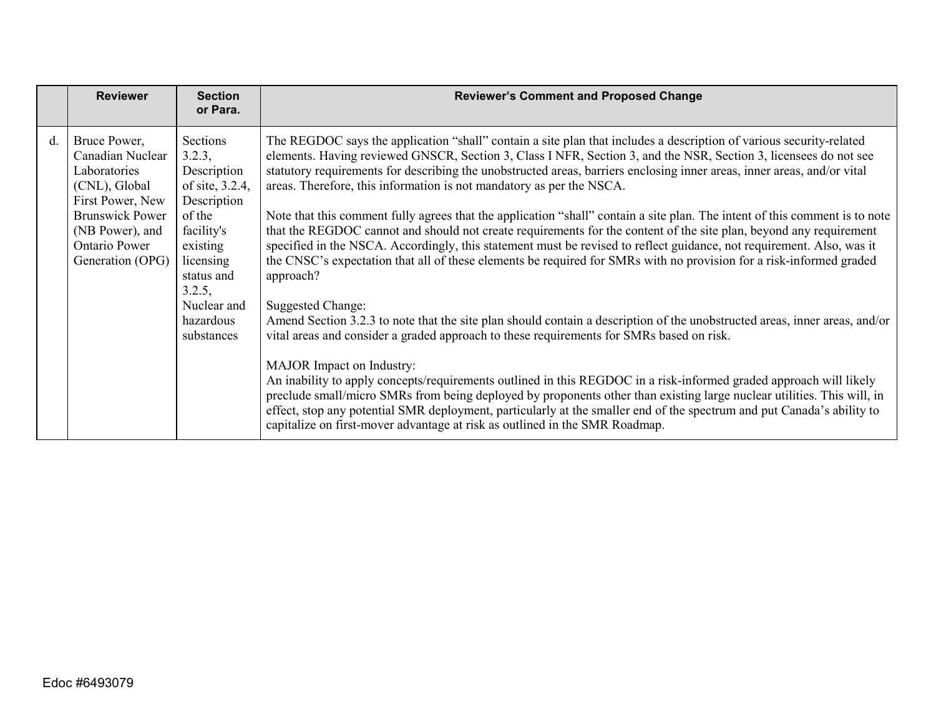|             | <b>Reviewer</b>                                                                                                                                                         | <b>Section</b><br>or Para.                                                                                                                                                             | <b>Reviewer's Comment and Proposed Change</b>                                                                                                                                                                                                                                                                                                                                                                                                                                                                                                                                                                                                                                                                                                                                                                                                                                                                                                                                                                                                                                                                                                                                                                                                                                                                                                                                                                                                                                                                                                                                                                                                                                                    |
|-------------|-------------------------------------------------------------------------------------------------------------------------------------------------------------------------|----------------------------------------------------------------------------------------------------------------------------------------------------------------------------------------|--------------------------------------------------------------------------------------------------------------------------------------------------------------------------------------------------------------------------------------------------------------------------------------------------------------------------------------------------------------------------------------------------------------------------------------------------------------------------------------------------------------------------------------------------------------------------------------------------------------------------------------------------------------------------------------------------------------------------------------------------------------------------------------------------------------------------------------------------------------------------------------------------------------------------------------------------------------------------------------------------------------------------------------------------------------------------------------------------------------------------------------------------------------------------------------------------------------------------------------------------------------------------------------------------------------------------------------------------------------------------------------------------------------------------------------------------------------------------------------------------------------------------------------------------------------------------------------------------------------------------------------------------------------------------------------------------|
| $d_{\cdot}$ | Bruce Power,<br>Canadian Nuclear<br>Laboratories<br>(CNL), Global<br>First Power, New<br><b>Brunswick Power</b><br>(NB Power), and<br>Ontario Power<br>Generation (OPG) | Sections<br>3.2.3,<br>Description<br>of site, 3.2.4,<br>Description<br>of the<br>facility's<br>existing<br>licensing<br>status and<br>3.2.5,<br>Nuclear and<br>hazardous<br>substances | The REGDOC says the application "shall" contain a site plan that includes a description of various security-related<br>elements. Having reviewed GNSCR, Section 3, Class INFR, Section 3, and the NSR, Section 3, licensees do not see<br>statutory requirements for describing the unobstructed areas, barriers enclosing inner areas, inner areas, and/or vital<br>areas. Therefore, this information is not mandatory as per the NSCA.<br>Note that this comment fully agrees that the application "shall" contain a site plan. The intent of this comment is to note<br>that the REGDOC cannot and should not create requirements for the content of the site plan, beyond any requirement<br>specified in the NSCA. Accordingly, this statement must be revised to reflect guidance, not requirement. Also, was it<br>the CNSC's expectation that all of these elements be required for SMRs with no provision for a risk-informed graded<br>approach?<br>Suggested Change:<br>Amend Section 3.2.3 to note that the site plan should contain a description of the unobstructed areas, inner areas, and/or<br>vital areas and consider a graded approach to these requirements for SMRs based on risk.<br>MAJOR Impact on Industry:<br>An inability to apply concepts/requirements outlined in this REGDOC in a risk-informed graded approach will likely<br>preclude small/micro SMRs from being deployed by proponents other than existing large nuclear utilities. This will, in<br>effect, stop any potential SMR deployment, particularly at the smaller end of the spectrum and put Canada's ability to<br>capitalize on first-mover advantage at risk as outlined in the SMR Roadmap. |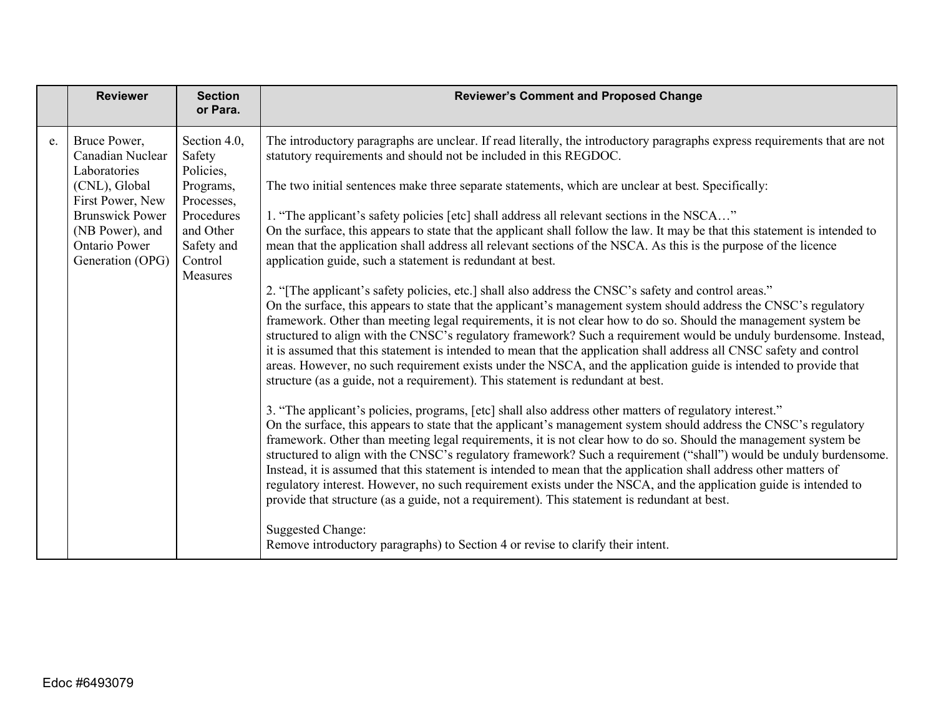|    | <b>Reviewer</b>                                             | <b>Section</b><br>or Para.                     | <b>Reviewer's Comment and Proposed Change</b>                                                                                                                                                                                                                                                                                                                                                                                                                                                                                                                                                                                                                                                                                                                                                                    |
|----|-------------------------------------------------------------|------------------------------------------------|------------------------------------------------------------------------------------------------------------------------------------------------------------------------------------------------------------------------------------------------------------------------------------------------------------------------------------------------------------------------------------------------------------------------------------------------------------------------------------------------------------------------------------------------------------------------------------------------------------------------------------------------------------------------------------------------------------------------------------------------------------------------------------------------------------------|
| e. | Bruce Power,<br>Canadian Nuclear<br>Laboratories            | Section 4.0,<br>Safety<br>Policies,            | The introductory paragraphs are unclear. If read literally, the introductory paragraphs express requirements that are not<br>statutory requirements and should not be included in this REGDOC.                                                                                                                                                                                                                                                                                                                                                                                                                                                                                                                                                                                                                   |
|    | (CNL), Global<br>First Power, New                           | Programs,<br>Processes,                        | The two initial sentences make three separate statements, which are unclear at best. Specifically:                                                                                                                                                                                                                                                                                                                                                                                                                                                                                                                                                                                                                                                                                                               |
|    | <b>Brunswick Power</b>                                      | Procedures                                     | 1. "The applicant's safety policies [etc] shall address all relevant sections in the NSCA"                                                                                                                                                                                                                                                                                                                                                                                                                                                                                                                                                                                                                                                                                                                       |
|    | (NB Power), and<br><b>Ontario Power</b><br>Generation (OPG) | and Other<br>Safety and<br>Control<br>Measures | On the surface, this appears to state that the applicant shall follow the law. It may be that this statement is intended to<br>mean that the application shall address all relevant sections of the NSCA. As this is the purpose of the licence<br>application guide, such a statement is redundant at best.                                                                                                                                                                                                                                                                                                                                                                                                                                                                                                     |
|    |                                                             |                                                | 2. "[The applicant's safety policies, etc.] shall also address the CNSC's safety and control areas."<br>On the surface, this appears to state that the applicant's management system should address the CNSC's regulatory<br>framework. Other than meeting legal requirements, it is not clear how to do so. Should the management system be<br>structured to align with the CNSC's regulatory framework? Such a requirement would be unduly burdensome. Instead,<br>it is assumed that this statement is intended to mean that the application shall address all CNSC safety and control<br>areas. However, no such requirement exists under the NSCA, and the application guide is intended to provide that<br>structure (as a guide, not a requirement). This statement is redundant at best.                 |
|    |                                                             |                                                | 3. "The applicant's policies, programs, [etc] shall also address other matters of regulatory interest."<br>On the surface, this appears to state that the applicant's management system should address the CNSC's regulatory<br>framework. Other than meeting legal requirements, it is not clear how to do so. Should the management system be<br>structured to align with the CNSC's regulatory framework? Such a requirement ("shall") would be unduly burdensome.<br>Instead, it is assumed that this statement is intended to mean that the application shall address other matters of<br>regulatory interest. However, no such requirement exists under the NSCA, and the application guide is intended to<br>provide that structure (as a guide, not a requirement). This statement is redundant at best. |
|    |                                                             |                                                | <b>Suggested Change:</b><br>Remove introductory paragraphs) to Section 4 or revise to clarify their intent.                                                                                                                                                                                                                                                                                                                                                                                                                                                                                                                                                                                                                                                                                                      |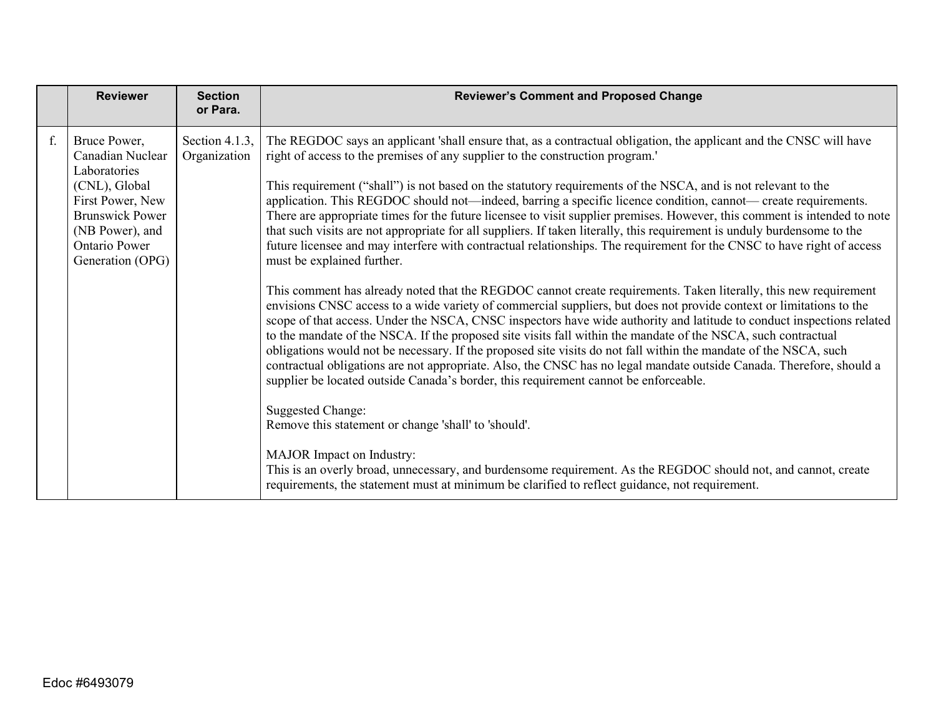|    | <b>Reviewer</b>                                                                                                                                                                | <b>Section</b><br>or Para.     | <b>Reviewer's Comment and Proposed Change</b>                                                                                                                                                                                                                                                                                                                                                                                                                                                                                                                                                                                                                                                                                                                                                                                                                                                                                                                                                                                                                                                                                                                                                                                                                                                                                                                                                                                                                                                                                                                                                                                                                                                                                                                                                                                                                                                                                                                                                                         |
|----|--------------------------------------------------------------------------------------------------------------------------------------------------------------------------------|--------------------------------|-----------------------------------------------------------------------------------------------------------------------------------------------------------------------------------------------------------------------------------------------------------------------------------------------------------------------------------------------------------------------------------------------------------------------------------------------------------------------------------------------------------------------------------------------------------------------------------------------------------------------------------------------------------------------------------------------------------------------------------------------------------------------------------------------------------------------------------------------------------------------------------------------------------------------------------------------------------------------------------------------------------------------------------------------------------------------------------------------------------------------------------------------------------------------------------------------------------------------------------------------------------------------------------------------------------------------------------------------------------------------------------------------------------------------------------------------------------------------------------------------------------------------------------------------------------------------------------------------------------------------------------------------------------------------------------------------------------------------------------------------------------------------------------------------------------------------------------------------------------------------------------------------------------------------------------------------------------------------------------------------------------------------|
| f. | Bruce Power,<br>Canadian Nuclear<br>Laboratories<br>(CNL), Global<br>First Power, New<br><b>Brunswick Power</b><br>(NB Power), and<br><b>Ontario Power</b><br>Generation (OPG) | Section 4.1.3,<br>Organization | The REGDOC says an applicant 'shall ensure that, as a contractual obligation, the applicant and the CNSC will have<br>right of access to the premises of any supplier to the construction program.'<br>This requirement ("shall") is not based on the statutory requirements of the NSCA, and is not relevant to the<br>application. This REGDOC should not—indeed, barring a specific licence condition, cannot— create requirements.<br>There are appropriate times for the future licensee to visit supplier premises. However, this comment is intended to note<br>that such visits are not appropriate for all suppliers. If taken literally, this requirement is unduly burdensome to the<br>future licensee and may interfere with contractual relationships. The requirement for the CNSC to have right of access<br>must be explained further.<br>This comment has already noted that the REGDOC cannot create requirements. Taken literally, this new requirement<br>envisions CNSC access to a wide variety of commercial suppliers, but does not provide context or limitations to the<br>scope of that access. Under the NSCA, CNSC inspectors have wide authority and latitude to conduct inspections related<br>to the mandate of the NSCA. If the proposed site visits fall within the mandate of the NSCA, such contractual<br>obligations would not be necessary. If the proposed site visits do not fall within the mandate of the NSCA, such<br>contractual obligations are not appropriate. Also, the CNSC has no legal mandate outside Canada. Therefore, should a<br>supplier be located outside Canada's border, this requirement cannot be enforceable.<br><b>Suggested Change:</b><br>Remove this statement or change 'shall' to 'should'.<br>MAJOR Impact on Industry:<br>This is an overly broad, unnecessary, and burdensome requirement. As the REGDOC should not, and cannot, create<br>requirements, the statement must at minimum be clarified to reflect guidance, not requirement. |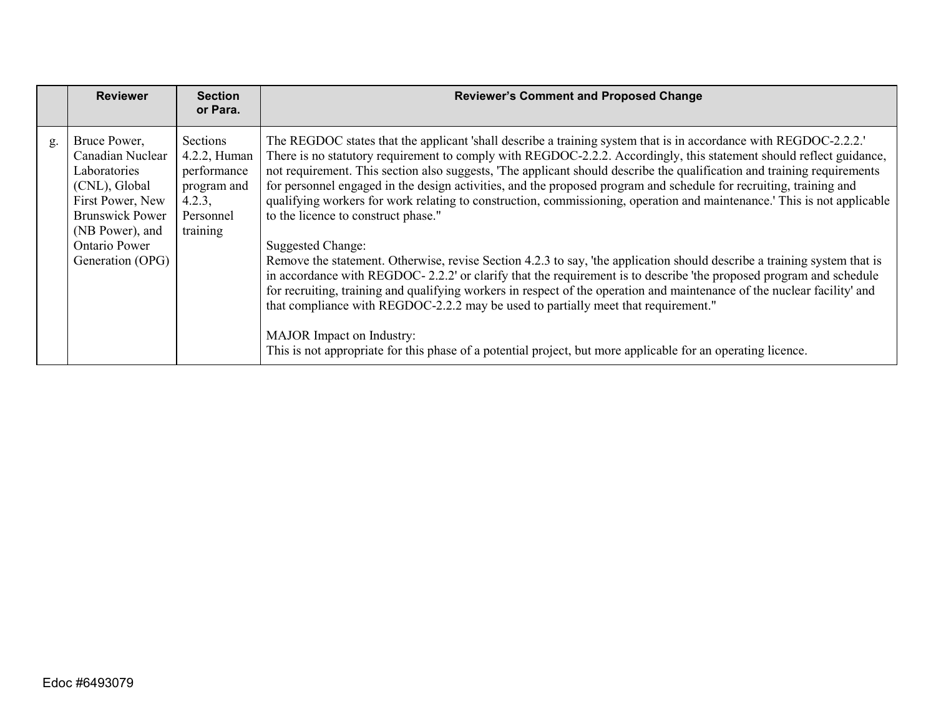|    | <b>Reviewer</b>                                                                                                                                                                | <b>Section</b><br>or Para.                                                                | <b>Reviewer's Comment and Proposed Change</b>                                                                                                                                                                                                                                                                                                                                                                                                                                                                                                                                                                                                                                                                                                                                                                                                                                                                                                                                                                                                                                                                                                                                                                                                                                                                  |
|----|--------------------------------------------------------------------------------------------------------------------------------------------------------------------------------|-------------------------------------------------------------------------------------------|----------------------------------------------------------------------------------------------------------------------------------------------------------------------------------------------------------------------------------------------------------------------------------------------------------------------------------------------------------------------------------------------------------------------------------------------------------------------------------------------------------------------------------------------------------------------------------------------------------------------------------------------------------------------------------------------------------------------------------------------------------------------------------------------------------------------------------------------------------------------------------------------------------------------------------------------------------------------------------------------------------------------------------------------------------------------------------------------------------------------------------------------------------------------------------------------------------------------------------------------------------------------------------------------------------------|
| g. | Bruce Power,<br>Canadian Nuclear<br>Laboratories<br>(CNL), Global<br>First Power, New<br><b>Brunswick Power</b><br>(NB Power), and<br><b>Ontario Power</b><br>Generation (OPG) | Sections<br>4.2.2, Human<br>performance<br>program and<br>4.2.3,<br>Personnel<br>training | The REGDOC states that the applicant 'shall describe a training system that is in accordance with REGDOC-2.2.2.'<br>There is no statutory requirement to comply with REGDOC-2.2.2. Accordingly, this statement should reflect guidance,<br>not requirement. This section also suggests, 'The applicant should describe the qualification and training requirements<br>for personnel engaged in the design activities, and the proposed program and schedule for recruiting, training and<br>qualifying workers for work relating to construction, commissioning, operation and maintenance.' This is not applicable<br>to the licence to construct phase."<br><b>Suggested Change:</b><br>Remove the statement. Otherwise, revise Section 4.2.3 to say, 'the application should describe a training system that is<br>in accordance with REGDOC-2.2.2' or clarify that the requirement is to describe 'the proposed program and schedule<br>for recruiting, training and qualifying workers in respect of the operation and maintenance of the nuclear facility' and<br>that compliance with REGDOC-2.2.2 may be used to partially meet that requirement."<br><b>MAJOR</b> Impact on Industry:<br>This is not appropriate for this phase of a potential project, but more applicable for an operating licence. |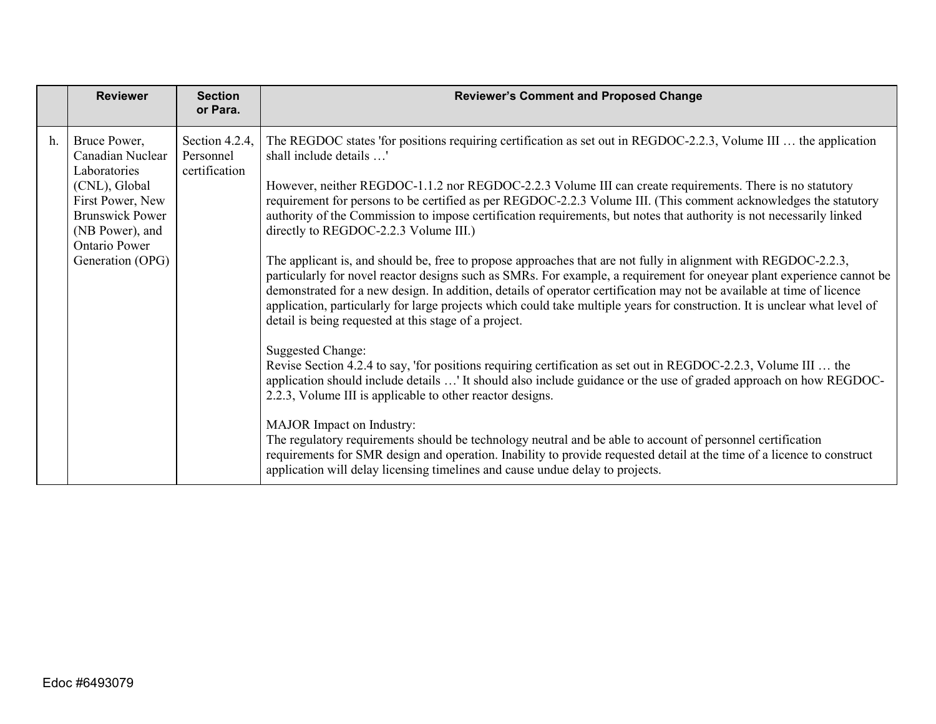|    | <b>Reviewer</b>                                                                                                                                                         | <b>Section</b><br>or Para.                   | <b>Reviewer's Comment and Proposed Change</b>                                                                                                                                                                                                                                                                                                                                                                                                                                                                                                                                                                                                                                                                                                                                                                                                                                                                                                                                                                                                                                                                                                                                                                                                                                                                                                                                                                                                                                                                                                                                                                                                                                                                                                                                                          |
|----|-------------------------------------------------------------------------------------------------------------------------------------------------------------------------|----------------------------------------------|--------------------------------------------------------------------------------------------------------------------------------------------------------------------------------------------------------------------------------------------------------------------------------------------------------------------------------------------------------------------------------------------------------------------------------------------------------------------------------------------------------------------------------------------------------------------------------------------------------------------------------------------------------------------------------------------------------------------------------------------------------------------------------------------------------------------------------------------------------------------------------------------------------------------------------------------------------------------------------------------------------------------------------------------------------------------------------------------------------------------------------------------------------------------------------------------------------------------------------------------------------------------------------------------------------------------------------------------------------------------------------------------------------------------------------------------------------------------------------------------------------------------------------------------------------------------------------------------------------------------------------------------------------------------------------------------------------------------------------------------------------------------------------------------------------|
| h. | Bruce Power,<br>Canadian Nuclear<br>Laboratories<br>(CNL), Global<br>First Power, New<br><b>Brunswick Power</b><br>(NB Power), and<br>Ontario Power<br>Generation (OPG) | Section 4.2.4,<br>Personnel<br>certification | The REGDOC states 'for positions requiring certification as set out in REGDOC-2.2.3, Volume III  the application<br>shall include details '<br>However, neither REGDOC-1.1.2 nor REGDOC-2.2.3 Volume III can create requirements. There is no statutory<br>requirement for persons to be certified as per REGDOC-2.2.3 Volume III. (This comment acknowledges the statutory<br>authority of the Commission to impose certification requirements, but notes that authority is not necessarily linked<br>directly to REGDOC-2.2.3 Volume III.)<br>The applicant is, and should be, free to propose approaches that are not fully in alignment with REGDOC-2.2.3,<br>particularly for novel reactor designs such as SMRs. For example, a requirement for oneyear plant experience cannot be<br>demonstrated for a new design. In addition, details of operator certification may not be available at time of licence<br>application, particularly for large projects which could take multiple years for construction. It is unclear what level of<br>detail is being requested at this stage of a project.<br><b>Suggested Change:</b><br>Revise Section 4.2.4 to say, 'for positions requiring certification as set out in REGDOC-2.2.3, Volume III  the<br>application should include details ' It should also include guidance or the use of graded approach on how REGDOC-<br>2.2.3, Volume III is applicable to other reactor designs.<br><b>MAJOR</b> Impact on Industry:<br>The regulatory requirements should be technology neutral and be able to account of personnel certification<br>requirements for SMR design and operation. Inability to provide requested detail at the time of a licence to construct<br>application will delay licensing timelines and cause undue delay to projects. |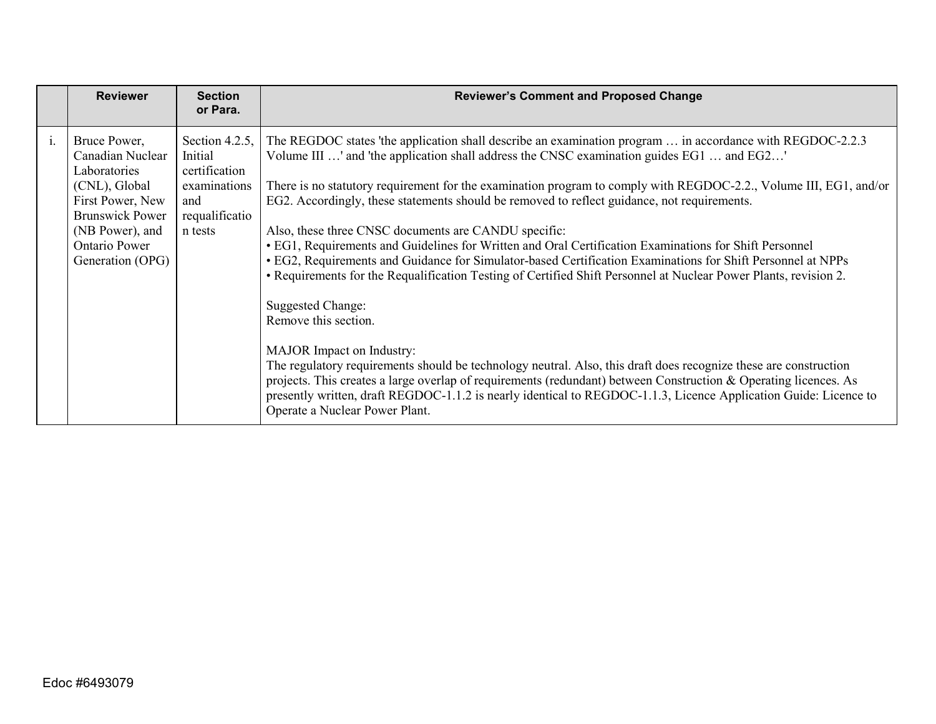|                | <b>Reviewer</b>                                                                                                                                                         | <b>Section</b><br>or Para.                                                                     | <b>Reviewer's Comment and Proposed Change</b>                                                                                                                                                                                                                                                                                                                                                                                                                                                                                                                                                                                                                                                                                                                                                                                                                                                                                                                                                                                                                                                                                                                                                                                                                                                                  |
|----------------|-------------------------------------------------------------------------------------------------------------------------------------------------------------------------|------------------------------------------------------------------------------------------------|----------------------------------------------------------------------------------------------------------------------------------------------------------------------------------------------------------------------------------------------------------------------------------------------------------------------------------------------------------------------------------------------------------------------------------------------------------------------------------------------------------------------------------------------------------------------------------------------------------------------------------------------------------------------------------------------------------------------------------------------------------------------------------------------------------------------------------------------------------------------------------------------------------------------------------------------------------------------------------------------------------------------------------------------------------------------------------------------------------------------------------------------------------------------------------------------------------------------------------------------------------------------------------------------------------------|
| $\mathbf{i}$ . | Bruce Power,<br>Canadian Nuclear<br>Laboratories<br>(CNL), Global<br>First Power, New<br><b>Brunswick Power</b><br>(NB Power), and<br>Ontario Power<br>Generation (OPG) | Section 4.2.5,<br>Initial<br>certification<br>examinations<br>and<br>requalificatio<br>n tests | The REGDOC states 'the application shall describe an examination program  in accordance with REGDOC-2.2.3<br>Volume III ' and 'the application shall address the CNSC examination guides EG1  and EG2'<br>There is no statutory requirement for the examination program to comply with REGDOC-2.2., Volume III, EG1, and/or<br>EG2. Accordingly, these statements should be removed to reflect guidance, not requirements.<br>Also, these three CNSC documents are CANDU specific:<br>• EG1, Requirements and Guidelines for Written and Oral Certification Examinations for Shift Personnel<br>· EG2, Requirements and Guidance for Simulator-based Certification Examinations for Shift Personnel at NPPs<br>• Requirements for the Requalification Testing of Certified Shift Personnel at Nuclear Power Plants, revision 2.<br>Suggested Change:<br>Remove this section.<br><b>MAJOR</b> Impact on Industry:<br>The regulatory requirements should be technology neutral. Also, this draft does recognize these are construction<br>projects. This creates a large overlap of requirements (redundant) between Construction & Operating licences. As<br>presently written, draft REGDOC-1.1.2 is nearly identical to REGDOC-1.1.3, Licence Application Guide: Licence to<br>Operate a Nuclear Power Plant. |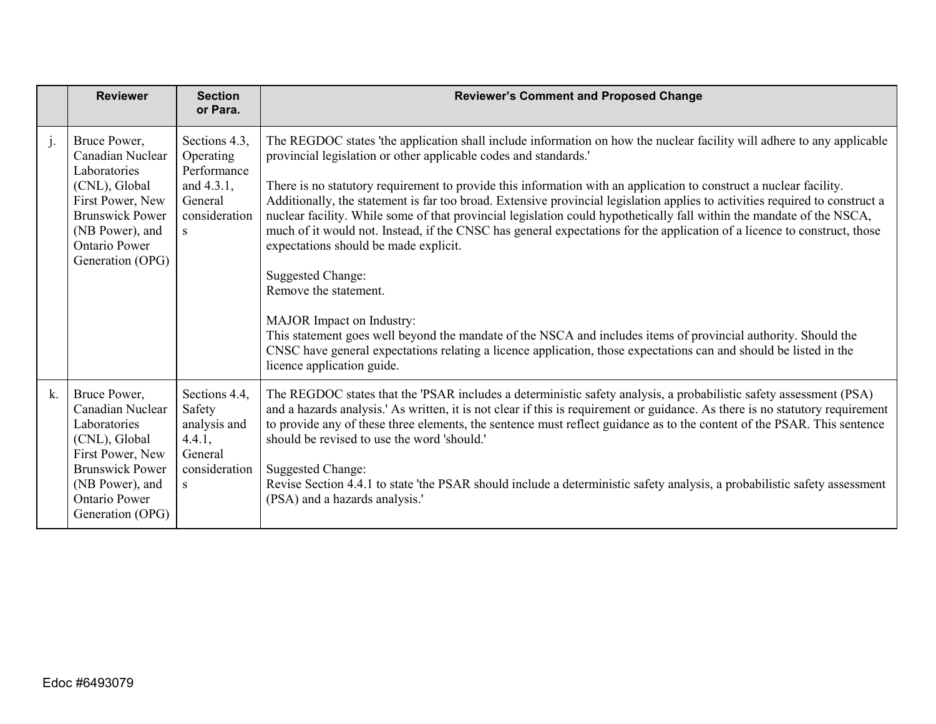|    | <b>Reviewer</b>                                                                                                                                                                | <b>Section</b><br>or Para.                                                                | <b>Reviewer's Comment and Proposed Change</b>                                                                                                                                                                                                                                                                                                                                                                                                                                                                                                                                                                                                                                                                                                                                                                                                                                                                                                                                                                                                                                                         |
|----|--------------------------------------------------------------------------------------------------------------------------------------------------------------------------------|-------------------------------------------------------------------------------------------|-------------------------------------------------------------------------------------------------------------------------------------------------------------------------------------------------------------------------------------------------------------------------------------------------------------------------------------------------------------------------------------------------------------------------------------------------------------------------------------------------------------------------------------------------------------------------------------------------------------------------------------------------------------------------------------------------------------------------------------------------------------------------------------------------------------------------------------------------------------------------------------------------------------------------------------------------------------------------------------------------------------------------------------------------------------------------------------------------------|
| j. | Bruce Power,<br>Canadian Nuclear<br>Laboratories<br>(CNL), Global<br>First Power, New<br><b>Brunswick Power</b><br>(NB Power), and<br><b>Ontario Power</b><br>Generation (OPG) | Sections 4.3,<br>Operating<br>Performance<br>and 4.3.1,<br>General<br>consideration<br>S. | The REGDOC states 'the application shall include information on how the nuclear facility will adhere to any applicable<br>provincial legislation or other applicable codes and standards.'<br>There is no statutory requirement to provide this information with an application to construct a nuclear facility.<br>Additionally, the statement is far too broad. Extensive provincial legislation applies to activities required to construct a<br>nuclear facility. While some of that provincial legislation could hypothetically fall within the mandate of the NSCA,<br>much of it would not. Instead, if the CNSC has general expectations for the application of a licence to construct, those<br>expectations should be made explicit.<br><b>Suggested Change:</b><br>Remove the statement.<br>MAJOR Impact on Industry:<br>This statement goes well beyond the mandate of the NSCA and includes items of provincial authority. Should the<br>CNSC have general expectations relating a licence application, those expectations can and should be listed in the<br>licence application guide. |
| k. | Bruce Power,<br>Canadian Nuclear<br>Laboratories<br>(CNL), Global<br>First Power, New<br><b>Brunswick Power</b><br>(NB Power), and<br><b>Ontario Power</b><br>Generation (OPG) | Sections 4.4,<br>Safety<br>analysis and<br>4.4.1,<br>General<br>consideration<br>S.       | The REGDOC states that the 'PSAR includes a deterministic safety analysis, a probabilistic safety assessment (PSA)<br>and a hazards analysis.' As written, it is not clear if this is requirement or guidance. As there is no statutory requirement<br>to provide any of these three elements, the sentence must reflect guidance as to the content of the PSAR. This sentence<br>should be revised to use the word 'should.'<br><b>Suggested Change:</b><br>Revise Section 4.4.1 to state 'the PSAR should include a deterministic safety analysis, a probabilistic safety assessment<br>(PSA) and a hazards analysis.'                                                                                                                                                                                                                                                                                                                                                                                                                                                                              |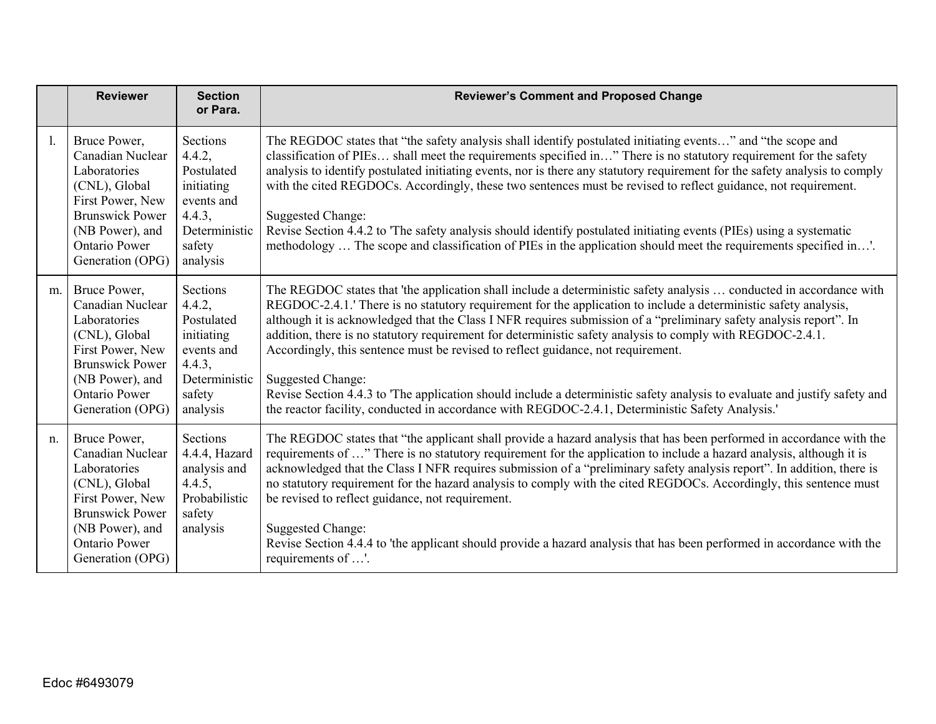|    | <b>Reviewer</b>                                                                                                                                                                | <b>Section</b><br>or Para.                                                                                    | <b>Reviewer's Comment and Proposed Change</b>                                                                                                                                                                                                                                                                                                                                                                                                                                                                                                                                                                                                                                                                                                                                                                               |
|----|--------------------------------------------------------------------------------------------------------------------------------------------------------------------------------|---------------------------------------------------------------------------------------------------------------|-----------------------------------------------------------------------------------------------------------------------------------------------------------------------------------------------------------------------------------------------------------------------------------------------------------------------------------------------------------------------------------------------------------------------------------------------------------------------------------------------------------------------------------------------------------------------------------------------------------------------------------------------------------------------------------------------------------------------------------------------------------------------------------------------------------------------------|
| 1. | Bruce Power,<br>Canadian Nuclear<br>Laboratories<br>(CNL), Global<br>First Power, New<br><b>Brunswick Power</b><br>(NB Power), and<br><b>Ontario Power</b><br>Generation (OPG) | Sections<br>4.4.2,<br>Postulated<br>initiating<br>events and<br>4.4.3,<br>Deterministic<br>safety<br>analysis | The REGDOC states that "the safety analysis shall identify postulated initiating events" and "the scope and<br>classification of PIEs shall meet the requirements specified in" There is no statutory requirement for the safety<br>analysis to identify postulated initiating events, nor is there any statutory requirement for the safety analysis to comply<br>with the cited REGDOCs. Accordingly, these two sentences must be revised to reflect guidance, not requirement.<br><b>Suggested Change:</b><br>Revise Section 4.4.2 to 'The safety analysis should identify postulated initiating events (PIEs) using a systematic<br>methodology  The scope and classification of PIEs in the application should meet the requirements specified in'.                                                                    |
| m. | Bruce Power,<br>Canadian Nuclear<br>Laboratories<br>(CNL), Global<br>First Power, New<br><b>Brunswick Power</b><br>(NB Power), and<br><b>Ontario Power</b><br>Generation (OPG) | Sections<br>4.4.2,<br>Postulated<br>initiating<br>events and<br>4.4.3,<br>Deterministic<br>safety<br>analysis | The REGDOC states that 'the application shall include a deterministic safety analysis  conducted in accordance with<br>REGDOC-2.4.1. There is no statutory requirement for the application to include a deterministic safety analysis,<br>although it is acknowledged that the Class I NFR requires submission of a "preliminary safety analysis report". In<br>addition, there is no statutory requirement for deterministic safety analysis to comply with REGDOC-2.4.1.<br>Accordingly, this sentence must be revised to reflect guidance, not requirement.<br><b>Suggested Change:</b><br>Revise Section 4.4.3 to 'The application should include a deterministic safety analysis to evaluate and justify safety and<br>the reactor facility, conducted in accordance with REGDOC-2.4.1, Deterministic Safety Analysis. |
| n. | Bruce Power,<br>Canadian Nuclear<br>Laboratories<br>(CNL), Global<br>First Power, New<br><b>Brunswick Power</b><br>(NB Power), and<br><b>Ontario Power</b><br>Generation (OPG) | Sections<br>4.4.4, Hazard<br>analysis and<br>4.4.5,<br>Probabilistic<br>safety<br>analysis                    | The REGDOC states that "the applicant shall provide a hazard analysis that has been performed in accordance with the<br>requirements of " There is no statutory requirement for the application to include a hazard analysis, although it is<br>acknowledged that the Class I NFR requires submission of a "preliminary safety analysis report". In addition, there is<br>no statutory requirement for the hazard analysis to comply with the cited REGDOCs. Accordingly, this sentence must<br>be revised to reflect guidance, not requirement.<br><b>Suggested Change:</b><br>Revise Section 4.4.4 to 'the applicant should provide a hazard analysis that has been performed in accordance with the<br>requirements of '.                                                                                                |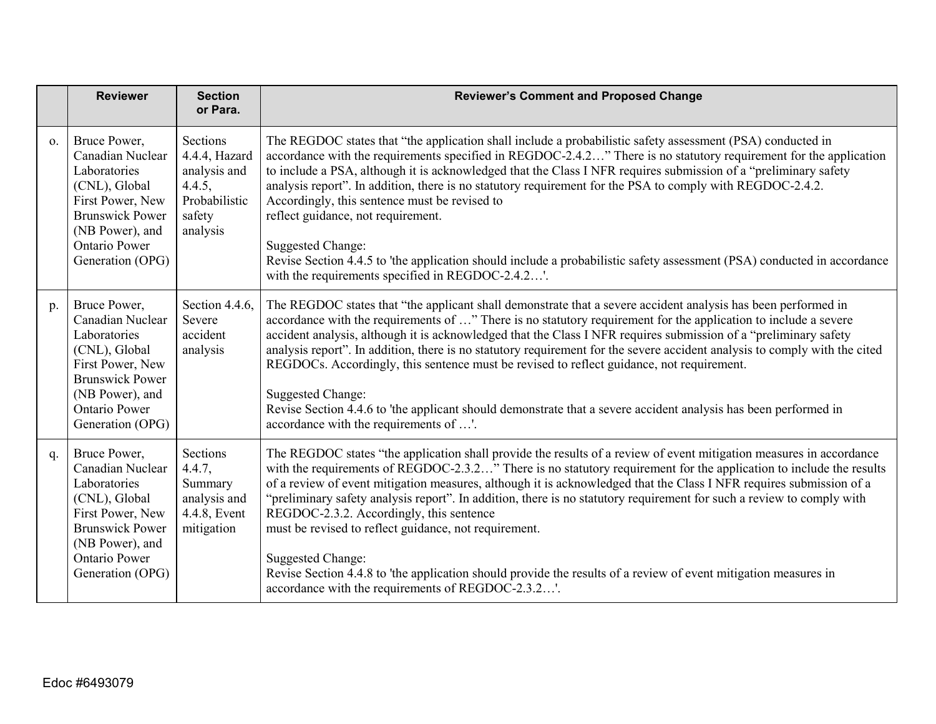|            | <b>Reviewer</b>                                                                                                                                                                | <b>Section</b><br>or Para.                                                                 | <b>Reviewer's Comment and Proposed Change</b>                                                                                                                                                                                                                                                                                                                                                                                                                                                                                                                                                                                                                                                                                                                                                        |
|------------|--------------------------------------------------------------------------------------------------------------------------------------------------------------------------------|--------------------------------------------------------------------------------------------|------------------------------------------------------------------------------------------------------------------------------------------------------------------------------------------------------------------------------------------------------------------------------------------------------------------------------------------------------------------------------------------------------------------------------------------------------------------------------------------------------------------------------------------------------------------------------------------------------------------------------------------------------------------------------------------------------------------------------------------------------------------------------------------------------|
| $\Omega$ . | Bruce Power,<br>Canadian Nuclear<br>Laboratories<br>(CNL), Global<br>First Power, New<br><b>Brunswick Power</b><br>(NB Power), and<br><b>Ontario Power</b><br>Generation (OPG) | Sections<br>4.4.4, Hazard<br>analysis and<br>4.4.5,<br>Probabilistic<br>safety<br>analysis | The REGDOC states that "the application shall include a probabilistic safety assessment (PSA) conducted in<br>accordance with the requirements specified in REGDOC-2.4.2" There is no statutory requirement for the application<br>to include a PSA, although it is acknowledged that the Class I NFR requires submission of a "preliminary safety<br>analysis report". In addition, there is no statutory requirement for the PSA to comply with REGDOC-2.4.2.<br>Accordingly, this sentence must be revised to<br>reflect guidance, not requirement.<br><b>Suggested Change:</b><br>Revise Section 4.4.5 to 'the application should include a probabilistic safety assessment (PSA) conducted in accordance<br>with the requirements specified in REGDOC-2.4.2'.                                   |
| p.         | Bruce Power,<br>Canadian Nuclear<br>Laboratories<br>(CNL), Global<br>First Power, New<br><b>Brunswick Power</b><br>(NB Power), and<br><b>Ontario Power</b><br>Generation (OPG) | Section 4.4.6,<br>Severe<br>accident<br>analysis                                           | The REGDOC states that "the applicant shall demonstrate that a severe accident analysis has been performed in<br>accordance with the requirements of " There is no statutory requirement for the application to include a severe<br>accident analysis, although it is acknowledged that the Class I NFR requires submission of a "preliminary safety<br>analysis report". In addition, there is no statutory requirement for the severe accident analysis to comply with the cited<br>REGDOCs. Accordingly, this sentence must be revised to reflect guidance, not requirement.<br><b>Suggested Change:</b><br>Revise Section 4.4.6 to 'the applicant should demonstrate that a severe accident analysis has been performed in<br>accordance with the requirements of '.                             |
| q.         | Bruce Power,<br>Canadian Nuclear<br>Laboratories<br>(CNL), Global<br>First Power, New<br><b>Brunswick Power</b><br>(NB Power), and<br><b>Ontario Power</b><br>Generation (OPG) | Sections<br>4.4.7,<br>Summary<br>analysis and<br>4.4.8, Event<br>mitigation                | The REGDOC states "the application shall provide the results of a review of event mitigation measures in accordance<br>with the requirements of REGDOC-2.3.2" There is no statutory requirement for the application to include the results<br>of a review of event mitigation measures, although it is acknowledged that the Class I NFR requires submission of a<br>"preliminary safety analysis report". In addition, there is no statutory requirement for such a review to comply with<br>REGDOC-2.3.2. Accordingly, this sentence<br>must be revised to reflect guidance, not requirement.<br><b>Suggested Change:</b><br>Revise Section 4.4.8 to 'the application should provide the results of a review of event mitigation measures in<br>accordance with the requirements of REGDOC-2.3.2'. |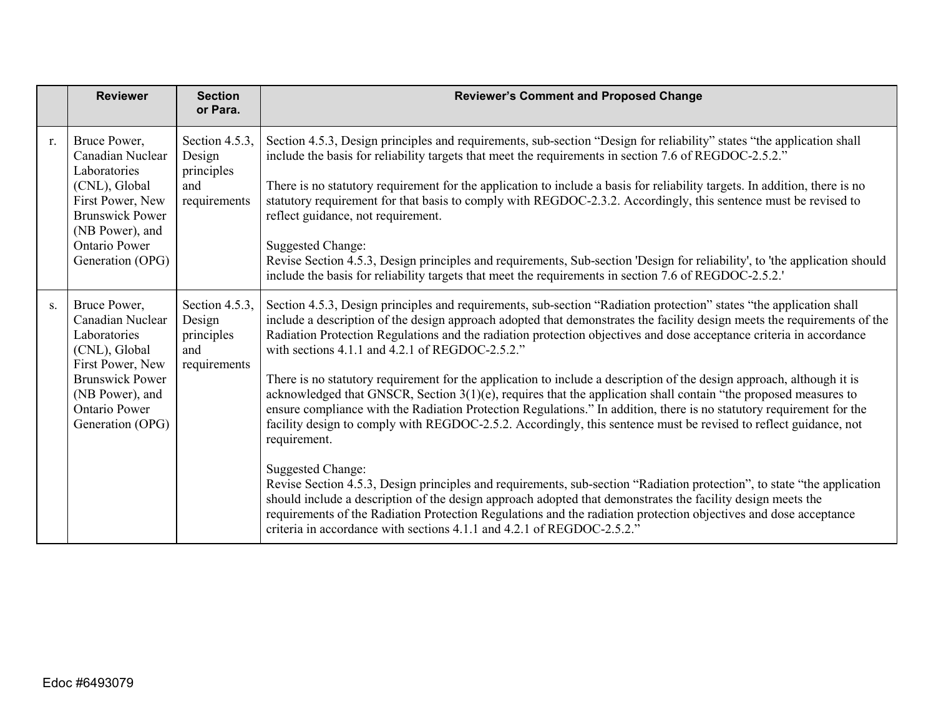|    | <b>Reviewer</b>                                                                                                                                                                | <b>Section</b><br>or Para.                                    | <b>Reviewer's Comment and Proposed Change</b>                                                                                                                                                                                                                                                                                                                                                                                                                                                                                                                                                                                                                                                                                                                                                                                                                                                                                                                                                                                                                                                                                                                                                                                                                                                                                                                                                  |
|----|--------------------------------------------------------------------------------------------------------------------------------------------------------------------------------|---------------------------------------------------------------|------------------------------------------------------------------------------------------------------------------------------------------------------------------------------------------------------------------------------------------------------------------------------------------------------------------------------------------------------------------------------------------------------------------------------------------------------------------------------------------------------------------------------------------------------------------------------------------------------------------------------------------------------------------------------------------------------------------------------------------------------------------------------------------------------------------------------------------------------------------------------------------------------------------------------------------------------------------------------------------------------------------------------------------------------------------------------------------------------------------------------------------------------------------------------------------------------------------------------------------------------------------------------------------------------------------------------------------------------------------------------------------------|
| r. | Bruce Power,<br>Canadian Nuclear<br>Laboratories<br>(CNL), Global<br>First Power, New<br><b>Brunswick Power</b><br>(NB Power), and<br><b>Ontario Power</b><br>Generation (OPG) | Section 4.5.3,<br>Design<br>principles<br>and<br>requirements | Section 4.5.3, Design principles and requirements, sub-section "Design for reliability" states "the application shall<br>include the basis for reliability targets that meet the requirements in section 7.6 of REGDOC-2.5.2."<br>There is no statutory requirement for the application to include a basis for reliability targets. In addition, there is no<br>statutory requirement for that basis to comply with REGDOC-2.3.2. Accordingly, this sentence must be revised to<br>reflect guidance, not requirement.<br><b>Suggested Change:</b><br>Revise Section 4.5.3, Design principles and requirements, Sub-section 'Design for reliability', to 'the application should<br>include the basis for reliability targets that meet the requirements in section 7.6 of REGDOC-2.5.2.                                                                                                                                                                                                                                                                                                                                                                                                                                                                                                                                                                                                        |
| S. | Bruce Power,<br>Canadian Nuclear<br>Laboratories<br>(CNL), Global<br>First Power, New<br><b>Brunswick Power</b><br>(NB Power), and<br><b>Ontario Power</b><br>Generation (OPG) | Section 4.5.3,<br>Design<br>principles<br>and<br>requirements | Section 4.5.3, Design principles and requirements, sub-section "Radiation protection" states "the application shall<br>include a description of the design approach adopted that demonstrates the facility design meets the requirements of the<br>Radiation Protection Regulations and the radiation protection objectives and dose acceptance criteria in accordance<br>with sections 4.1.1 and 4.2.1 of REGDOC-2.5.2."<br>There is no statutory requirement for the application to include a description of the design approach, although it is<br>acknowledged that GNSCR, Section 3(1)(e), requires that the application shall contain "the proposed measures to<br>ensure compliance with the Radiation Protection Regulations." In addition, there is no statutory requirement for the<br>facility design to comply with REGDOC-2.5.2. Accordingly, this sentence must be revised to reflect guidance, not<br>requirement.<br>Suggested Change:<br>Revise Section 4.5.3, Design principles and requirements, sub-section "Radiation protection", to state "the application<br>should include a description of the design approach adopted that demonstrates the facility design meets the<br>requirements of the Radiation Protection Regulations and the radiation protection objectives and dose acceptance<br>criteria in accordance with sections 4.1.1 and 4.2.1 of REGDOC-2.5.2." |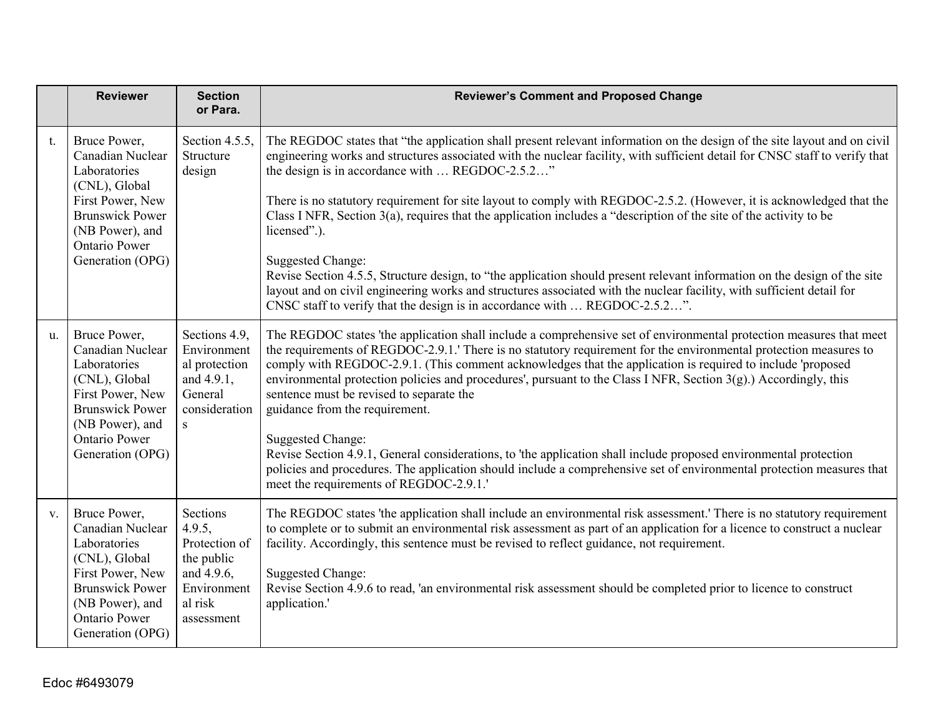|    | <b>Reviewer</b>                                                                                                                                                                | <b>Section</b><br>or Para.                                                                              | <b>Reviewer's Comment and Proposed Change</b>                                                                                                                                                                                                                                                                                                                                                                                                                                                                                                                                        |
|----|--------------------------------------------------------------------------------------------------------------------------------------------------------------------------------|---------------------------------------------------------------------------------------------------------|--------------------------------------------------------------------------------------------------------------------------------------------------------------------------------------------------------------------------------------------------------------------------------------------------------------------------------------------------------------------------------------------------------------------------------------------------------------------------------------------------------------------------------------------------------------------------------------|
| t. | Bruce Power,<br>Canadian Nuclear<br>Laboratories<br>(CNL), Global<br>First Power, New<br><b>Brunswick Power</b><br>(NB Power), and                                             | Section 4.5.5,<br>Structure<br>design                                                                   | The REGDOC states that "the application shall present relevant information on the design of the site layout and on civil<br>engineering works and structures associated with the nuclear facility, with sufficient detail for CNSC staff to verify that<br>the design is in accordance with  REGDOC-2.5.2"<br>There is no statutory requirement for site layout to comply with REGDOC-2.5.2. (However, it is acknowledged that the<br>Class I NFR, Section 3(a), requires that the application includes a "description of the site of the activity to be<br>licensed".).             |
|    | <b>Ontario Power</b><br>Generation (OPG)                                                                                                                                       |                                                                                                         | <b>Suggested Change:</b><br>Revise Section 4.5.5, Structure design, to "the application should present relevant information on the design of the site<br>layout and on civil engineering works and structures associated with the nuclear facility, with sufficient detail for<br>CNSC staff to verify that the design is in accordance with  REGDOC-2.5.2".                                                                                                                                                                                                                         |
| u. | Bruce Power,<br>Canadian Nuclear<br>Laboratories<br>(CNL), Global<br>First Power, New<br><b>Brunswick Power</b><br>(NB Power), and<br><b>Ontario Power</b>                     | Sections 4.9,<br>Environment<br>al protection<br>and 4.9.1,<br>General<br>consideration<br>S.           | The REGDOC states 'the application shall include a comprehensive set of environmental protection measures that meet<br>the requirements of REGDOC-2.9.1.' There is no statutory requirement for the environmental protection measures to<br>comply with REGDOC-2.9.1. (This comment acknowledges that the application is required to include 'proposed<br>environmental protection policies and procedures', pursuant to the Class I NFR, Section 3(g).) Accordingly, this<br>sentence must be revised to separate the<br>guidance from the requirement.<br><b>Suggested Change:</b> |
|    | Generation (OPG)                                                                                                                                                               |                                                                                                         | Revise Section 4.9.1, General considerations, to 'the application shall include proposed environmental protection<br>policies and procedures. The application should include a comprehensive set of environmental protection measures that<br>meet the requirements of REGDOC-2.9.1.'                                                                                                                                                                                                                                                                                                |
| V. | Bruce Power,<br>Canadian Nuclear<br>Laboratories<br>(CNL), Global<br>First Power, New<br><b>Brunswick Power</b><br>(NB Power), and<br><b>Ontario Power</b><br>Generation (OPG) | Sections<br>4.9.5,<br>Protection of<br>the public<br>and 4.9.6,<br>Environment<br>al risk<br>assessment | The REGDOC states 'the application shall include an environmental risk assessment.' There is no statutory requirement<br>to complete or to submit an environmental risk assessment as part of an application for a licence to construct a nuclear<br>facility. Accordingly, this sentence must be revised to reflect guidance, not requirement.<br>Suggested Change:<br>Revise Section 4.9.6 to read, 'an environmental risk assessment should be completed prior to licence to construct<br>application.'                                                                           |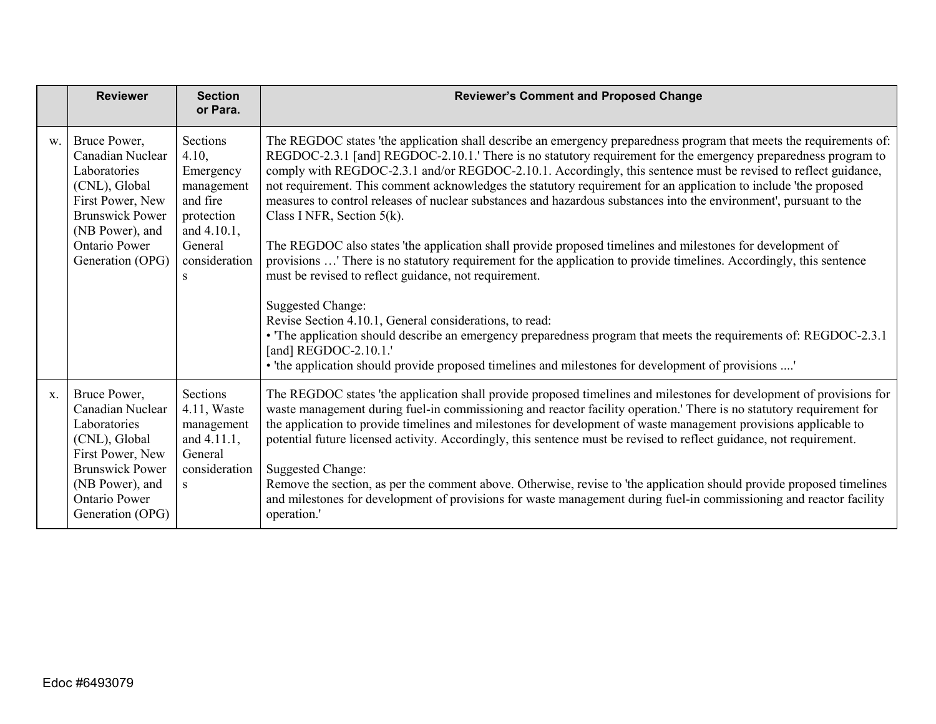|             | <b>Reviewer</b>                                                                                                                                                                | <b>Section</b><br>or Para.                                                                                             | <b>Reviewer's Comment and Proposed Change</b>                                                                                                                                                                                                                                                                                                                                                                                                                                                                                                                                                                                                                                                                                                                                                                                                                                                                                                                                                                                                                                                                                                                                                                                                                               |
|-------------|--------------------------------------------------------------------------------------------------------------------------------------------------------------------------------|------------------------------------------------------------------------------------------------------------------------|-----------------------------------------------------------------------------------------------------------------------------------------------------------------------------------------------------------------------------------------------------------------------------------------------------------------------------------------------------------------------------------------------------------------------------------------------------------------------------------------------------------------------------------------------------------------------------------------------------------------------------------------------------------------------------------------------------------------------------------------------------------------------------------------------------------------------------------------------------------------------------------------------------------------------------------------------------------------------------------------------------------------------------------------------------------------------------------------------------------------------------------------------------------------------------------------------------------------------------------------------------------------------------|
| W.          | Bruce Power,<br>Canadian Nuclear<br>Laboratories<br>(CNL), Global<br>First Power, New<br><b>Brunswick Power</b><br>(NB Power), and<br><b>Ontario Power</b><br>Generation (OPG) | Sections<br>4.10,<br>Emergency<br>management<br>and fire<br>protection<br>and 4.10.1,<br>General<br>consideration<br>S | The REGDOC states 'the application shall describe an emergency preparedness program that meets the requirements of:<br>REGDOC-2.3.1 [and] REGDOC-2.10.1.' There is no statutory requirement for the emergency preparedness program to<br>comply with REGDOC-2.3.1 and/or REGDOC-2.10.1. Accordingly, this sentence must be revised to reflect guidance,<br>not requirement. This comment acknowledges the statutory requirement for an application to include 'the proposed<br>measures to control releases of nuclear substances and hazardous substances into the environment', pursuant to the<br>Class I NFR, Section $5(k)$ .<br>The REGDOC also states 'the application shall provide proposed timelines and milestones for development of<br>provisions ' There is no statutory requirement for the application to provide timelines. Accordingly, this sentence<br>must be revised to reflect guidance, not requirement.<br><b>Suggested Change:</b><br>Revise Section 4.10.1, General considerations, to read:<br>• The application should describe an emergency preparedness program that meets the requirements of: REGDOC-2.3.1<br>[and] REGDOC-2.10.1.'<br>• 'the application should provide proposed timelines and milestones for development of provisions ' |
| $X_{\cdot}$ | Bruce Power,<br>Canadian Nuclear<br>Laboratories<br>(CNL), Global<br>First Power, New<br><b>Brunswick Power</b><br>(NB Power), and<br><b>Ontario Power</b><br>Generation (OPG) | Sections<br>$4.11$ , Waste<br>management<br>and 4.11.1,<br>General<br>consideration<br>S                               | The REGDOC states 'the application shall provide proposed timelines and milestones for development of provisions for<br>waste management during fuel-in commissioning and reactor facility operation.' There is no statutory requirement for<br>the application to provide timelines and milestones for development of waste management provisions applicable to<br>potential future licensed activity. Accordingly, this sentence must be revised to reflect guidance, not requirement.<br><b>Suggested Change:</b><br>Remove the section, as per the comment above. Otherwise, revise to 'the application should provide proposed timelines<br>and milestones for development of provisions for waste management during fuel-in commissioning and reactor facility<br>operation.'                                                                                                                                                                                                                                                                                                                                                                                                                                                                                         |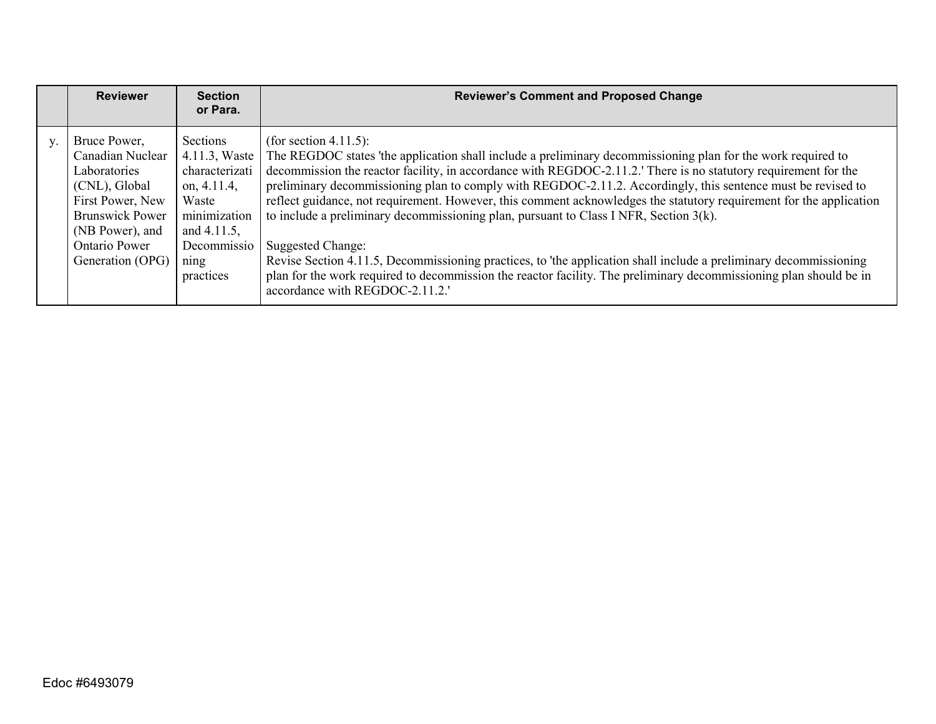| <b>Reviewer</b>                                                                                                                                                         | <b>Section</b><br>or Para.                                                                                                                | <b>Reviewer's Comment and Proposed Change</b>                                                                                                                                                                                                                                                                                                                                                                                                                                                                                                                                                                                                                                                                                                                                                                                                                                                 |
|-------------------------------------------------------------------------------------------------------------------------------------------------------------------------|-------------------------------------------------------------------------------------------------------------------------------------------|-----------------------------------------------------------------------------------------------------------------------------------------------------------------------------------------------------------------------------------------------------------------------------------------------------------------------------------------------------------------------------------------------------------------------------------------------------------------------------------------------------------------------------------------------------------------------------------------------------------------------------------------------------------------------------------------------------------------------------------------------------------------------------------------------------------------------------------------------------------------------------------------------|
| Bruce Power,<br>Canadian Nuclear<br>Laboratories<br>(CNL), Global<br>First Power, New<br><b>Brunswick Power</b><br>(NB Power), and<br>Ontario Power<br>Generation (OPG) | Sections<br>4.11.3, Waste<br>characterizati<br>on, $4.11.4$ ,<br>Waste<br>minimization<br>and 4.11.5,<br>Decommissio<br>ning<br>practices | (for section 4.11.5):<br>The REGDOC states 'the application shall include a preliminary decommissioning plan for the work required to<br>decommission the reactor facility, in accordance with REGDOC-2.11.2. There is no statutory requirement for the<br>preliminary decommissioning plan to comply with REGDOC-2.11.2. Accordingly, this sentence must be revised to<br>reflect guidance, not requirement. However, this comment acknowledges the statutory requirement for the application<br>to include a preliminary decommissioning plan, pursuant to Class I NFR, Section $3(k)$ .<br>Suggested Change:<br>Revise Section 4.11.5, Decommissioning practices, to 'the application shall include a preliminary decommissioning<br>plan for the work required to decommission the reactor facility. The preliminary decommissioning plan should be in<br>accordance with REGDOC-2.11.2.' |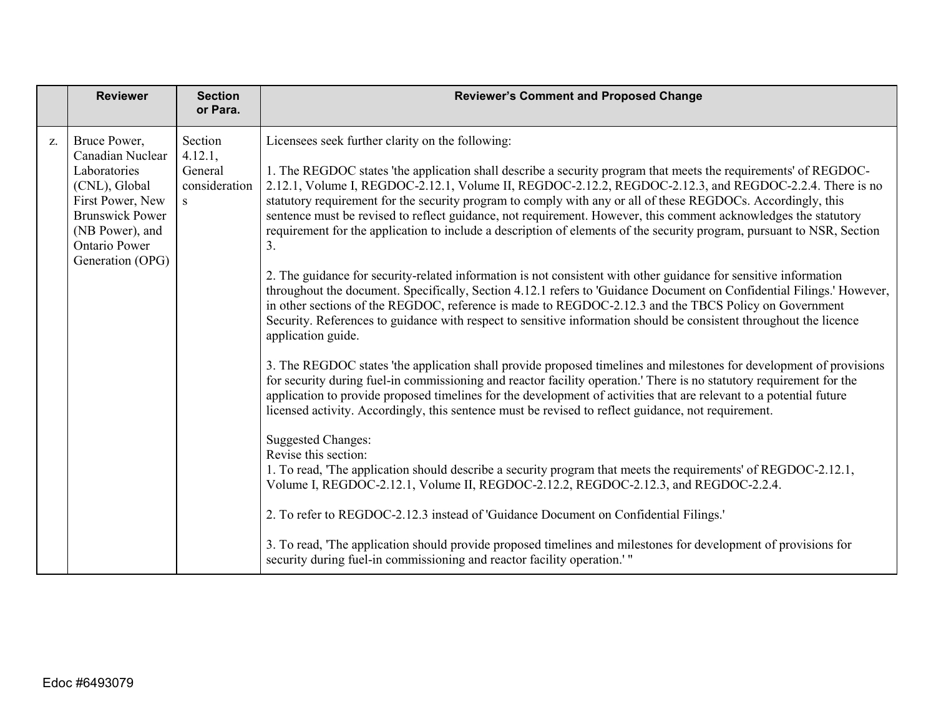|    | <b>Reviewer</b>                                                                                                                                                                | <b>Section</b><br>or Para.                          | <b>Reviewer's Comment and Proposed Change</b>                                                                                                                                                                                                                                                                                                                                                                                                                                                                                                                                                                                                                                                                                                                                                                                                                                                                                                                                                                                                                                                                                                                                                                                                                                                                                                                                                      |
|----|--------------------------------------------------------------------------------------------------------------------------------------------------------------------------------|-----------------------------------------------------|----------------------------------------------------------------------------------------------------------------------------------------------------------------------------------------------------------------------------------------------------------------------------------------------------------------------------------------------------------------------------------------------------------------------------------------------------------------------------------------------------------------------------------------------------------------------------------------------------------------------------------------------------------------------------------------------------------------------------------------------------------------------------------------------------------------------------------------------------------------------------------------------------------------------------------------------------------------------------------------------------------------------------------------------------------------------------------------------------------------------------------------------------------------------------------------------------------------------------------------------------------------------------------------------------------------------------------------------------------------------------------------------------|
| Z. | Bruce Power,<br>Canadian Nuclear<br>Laboratories<br>(CNL), Global<br>First Power, New<br><b>Brunswick Power</b><br>(NB Power), and<br><b>Ontario Power</b><br>Generation (OPG) | Section<br>4.12.1,<br>General<br>consideration<br>S | Licensees seek further clarity on the following:<br>1. The REGDOC states 'the application shall describe a security program that meets the requirements' of REGDOC-<br>2.12.1, Volume I, REGDOC-2.12.1, Volume II, REGDOC-2.12.2, REGDOC-2.12.3, and REGDOC-2.2.4. There is no<br>statutory requirement for the security program to comply with any or all of these REGDOCs. Accordingly, this<br>sentence must be revised to reflect guidance, not requirement. However, this comment acknowledges the statutory<br>requirement for the application to include a description of elements of the security program, pursuant to NSR, Section<br>3.<br>2. The guidance for security-related information is not consistent with other guidance for sensitive information<br>throughout the document. Specifically, Section 4.12.1 refers to 'Guidance Document on Confidential Filings.' However,<br>in other sections of the REGDOC, reference is made to REGDOC-2.12.3 and the TBCS Policy on Government<br>Security. References to guidance with respect to sensitive information should be consistent throughout the licence<br>application guide.<br>3. The REGDOC states 'the application shall provide proposed timelines and milestones for development of provisions<br>for security during fuel-in commissioning and reactor facility operation.' There is no statutory requirement for the |
|    |                                                                                                                                                                                |                                                     | application to provide proposed timelines for the development of activities that are relevant to a potential future<br>licensed activity. Accordingly, this sentence must be revised to reflect guidance, not requirement.<br><b>Suggested Changes:</b><br>Revise this section:<br>1. To read, 'The application should describe a security program that meets the requirements' of REGDOC-2.12.1,<br>Volume I, REGDOC-2.12.1, Volume II, REGDOC-2.12.2, REGDOC-2.12.3, and REGDOC-2.2.4.<br>2. To refer to REGDOC-2.12.3 instead of 'Guidance Document on Confidential Filings.'                                                                                                                                                                                                                                                                                                                                                                                                                                                                                                                                                                                                                                                                                                                                                                                                                   |
|    |                                                                                                                                                                                |                                                     | 3. To read, 'The application should provide proposed timelines and milestones for development of provisions for<br>security during fuel-in commissioning and reactor facility operation.' "                                                                                                                                                                                                                                                                                                                                                                                                                                                                                                                                                                                                                                                                                                                                                                                                                                                                                                                                                                                                                                                                                                                                                                                                        |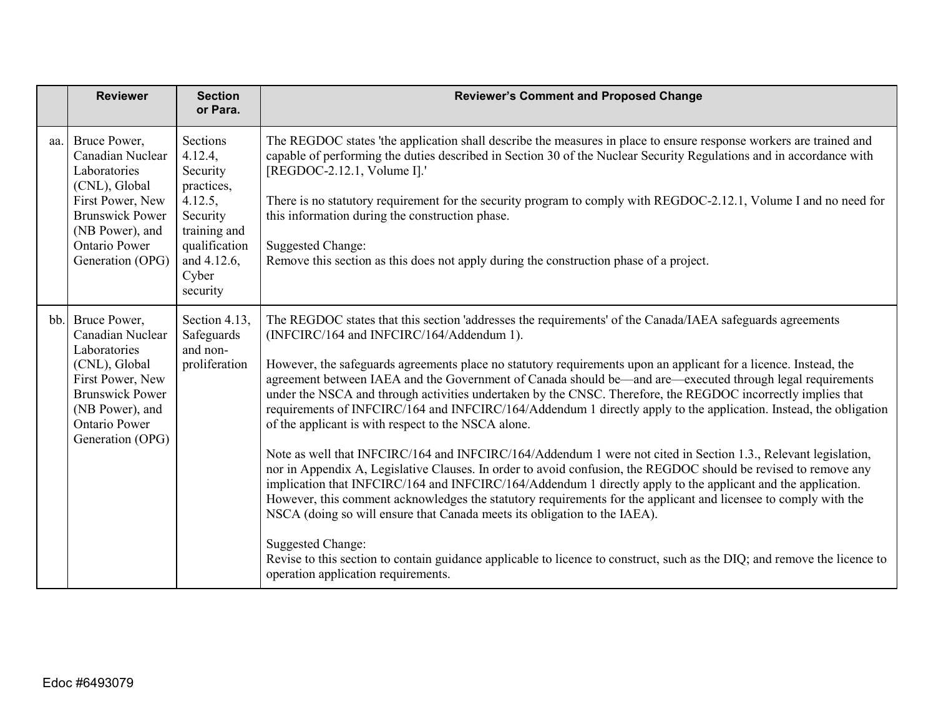|     | <b>Reviewer</b>                                                                                                                                                                | <b>Section</b><br>or Para.                                                                                                                | <b>Reviewer's Comment and Proposed Change</b>                                                                                                                                                                                                                                                                                                                                                                                                                                                                                                                                                                                                                                                                                                                                                                                                                                                                                                                                                                                                                                                                                                                                                                                                                                                                                                                                                                                            |
|-----|--------------------------------------------------------------------------------------------------------------------------------------------------------------------------------|-------------------------------------------------------------------------------------------------------------------------------------------|------------------------------------------------------------------------------------------------------------------------------------------------------------------------------------------------------------------------------------------------------------------------------------------------------------------------------------------------------------------------------------------------------------------------------------------------------------------------------------------------------------------------------------------------------------------------------------------------------------------------------------------------------------------------------------------------------------------------------------------------------------------------------------------------------------------------------------------------------------------------------------------------------------------------------------------------------------------------------------------------------------------------------------------------------------------------------------------------------------------------------------------------------------------------------------------------------------------------------------------------------------------------------------------------------------------------------------------------------------------------------------------------------------------------------------------|
| aa. | Bruce Power,<br>Canadian Nuclear<br>Laboratories<br>(CNL), Global<br>First Power, New<br><b>Brunswick Power</b><br>(NB Power), and<br><b>Ontario Power</b><br>Generation (OPG) | Sections<br>4.12.4,<br>Security<br>practices,<br>4.12.5,<br>Security<br>training and<br>qualification<br>and 4.12.6,<br>Cyber<br>security | The REGDOC states 'the application shall describe the measures in place to ensure response workers are trained and<br>capable of performing the duties described in Section 30 of the Nuclear Security Regulations and in accordance with<br>[REGDOC-2.12.1, Volume I].'<br>There is no statutory requirement for the security program to comply with REGDOC-2.12.1, Volume I and no need for<br>this information during the construction phase.<br><b>Suggested Change:</b><br>Remove this section as this does not apply during the construction phase of a project.                                                                                                                                                                                                                                                                                                                                                                                                                                                                                                                                                                                                                                                                                                                                                                                                                                                                   |
| bb. | Bruce Power,<br>Canadian Nuclear<br>Laboratories<br>(CNL), Global<br>First Power, New<br><b>Brunswick Power</b><br>(NB Power), and<br>Ontario Power<br>Generation (OPG)        | Section 4.13,<br>Safeguards<br>and non-<br>proliferation                                                                                  | The REGDOC states that this section 'addresses the requirements' of the Canada/IAEA safeguards agreements<br>(INFCIRC/164 and INFCIRC/164/Addendum 1).<br>However, the safeguards agreements place no statutory requirements upon an applicant for a licence. Instead, the<br>agreement between IAEA and the Government of Canada should be—and are—executed through legal requirements<br>under the NSCA and through activities undertaken by the CNSC. Therefore, the REGDOC incorrectly implies that<br>requirements of INFCIRC/164 and INFCIRC/164/Addendum 1 directly apply to the application. Instead, the obligation<br>of the applicant is with respect to the NSCA alone.<br>Note as well that INFCIRC/164 and INFCIRC/164/Addendum 1 were not cited in Section 1.3., Relevant legislation,<br>nor in Appendix A, Legislative Clauses. In order to avoid confusion, the REGDOC should be revised to remove any<br>implication that INFCIRC/164 and INFCIRC/164/Addendum 1 directly apply to the applicant and the application.<br>However, this comment acknowledges the statutory requirements for the applicant and licensee to comply with the<br>NSCA (doing so will ensure that Canada meets its obligation to the IAEA).<br><b>Suggested Change:</b><br>Revise to this section to contain guidance applicable to licence to construct, such as the DIQ; and remove the licence to<br>operation application requirements. |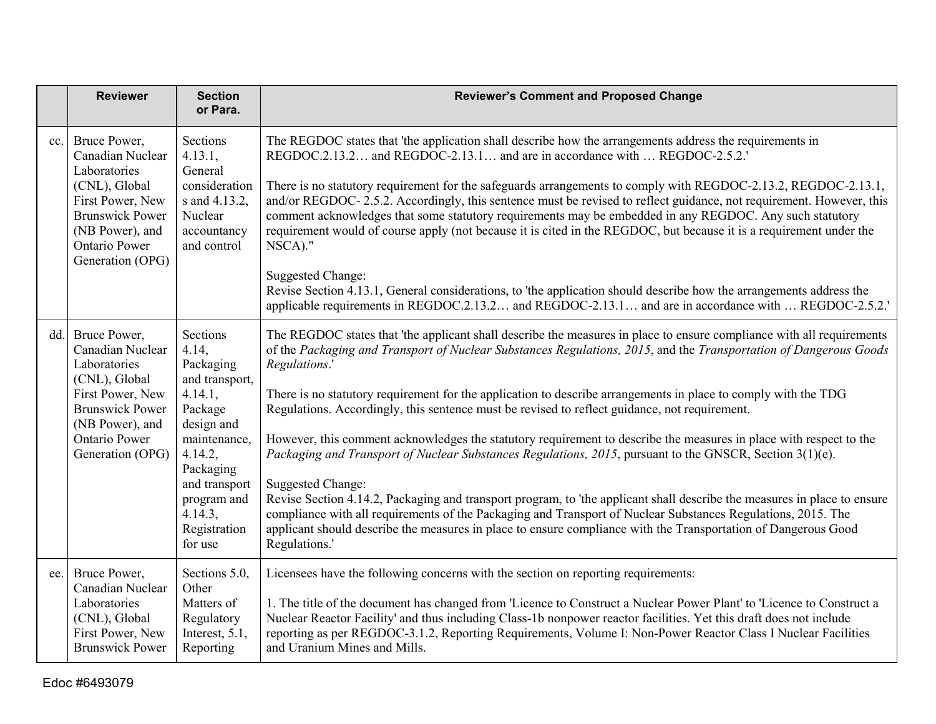|     | <b>Reviewer</b>                                                                                                                                                                | <b>Section</b><br>or Para.                                                                                                                                                                         | <b>Reviewer's Comment and Proposed Change</b>                                                                                                                                                                                                                                                                                                                                                                                                                                                                                                                                                                                                                                                                                                                                                                                                                                                                                                                                                                                                                                                                               |
|-----|--------------------------------------------------------------------------------------------------------------------------------------------------------------------------------|----------------------------------------------------------------------------------------------------------------------------------------------------------------------------------------------------|-----------------------------------------------------------------------------------------------------------------------------------------------------------------------------------------------------------------------------------------------------------------------------------------------------------------------------------------------------------------------------------------------------------------------------------------------------------------------------------------------------------------------------------------------------------------------------------------------------------------------------------------------------------------------------------------------------------------------------------------------------------------------------------------------------------------------------------------------------------------------------------------------------------------------------------------------------------------------------------------------------------------------------------------------------------------------------------------------------------------------------|
| cc. | Bruce Power,<br>Canadian Nuclear<br>Laboratories<br>(CNL), Global<br>First Power, New<br><b>Brunswick Power</b><br>(NB Power), and<br><b>Ontario Power</b><br>Generation (OPG) | Sections<br>4.13.1,<br>General<br>consideration<br>s and 4.13.2,<br>Nuclear<br>accountancy<br>and control                                                                                          | The REGDOC states that 'the application shall describe how the arrangements address the requirements in<br>REGDOC.2.13.2 and REGDOC-2.13.1 and are in accordance with  REGDOC-2.5.2.'<br>There is no statutory requirement for the safeguards arrangements to comply with REGDOC-2.13.2, REGDOC-2.13.1,<br>and/or REGDOC-2.5.2. Accordingly, this sentence must be revised to reflect guidance, not requirement. However, this<br>comment acknowledges that some statutory requirements may be embedded in any REGDOC. Any such statutory<br>requirement would of course apply (not because it is cited in the REGDOC, but because it is a requirement under the<br>NSCA)."<br><b>Suggested Change:</b><br>Revise Section 4.13.1, General considerations, to 'the application should describe how the arrangements address the<br>applicable requirements in REGDOC.2.13.2 and REGDOC-2.13.1 and are in accordance with  REGDOC-2.5.2.'                                                                                                                                                                                     |
| dd. | Bruce Power,<br>Canadian Nuclear<br>Laboratories<br>(CNL), Global<br>First Power, New<br><b>Brunswick Power</b><br>(NB Power), and<br><b>Ontario Power</b><br>Generation (OPG) | Sections<br>4.14,<br>Packaging<br>and transport,<br>4.14.1,<br>Package<br>design and<br>maintenance,<br>4.14.2,<br>Packaging<br>and transport<br>program and<br>4.14.3,<br>Registration<br>for use | The REGDOC states that 'the applicant shall describe the measures in place to ensure compliance with all requirements<br>of the Packaging and Transport of Nuclear Substances Regulations, 2015, and the Transportation of Dangerous Goods<br>Regulations.'<br>There is no statutory requirement for the application to describe arrangements in place to comply with the TDG<br>Regulations. Accordingly, this sentence must be revised to reflect guidance, not requirement.<br>However, this comment acknowledges the statutory requirement to describe the measures in place with respect to the<br>Packaging and Transport of Nuclear Substances Regulations, 2015, pursuant to the GNSCR, Section 3(1)(e).<br><b>Suggested Change:</b><br>Revise Section 4.14.2, Packaging and transport program, to 'the applicant shall describe the measures in place to ensure<br>compliance with all requirements of the Packaging and Transport of Nuclear Substances Regulations, 2015. The<br>applicant should describe the measures in place to ensure compliance with the Transportation of Dangerous Good<br>Regulations.' |
| ee. | Bruce Power,<br>Canadian Nuclear<br>Laboratories<br>(CNL), Global<br>First Power, New<br><b>Brunswick Power</b>                                                                | Sections 5.0,<br>Other<br>Matters of<br>Regulatory<br>Interest, 5.1,<br>Reporting                                                                                                                  | Licensees have the following concerns with the section on reporting requirements:<br>1. The title of the document has changed from 'Licence to Construct a Nuclear Power Plant' to 'Licence to Construct a<br>Nuclear Reactor Facility' and thus including Class-1b nonpower reactor facilities. Yet this draft does not include<br>reporting as per REGDOC-3.1.2, Reporting Requirements, Volume I: Non-Power Reactor Class I Nuclear Facilities<br>and Uranium Mines and Mills.                                                                                                                                                                                                                                                                                                                                                                                                                                                                                                                                                                                                                                           |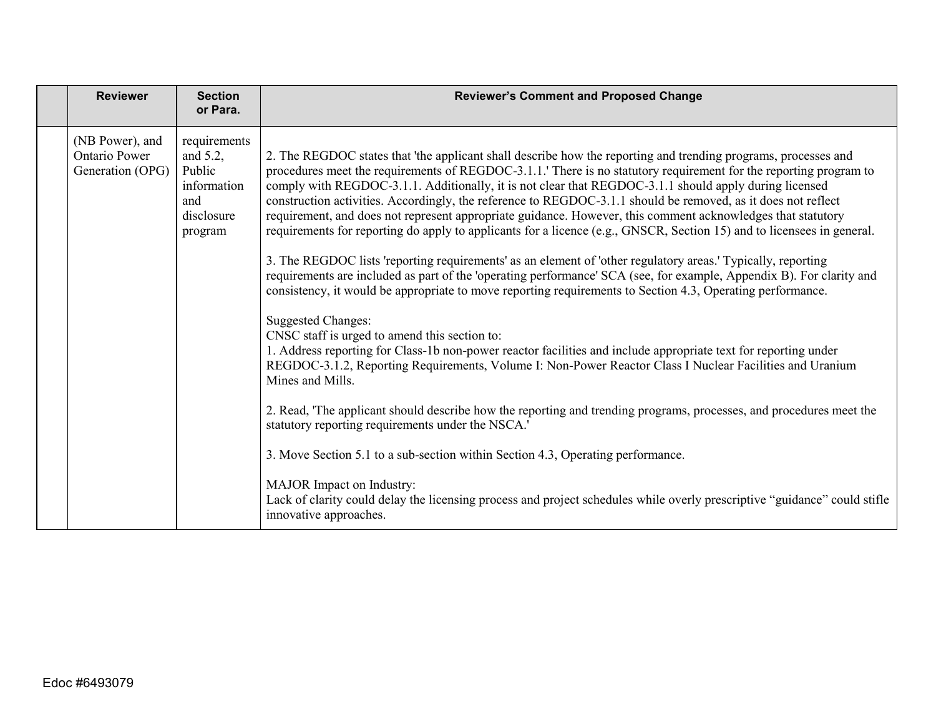| <b>Reviewer</b>                                             | <b>Section</b><br>or Para.                                                           | <b>Reviewer's Comment and Proposed Change</b>                                                                                                                                                                                                                                                                                                                                                                                                                                                                                                                                                                                                                                                                                                                                                                                                                                                                                                                                                                                                                                                                                                                                                                                                                                                                                                                                                                                                                                                                                                                                                                                                                                                                                                                                                                                                    |
|-------------------------------------------------------------|--------------------------------------------------------------------------------------|--------------------------------------------------------------------------------------------------------------------------------------------------------------------------------------------------------------------------------------------------------------------------------------------------------------------------------------------------------------------------------------------------------------------------------------------------------------------------------------------------------------------------------------------------------------------------------------------------------------------------------------------------------------------------------------------------------------------------------------------------------------------------------------------------------------------------------------------------------------------------------------------------------------------------------------------------------------------------------------------------------------------------------------------------------------------------------------------------------------------------------------------------------------------------------------------------------------------------------------------------------------------------------------------------------------------------------------------------------------------------------------------------------------------------------------------------------------------------------------------------------------------------------------------------------------------------------------------------------------------------------------------------------------------------------------------------------------------------------------------------------------------------------------------------------------------------------------------------|
| (NB Power), and<br><b>Ontario Power</b><br>Generation (OPG) | requirements<br>and $5.2$ ,<br>Public<br>information<br>and<br>disclosure<br>program | 2. The REGDOC states that 'the applicant shall describe how the reporting and trending programs, processes and<br>procedures meet the requirements of REGDOC-3.1.1. There is no statutory requirement for the reporting program to<br>comply with REGDOC-3.1.1. Additionally, it is not clear that REGDOC-3.1.1 should apply during licensed<br>construction activities. Accordingly, the reference to REGDOC-3.1.1 should be removed, as it does not reflect<br>requirement, and does not represent appropriate guidance. However, this comment acknowledges that statutory<br>requirements for reporting do apply to applicants for a licence (e.g., GNSCR, Section 15) and to licensees in general.<br>3. The REGDOC lists 'reporting requirements' as an element of 'other regulatory areas.' Typically, reporting<br>requirements are included as part of the 'operating performance' SCA (see, for example, Appendix B). For clarity and<br>consistency, it would be appropriate to move reporting requirements to Section 4.3, Operating performance.<br><b>Suggested Changes:</b><br>CNSC staff is urged to amend this section to:<br>1. Address reporting for Class-1b non-power reactor facilities and include appropriate text for reporting under<br>REGDOC-3.1.2, Reporting Requirements, Volume I: Non-Power Reactor Class I Nuclear Facilities and Uranium<br>Mines and Mills.<br>2. Read, 'The applicant should describe how the reporting and trending programs, processes, and procedures meet the<br>statutory reporting requirements under the NSCA.'<br>3. Move Section 5.1 to a sub-section within Section 4.3, Operating performance.<br>MAJOR Impact on Industry:<br>Lack of clarity could delay the licensing process and project schedules while overly prescriptive "guidance" could stifle<br>innovative approaches. |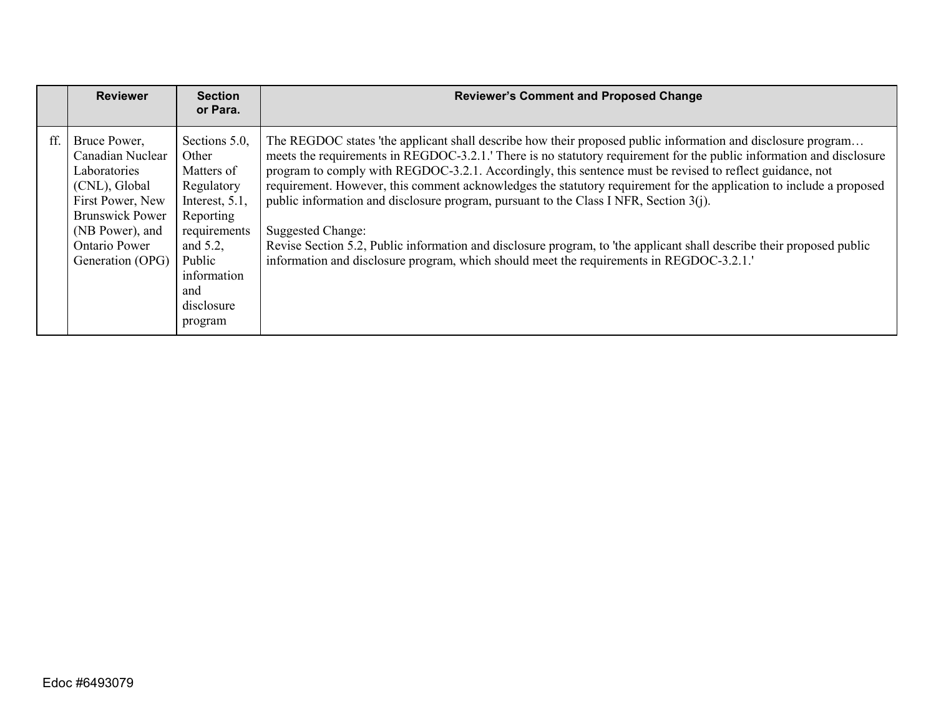|     | <b>Reviewer</b>                                                                                                                                                         | <b>Section</b><br>or Para.                                                                                                                                             | <b>Reviewer's Comment and Proposed Change</b>                                                                                                                                                                                                                                                                                                                                                                                                                                                                                                                                                                                                                                                                                                                                                                |
|-----|-------------------------------------------------------------------------------------------------------------------------------------------------------------------------|------------------------------------------------------------------------------------------------------------------------------------------------------------------------|--------------------------------------------------------------------------------------------------------------------------------------------------------------------------------------------------------------------------------------------------------------------------------------------------------------------------------------------------------------------------------------------------------------------------------------------------------------------------------------------------------------------------------------------------------------------------------------------------------------------------------------------------------------------------------------------------------------------------------------------------------------------------------------------------------------|
| ff. | Bruce Power,<br>Canadian Nuclear<br>Laboratories<br>(CNL), Global<br>First Power, New<br><b>Brunswick Power</b><br>(NB Power), and<br>Ontario Power<br>Generation (OPG) | Sections 5.0,<br>Other<br>Matters of<br>Regulatory<br>Interest, 5.1,<br>Reporting<br>requirements<br>and 5.2,<br>Public<br>information<br>and<br>disclosure<br>program | The REGDOC states 'the applicant shall describe how their proposed public information and disclosure program<br>meets the requirements in REGDOC-3.2.1.' There is no statutory requirement for the public information and disclosure<br>program to comply with REGDOC-3.2.1. Accordingly, this sentence must be revised to reflect guidance, not<br>requirement. However, this comment acknowledges the statutory requirement for the application to include a proposed<br>public information and disclosure program, pursuant to the Class I NFR, Section $3(i)$ .<br>Suggested Change:<br>Revise Section 5.2, Public information and disclosure program, to 'the applicant shall describe their proposed public<br>information and disclosure program, which should meet the requirements in REGDOC-3.2.1. |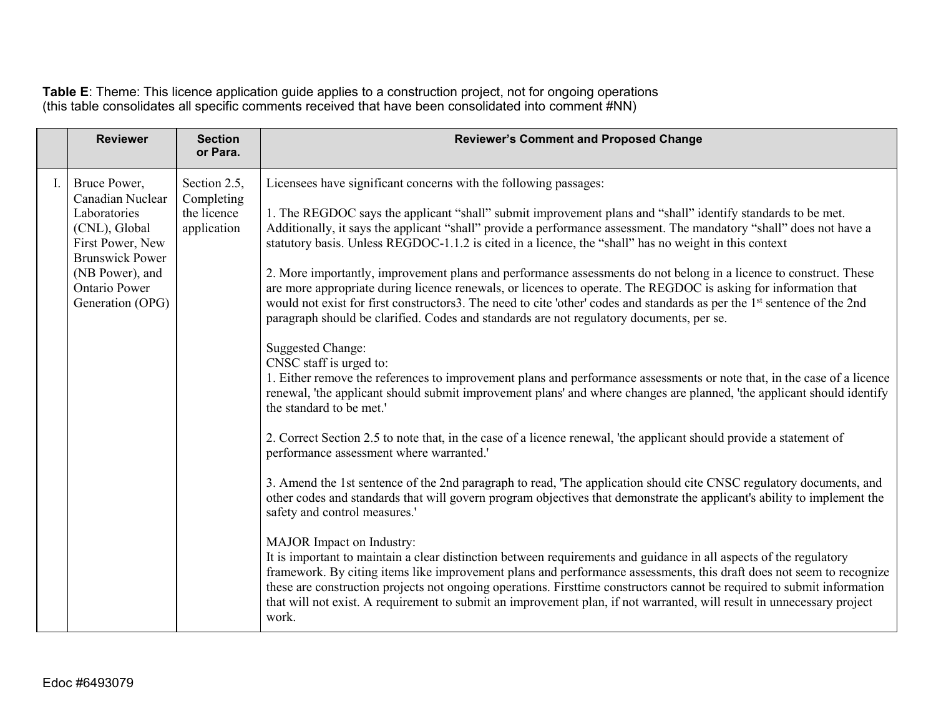**Table E**: Theme: This licence application guide applies to a construction project, not for ongoing operations (this table consolidates all specific comments received that have been consolidated into comment #NN)

|    | <b>Reviewer</b>                                                                                                                                                                | <b>Section</b><br>or Para.                               | <b>Reviewer's Comment and Proposed Change</b>                                                                                                                                                                                                                                                                                                                                                                                                                                                                                                                                                                                                                                                                                                                                                                                                                                                                                                                                                                                                                                                                                                                                                                                                                                                                                                                                                                                                                                                                                                                                                                                                                                                                                                                                                                                                                                                                                                                                                                                                                                                                                                                                                                                      |
|----|--------------------------------------------------------------------------------------------------------------------------------------------------------------------------------|----------------------------------------------------------|------------------------------------------------------------------------------------------------------------------------------------------------------------------------------------------------------------------------------------------------------------------------------------------------------------------------------------------------------------------------------------------------------------------------------------------------------------------------------------------------------------------------------------------------------------------------------------------------------------------------------------------------------------------------------------------------------------------------------------------------------------------------------------------------------------------------------------------------------------------------------------------------------------------------------------------------------------------------------------------------------------------------------------------------------------------------------------------------------------------------------------------------------------------------------------------------------------------------------------------------------------------------------------------------------------------------------------------------------------------------------------------------------------------------------------------------------------------------------------------------------------------------------------------------------------------------------------------------------------------------------------------------------------------------------------------------------------------------------------------------------------------------------------------------------------------------------------------------------------------------------------------------------------------------------------------------------------------------------------------------------------------------------------------------------------------------------------------------------------------------------------------------------------------------------------------------------------------------------------|
| Ι. | Bruce Power,<br>Canadian Nuclear<br>Laboratories<br>(CNL), Global<br>First Power, New<br><b>Brunswick Power</b><br>(NB Power), and<br><b>Ontario Power</b><br>Generation (OPG) | Section 2.5,<br>Completing<br>the licence<br>application | Licensees have significant concerns with the following passages:<br>1. The REGDOC says the applicant "shall" submit improvement plans and "shall" identify standards to be met.<br>Additionally, it says the applicant "shall" provide a performance assessment. The mandatory "shall" does not have a<br>statutory basis. Unless REGDOC-1.1.2 is cited in a licence, the "shall" has no weight in this context<br>2. More importantly, improvement plans and performance assessments do not belong in a licence to construct. These<br>are more appropriate during licence renewals, or licences to operate. The REGDOC is asking for information that<br>would not exist for first constructors3. The need to cite 'other' codes and standards as per the 1 <sup>st</sup> sentence of the 2nd<br>paragraph should be clarified. Codes and standards are not regulatory documents, per se.<br><b>Suggested Change:</b><br>CNSC staff is urged to:<br>1. Either remove the references to improvement plans and performance assessments or note that, in the case of a licence<br>renewal, 'the applicant should submit improvement plans' and where changes are planned, 'the applicant should identify<br>the standard to be met.'<br>2. Correct Section 2.5 to note that, in the case of a licence renewal, 'the applicant should provide a statement of<br>performance assessment where warranted.'<br>3. Amend the 1st sentence of the 2nd paragraph to read, 'The application should cite CNSC regulatory documents, and<br>other codes and standards that will govern program objectives that demonstrate the applicant's ability to implement the<br>safety and control measures.'<br>MAJOR Impact on Industry:<br>It is important to maintain a clear distinction between requirements and guidance in all aspects of the regulatory<br>framework. By citing items like improvement plans and performance assessments, this draft does not seem to recognize<br>these are construction projects not ongoing operations. Firsttime constructors cannot be required to submit information<br>that will not exist. A requirement to submit an improvement plan, if not warranted, will result in unnecessary project<br>work. |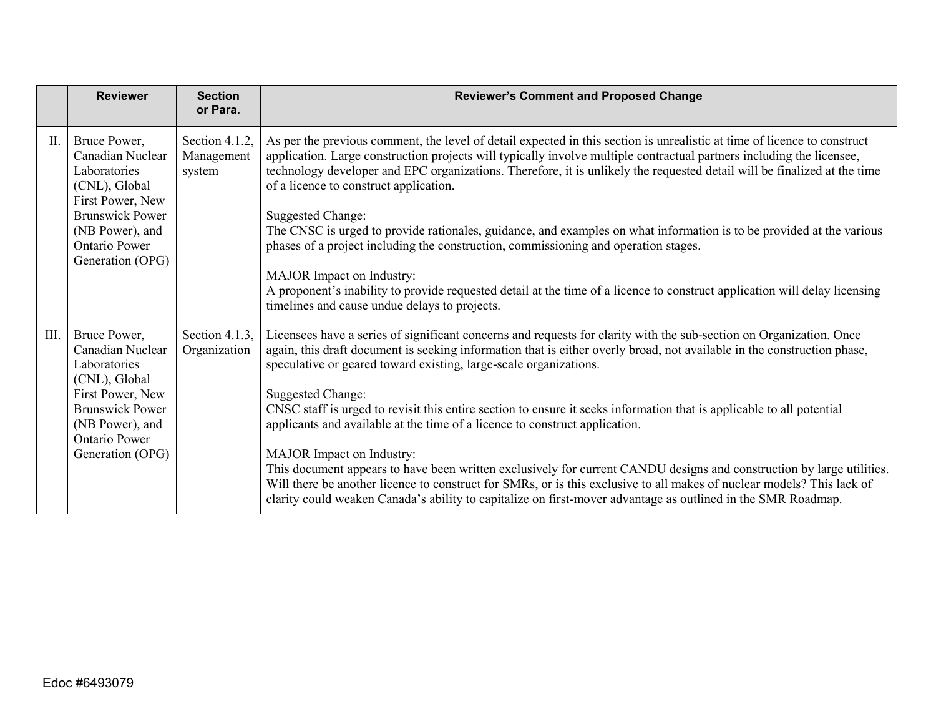|      | <b>Reviewer</b>                                                                                                                                                                | <b>Section</b><br>or Para.             | <b>Reviewer's Comment and Proposed Change</b>                                                                                                                                                                                                                                                                                                                                                                                                                                                                                                                                                                                                                                                                                                                                                                                                                                                                                                           |
|------|--------------------------------------------------------------------------------------------------------------------------------------------------------------------------------|----------------------------------------|---------------------------------------------------------------------------------------------------------------------------------------------------------------------------------------------------------------------------------------------------------------------------------------------------------------------------------------------------------------------------------------------------------------------------------------------------------------------------------------------------------------------------------------------------------------------------------------------------------------------------------------------------------------------------------------------------------------------------------------------------------------------------------------------------------------------------------------------------------------------------------------------------------------------------------------------------------|
| II.  | Bruce Power,<br>Canadian Nuclear<br>Laboratories<br>(CNL), Global<br>First Power, New<br><b>Brunswick Power</b><br>(NB Power), and<br><b>Ontario Power</b><br>Generation (OPG) | Section 4.1.2,<br>Management<br>system | As per the previous comment, the level of detail expected in this section is unrealistic at time of licence to construct<br>application. Large construction projects will typically involve multiple contractual partners including the licensee,<br>technology developer and EPC organizations. Therefore, it is unlikely the requested detail will be finalized at the time<br>of a licence to construct application.<br><b>Suggested Change:</b><br>The CNSC is urged to provide rationales, guidance, and examples on what information is to be provided at the various<br>phases of a project including the construction, commissioning and operation stages.<br>MAJOR Impact on Industry:<br>A proponent's inability to provide requested detail at the time of a licence to construct application will delay licensing<br>timelines and cause undue delays to projects.                                                                          |
| III. | Bruce Power,<br>Canadian Nuclear<br>Laboratories<br>(CNL), Global<br>First Power, New<br><b>Brunswick Power</b><br>(NB Power), and<br><b>Ontario Power</b><br>Generation (OPG) | Section 4.1.3,<br>Organization         | Licensees have a series of significant concerns and requests for clarity with the sub-section on Organization. Once<br>again, this draft document is seeking information that is either overly broad, not available in the construction phase,<br>speculative or geared toward existing, large-scale organizations.<br><b>Suggested Change:</b><br>CNSC staff is urged to revisit this entire section to ensure it seeks information that is applicable to all potential<br>applicants and available at the time of a licence to construct application.<br>MAJOR Impact on Industry:<br>This document appears to have been written exclusively for current CANDU designs and construction by large utilities.<br>Will there be another licence to construct for SMRs, or is this exclusive to all makes of nuclear models? This lack of<br>clarity could weaken Canada's ability to capitalize on first-mover advantage as outlined in the SMR Roadmap. |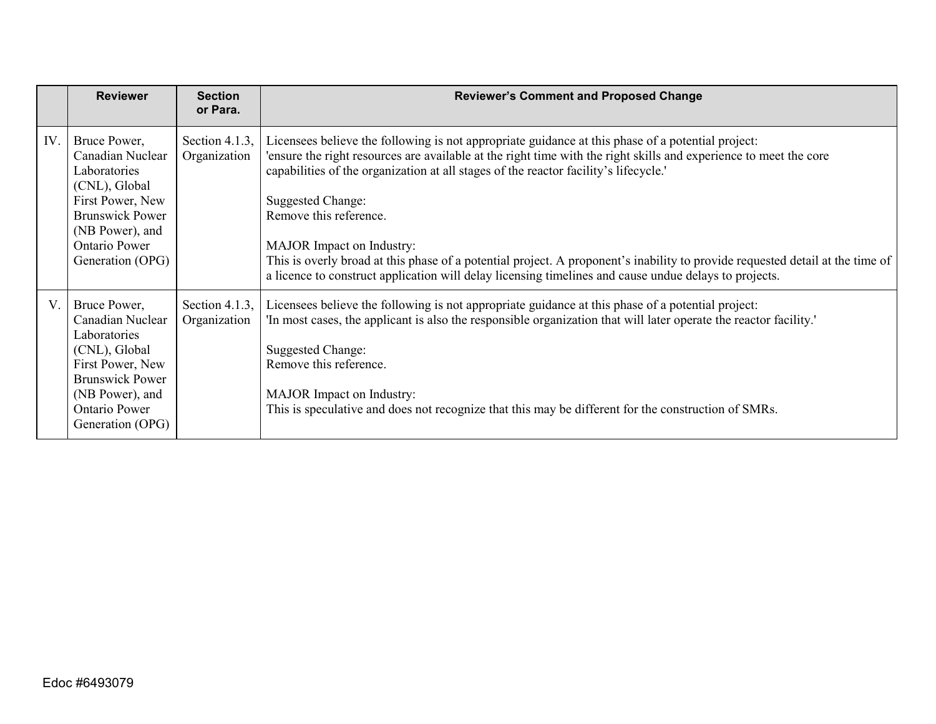|     | <b>Reviewer</b>                                                                                                                                                                | <b>Section</b><br>or Para.     | <b>Reviewer's Comment and Proposed Change</b>                                                                                                                                                                                                                                                                                                                                                                                                                                                                                                                                                                                             |
|-----|--------------------------------------------------------------------------------------------------------------------------------------------------------------------------------|--------------------------------|-------------------------------------------------------------------------------------------------------------------------------------------------------------------------------------------------------------------------------------------------------------------------------------------------------------------------------------------------------------------------------------------------------------------------------------------------------------------------------------------------------------------------------------------------------------------------------------------------------------------------------------------|
| IV. | Bruce Power,<br>Canadian Nuclear<br>Laboratories<br>(CNL), Global<br>First Power, New<br><b>Brunswick Power</b><br>(NB Power), and<br><b>Ontario Power</b><br>Generation (OPG) | Section 4.1.3,<br>Organization | Licensees believe the following is not appropriate guidance at this phase of a potential project:<br>ensure the right resources are available at the right time with the right skills and experience to meet the core<br>capabilities of the organization at all stages of the reactor facility's lifecycle.<br><b>Suggested Change:</b><br>Remove this reference.<br>MAJOR Impact on Industry:<br>This is overly broad at this phase of a potential project. A proponent's inability to provide requested detail at the time of<br>a licence to construct application will delay licensing timelines and cause undue delays to projects. |
| V.  | Bruce Power,<br>Canadian Nuclear<br>Laboratories<br>(CNL), Global<br>First Power, New<br><b>Brunswick Power</b><br>(NB Power), and<br>Ontario Power<br>Generation (OPG)        | Section 4.1.3,<br>Organization | Licensees believe the following is not appropriate guidance at this phase of a potential project:<br>'In most cases, the applicant is also the responsible organization that will later operate the reactor facility.'<br><b>Suggested Change:</b><br>Remove this reference.<br>MAJOR Impact on Industry:<br>This is speculative and does not recognize that this may be different for the construction of SMRs.                                                                                                                                                                                                                          |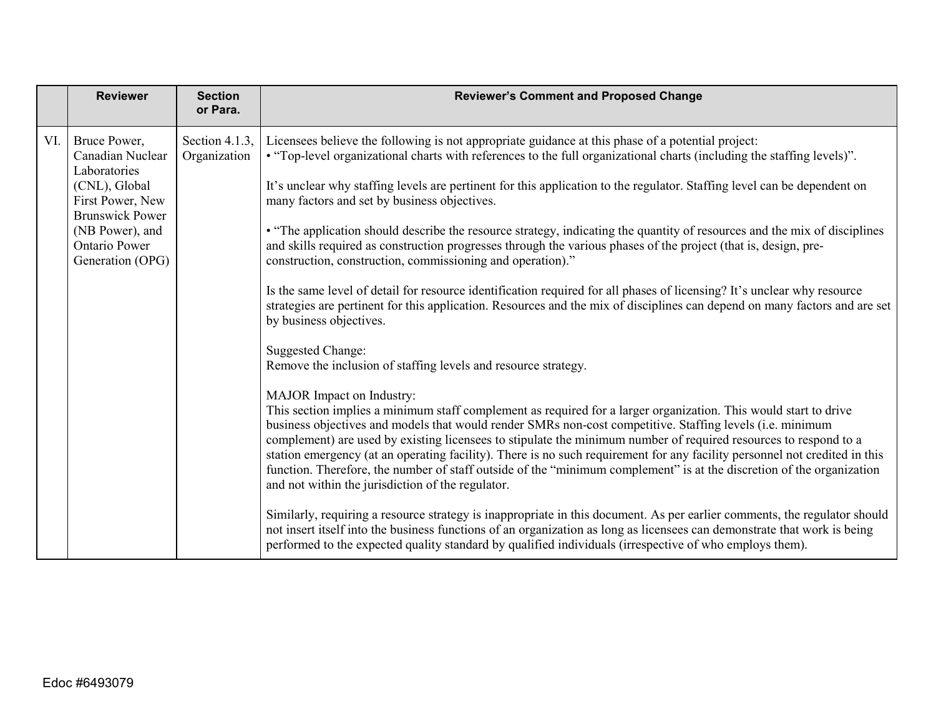|     | <b>Reviewer</b>                                                                                                                                            | <b>Section</b><br>or Para.     | <b>Reviewer's Comment and Proposed Change</b>                                                                                                                                                                                                                                                                                                                                                                                                                                                                                                                                                                                                                                                                                                                |
|-----|------------------------------------------------------------------------------------------------------------------------------------------------------------|--------------------------------|--------------------------------------------------------------------------------------------------------------------------------------------------------------------------------------------------------------------------------------------------------------------------------------------------------------------------------------------------------------------------------------------------------------------------------------------------------------------------------------------------------------------------------------------------------------------------------------------------------------------------------------------------------------------------------------------------------------------------------------------------------------|
| VI. | Bruce Power,<br>Canadian Nuclear<br>Laboratories<br>(CNL), Global<br>First Power, New<br><b>Brunswick Power</b><br>(NB Power), and<br><b>Ontario Power</b> | Section 4.1.3,<br>Organization | Licensees believe the following is not appropriate guidance at this phase of a potential project:<br>• "Top-level organizational charts with references to the full organizational charts (including the staffing levels)".<br>It's unclear why staffing levels are pertinent for this application to the regulator. Staffing level can be dependent on<br>many factors and set by business objectives.<br>• "The application should describe the resource strategy, indicating the quantity of resources and the mix of disciplines<br>and skills required as construction progresses through the various phases of the project (that is, design, pre-                                                                                                      |
|     | Generation (OPG)                                                                                                                                           |                                | construction, construction, commissioning and operation)."<br>Is the same level of detail for resource identification required for all phases of licensing? It's unclear why resource<br>strategies are pertinent for this application. Resources and the mix of disciplines can depend on many factors and are set<br>by business objectives.<br><b>Suggested Change:</b>                                                                                                                                                                                                                                                                                                                                                                                   |
|     |                                                                                                                                                            |                                | Remove the inclusion of staffing levels and resource strategy.<br>MAJOR Impact on Industry:<br>This section implies a minimum staff complement as required for a larger organization. This would start to drive<br>business objectives and models that would render SMRs non-cost competitive. Staffing levels (i.e. minimum<br>complement) are used by existing licensees to stipulate the minimum number of required resources to respond to a<br>station emergency (at an operating facility). There is no such requirement for any facility personnel not credited in this<br>function. Therefore, the number of staff outside of the "minimum complement" is at the discretion of the organization<br>and not within the jurisdiction of the regulator. |
|     |                                                                                                                                                            |                                | Similarly, requiring a resource strategy is inappropriate in this document. As per earlier comments, the regulator should<br>not insert itself into the business functions of an organization as long as licensees can demonstrate that work is being<br>performed to the expected quality standard by qualified individuals (irrespective of who employs them).                                                                                                                                                                                                                                                                                                                                                                                             |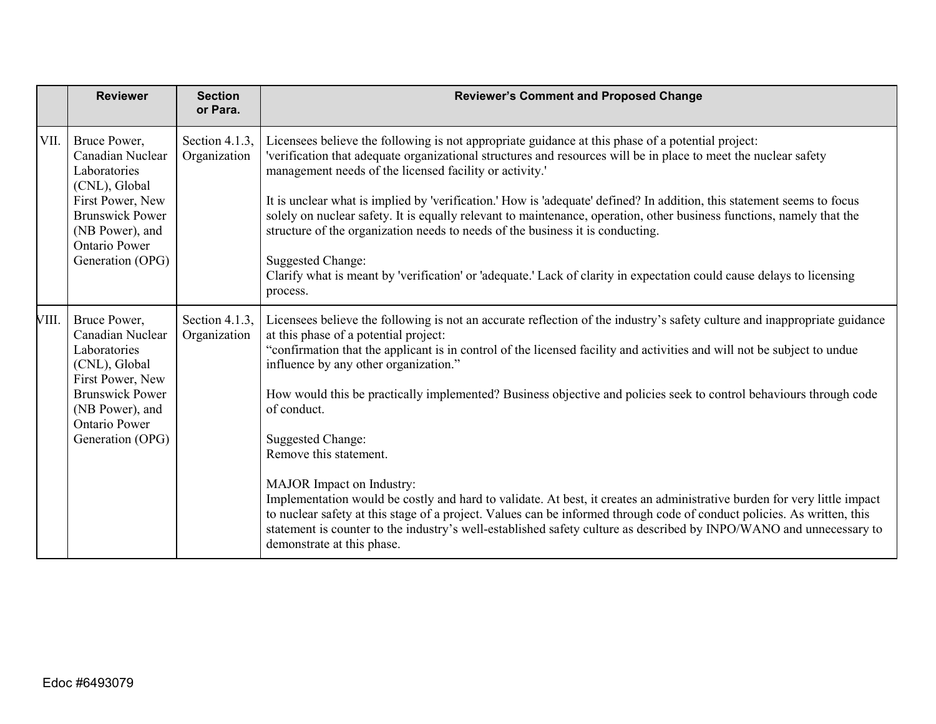|       | <b>Reviewer</b>                                                                                                                                                                | <b>Section</b><br>or Para.     | <b>Reviewer's Comment and Proposed Change</b>                                                                                                                                                                                                                                                                                                                                                                                                                                                                                                                                                                                                                                                                                                                                                                                                                                                                                                                              |
|-------|--------------------------------------------------------------------------------------------------------------------------------------------------------------------------------|--------------------------------|----------------------------------------------------------------------------------------------------------------------------------------------------------------------------------------------------------------------------------------------------------------------------------------------------------------------------------------------------------------------------------------------------------------------------------------------------------------------------------------------------------------------------------------------------------------------------------------------------------------------------------------------------------------------------------------------------------------------------------------------------------------------------------------------------------------------------------------------------------------------------------------------------------------------------------------------------------------------------|
| VII.  | Bruce Power,<br>Canadian Nuclear<br>Laboratories<br>(CNL), Global<br>First Power, New<br><b>Brunswick Power</b><br>(NB Power), and<br><b>Ontario Power</b><br>Generation (OPG) | Section 4.1.3,<br>Organization | Licensees believe the following is not appropriate guidance at this phase of a potential project:<br>'verification that adequate organizational structures and resources will be in place to meet the nuclear safety<br>management needs of the licensed facility or activity.'<br>It is unclear what is implied by 'verification.' How is 'adequate' defined? In addition, this statement seems to focus<br>solely on nuclear safety. It is equally relevant to maintenance, operation, other business functions, namely that the<br>structure of the organization needs to needs of the business it is conducting.<br><b>Suggested Change:</b><br>Clarify what is meant by 'verification' or 'adequate.' Lack of clarity in expectation could cause delays to licensing<br>process.                                                                                                                                                                                      |
| VIII. | Bruce Power,<br>Canadian Nuclear<br>Laboratories<br>(CNL), Global<br>First Power, New<br><b>Brunswick Power</b><br>(NB Power), and<br><b>Ontario Power</b><br>Generation (OPG) | Section 4.1.3,<br>Organization | Licensees believe the following is not an accurate reflection of the industry's safety culture and inappropriate guidance<br>at this phase of a potential project:<br>"confirmation that the applicant is in control of the licensed facility and activities and will not be subject to undue<br>influence by any other organization."<br>How would this be practically implemented? Business objective and policies seek to control behaviours through code<br>of conduct.<br><b>Suggested Change:</b><br>Remove this statement.<br>MAJOR Impact on Industry:<br>Implementation would be costly and hard to validate. At best, it creates an administrative burden for very little impact<br>to nuclear safety at this stage of a project. Values can be informed through code of conduct policies. As written, this<br>statement is counter to the industry's well-established safety culture as described by INPO/WANO and unnecessary to<br>demonstrate at this phase. |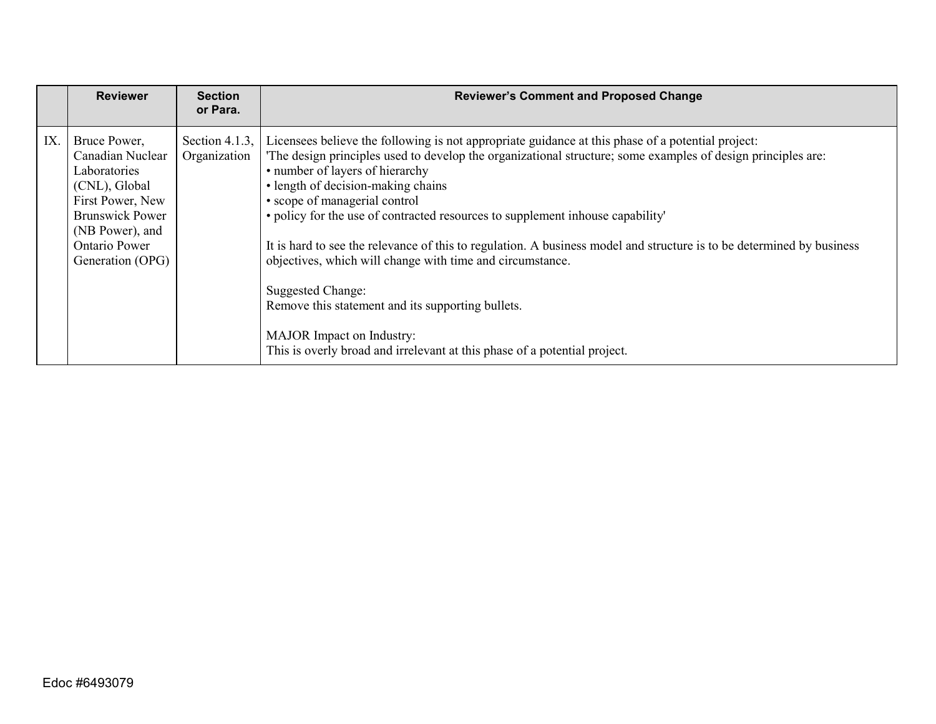|     | <b>Reviewer</b>                                                                                                                                                                | <b>Section</b><br>or Para.     | <b>Reviewer's Comment and Proposed Change</b>                                                                                                                                                                                                                                                                                                                                                                                                                                                                                                                                                                                                                                                                                                                                           |
|-----|--------------------------------------------------------------------------------------------------------------------------------------------------------------------------------|--------------------------------|-----------------------------------------------------------------------------------------------------------------------------------------------------------------------------------------------------------------------------------------------------------------------------------------------------------------------------------------------------------------------------------------------------------------------------------------------------------------------------------------------------------------------------------------------------------------------------------------------------------------------------------------------------------------------------------------------------------------------------------------------------------------------------------------|
| IX. | Bruce Power,<br>Canadian Nuclear<br>Laboratories<br>(CNL), Global<br>First Power, New<br><b>Brunswick Power</b><br>(NB Power), and<br><b>Ontario Power</b><br>Generation (OPG) | Section 4.1.3,<br>Organization | Licensees believe the following is not appropriate guidance at this phase of a potential project:<br>'The design principles used to develop the organizational structure; some examples of design principles are:<br>• number of layers of hierarchy<br>• length of decision-making chains<br>• scope of managerial control<br>• policy for the use of contracted resources to supplement inhouse capability'<br>It is hard to see the relevance of this to regulation. A business model and structure is to be determined by business<br>objectives, which will change with time and circumstance.<br>Suggested Change:<br>Remove this statement and its supporting bullets.<br>MAJOR Impact on Industry:<br>This is overly broad and irrelevant at this phase of a potential project. |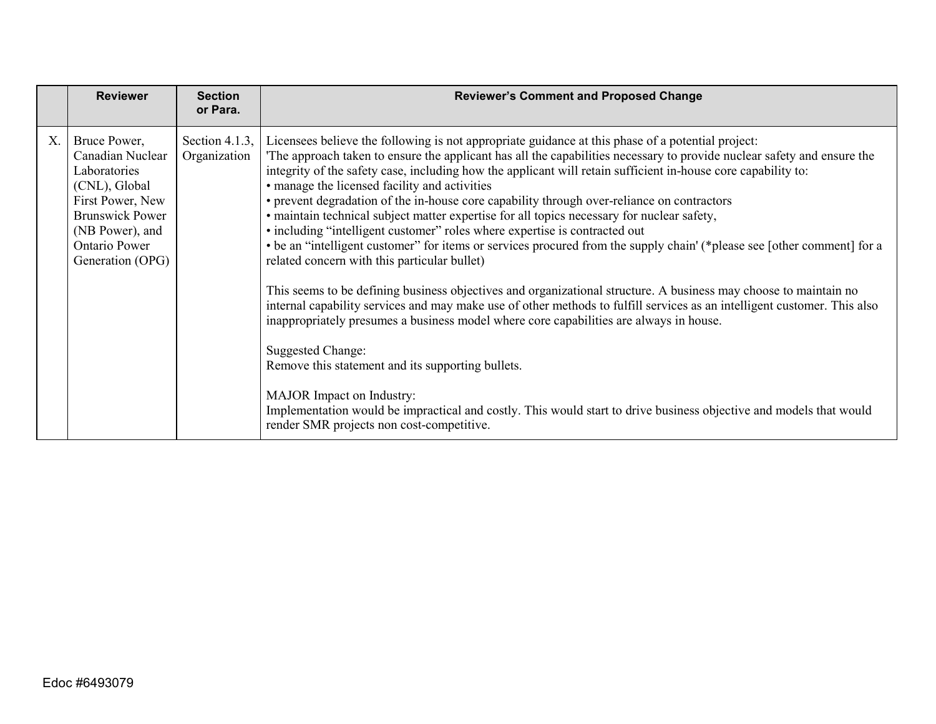|    | <b>Reviewer</b>                                                                                                                                                                | <b>Section</b><br>or Para.     | <b>Reviewer's Comment and Proposed Change</b>                                                                                                                                                                                                                                                                                                                                                                                                                                                                                                                                                                                                                                                                                                                                                                                                                                                                                                                                                                                                                                                                                                                                                                                                                                                                                                                                                                                                                          |
|----|--------------------------------------------------------------------------------------------------------------------------------------------------------------------------------|--------------------------------|------------------------------------------------------------------------------------------------------------------------------------------------------------------------------------------------------------------------------------------------------------------------------------------------------------------------------------------------------------------------------------------------------------------------------------------------------------------------------------------------------------------------------------------------------------------------------------------------------------------------------------------------------------------------------------------------------------------------------------------------------------------------------------------------------------------------------------------------------------------------------------------------------------------------------------------------------------------------------------------------------------------------------------------------------------------------------------------------------------------------------------------------------------------------------------------------------------------------------------------------------------------------------------------------------------------------------------------------------------------------------------------------------------------------------------------------------------------------|
| X. | Bruce Power,<br>Canadian Nuclear<br>Laboratories<br>(CNL), Global<br>First Power, New<br><b>Brunswick Power</b><br>(NB Power), and<br><b>Ontario Power</b><br>Generation (OPG) | Section 4.1.3,<br>Organization | Licensees believe the following is not appropriate guidance at this phase of a potential project:<br>The approach taken to ensure the applicant has all the capabilities necessary to provide nuclear safety and ensure the<br>integrity of the safety case, including how the applicant will retain sufficient in-house core capability to:<br>• manage the licensed facility and activities<br>• prevent degradation of the in-house core capability through over-reliance on contractors<br>• maintain technical subject matter expertise for all topics necessary for nuclear safety,<br>• including "intelligent customer" roles where expertise is contracted out<br>• be an "intelligent customer" for items or services procured from the supply chain' (*please see [other comment] for a<br>related concern with this particular bullet)<br>This seems to be defining business objectives and organizational structure. A business may choose to maintain no<br>internal capability services and may make use of other methods to fulfill services as an intelligent customer. This also<br>inappropriately presumes a business model where core capabilities are always in house.<br>Suggested Change:<br>Remove this statement and its supporting bullets.<br>MAJOR Impact on Industry:<br>Implementation would be impractical and costly. This would start to drive business objective and models that would<br>render SMR projects non cost-competitive. |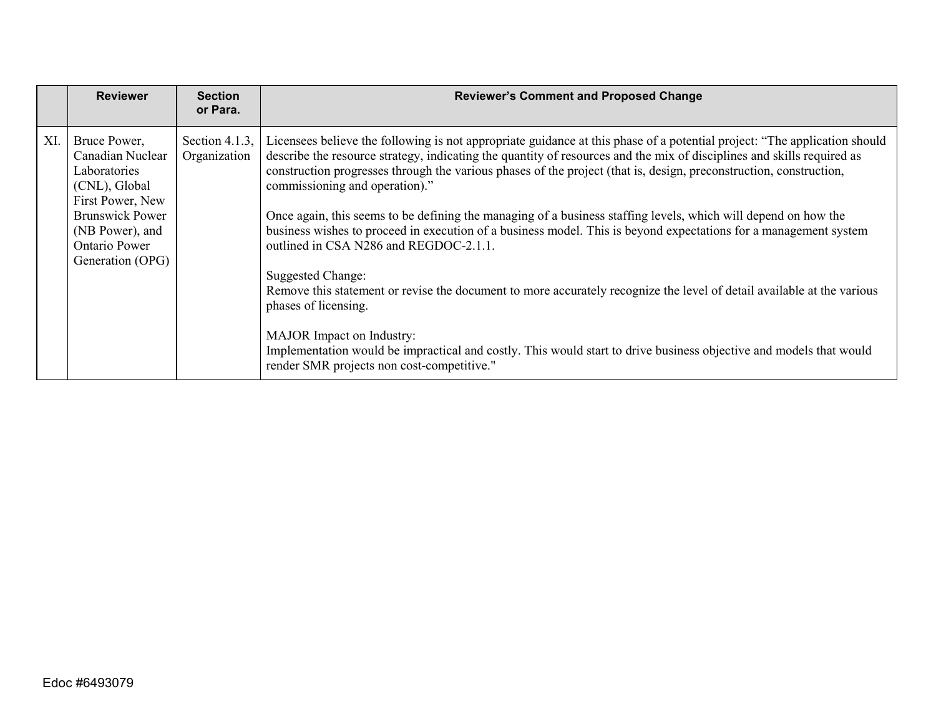|     | <b>Reviewer</b>                                                                                                                                                         | <b>Section</b><br>or Para.     | <b>Reviewer's Comment and Proposed Change</b>                                                                                                                                                                                                                                                                                                                                                                                                                                                                                                                                                                                                                                                                                                                                                                                                                                                                                                                                                                                                                              |
|-----|-------------------------------------------------------------------------------------------------------------------------------------------------------------------------|--------------------------------|----------------------------------------------------------------------------------------------------------------------------------------------------------------------------------------------------------------------------------------------------------------------------------------------------------------------------------------------------------------------------------------------------------------------------------------------------------------------------------------------------------------------------------------------------------------------------------------------------------------------------------------------------------------------------------------------------------------------------------------------------------------------------------------------------------------------------------------------------------------------------------------------------------------------------------------------------------------------------------------------------------------------------------------------------------------------------|
| XI. | Bruce Power,<br>Canadian Nuclear<br>Laboratories<br>(CNL), Global<br>First Power, New<br><b>Brunswick Power</b><br>(NB Power), and<br>Ontario Power<br>Generation (OPG) | Section 4.1.3,<br>Organization | Licensees believe the following is not appropriate guidance at this phase of a potential project: "The application should<br>describe the resource strategy, indicating the quantity of resources and the mix of disciplines and skills required as<br>construction progresses through the various phases of the project (that is, design, preconstruction, construction,<br>commissioning and operation)."<br>Once again, this seems to be defining the managing of a business staffing levels, which will depend on how the<br>business wishes to proceed in execution of a business model. This is beyond expectations for a management system<br>outlined in CSA N286 and REGDOC-2.1.1.<br>Suggested Change:<br>Remove this statement or revise the document to more accurately recognize the level of detail available at the various<br>phases of licensing.<br><b>MAJOR</b> Impact on Industry:<br>Implementation would be impractical and costly. This would start to drive business objective and models that would<br>render SMR projects non cost-competitive." |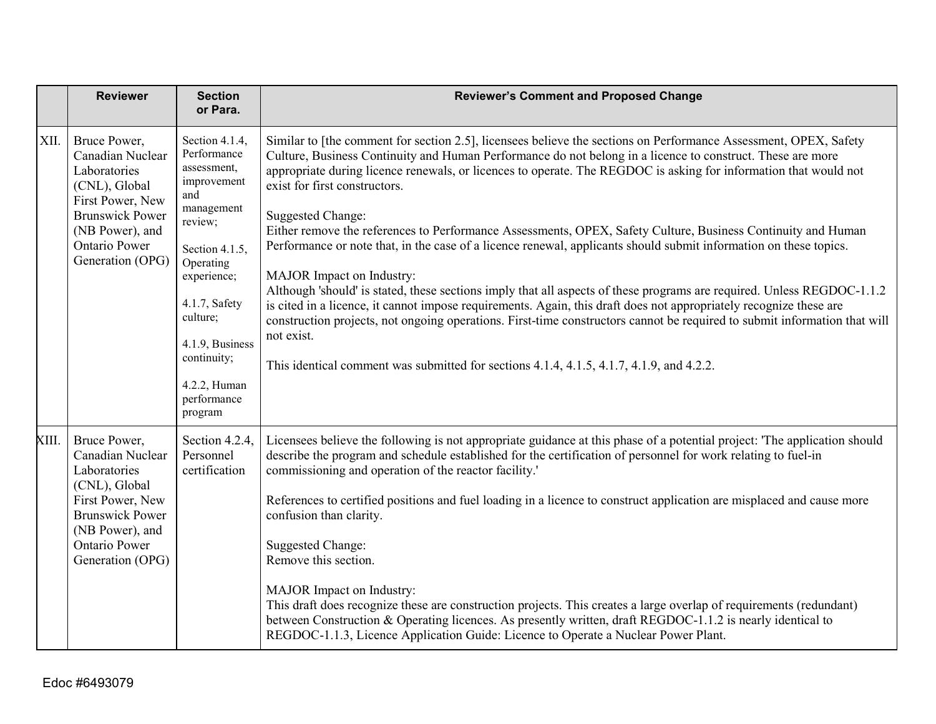|       | <b>Reviewer</b>                                                                                                                                                                | <b>Section</b><br>or Para.                                                                                                                                                                                                                         | <b>Reviewer's Comment and Proposed Change</b>                                                                                                                                                                                                                                                                                                                                                                                                                                                                                                                                                                                                                                                                                                                                                                                                                                                                                                                                                                                                                                                                                                                            |
|-------|--------------------------------------------------------------------------------------------------------------------------------------------------------------------------------|----------------------------------------------------------------------------------------------------------------------------------------------------------------------------------------------------------------------------------------------------|--------------------------------------------------------------------------------------------------------------------------------------------------------------------------------------------------------------------------------------------------------------------------------------------------------------------------------------------------------------------------------------------------------------------------------------------------------------------------------------------------------------------------------------------------------------------------------------------------------------------------------------------------------------------------------------------------------------------------------------------------------------------------------------------------------------------------------------------------------------------------------------------------------------------------------------------------------------------------------------------------------------------------------------------------------------------------------------------------------------------------------------------------------------------------|
| XII.  | Bruce Power,<br>Canadian Nuclear<br>Laboratories<br>(CNL), Global<br>First Power, New<br><b>Brunswick Power</b><br>(NB Power), and<br><b>Ontario Power</b><br>Generation (OPG) | Section 4.1.4,<br>Performance<br>assessment,<br>improvement<br>and<br>management<br>review;<br>Section 4.1.5,<br>Operating<br>experience;<br>4.1.7, Safety<br>culture;<br>4.1.9, Business<br>continuity;<br>4.2.2, Human<br>performance<br>program | Similar to [the comment for section 2.5], licensees believe the sections on Performance Assessment, OPEX, Safety<br>Culture, Business Continuity and Human Performance do not belong in a licence to construct. These are more<br>appropriate during licence renewals, or licences to operate. The REGDOC is asking for information that would not<br>exist for first constructors.<br><b>Suggested Change:</b><br>Either remove the references to Performance Assessments, OPEX, Safety Culture, Business Continuity and Human<br>Performance or note that, in the case of a licence renewal, applicants should submit information on these topics.<br>MAJOR Impact on Industry:<br>Although 'should' is stated, these sections imply that all aspects of these programs are required. Unless REGDOC-1.1.2<br>is cited in a licence, it cannot impose requirements. Again, this draft does not appropriately recognize these are<br>construction projects, not ongoing operations. First-time constructors cannot be required to submit information that will<br>not exist.<br>This identical comment was submitted for sections 4.1.4, 4.1.5, 4.1.7, 4.1.9, and 4.2.2. |
| XIII. | Bruce Power,<br>Canadian Nuclear<br>Laboratories<br>(CNL), Global<br>First Power, New<br><b>Brunswick Power</b><br>(NB Power), and<br>Ontario Power<br>Generation (OPG)        | Section 4.2.4,<br>Personnel<br>certification                                                                                                                                                                                                       | Licensees believe the following is not appropriate guidance at this phase of a potential project: 'The application should<br>describe the program and schedule established for the certification of personnel for work relating to fuel-in<br>commissioning and operation of the reactor facility.'<br>References to certified positions and fuel loading in a licence to construct application are misplaced and cause more<br>confusion than clarity.<br><b>Suggested Change:</b><br>Remove this section.<br>MAJOR Impact on Industry:<br>This draft does recognize these are construction projects. This creates a large overlap of requirements (redundant)<br>between Construction & Operating licences. As presently written, draft REGDOC-1.1.2 is nearly identical to<br>REGDOC-1.1.3, Licence Application Guide: Licence to Operate a Nuclear Power Plant.                                                                                                                                                                                                                                                                                                      |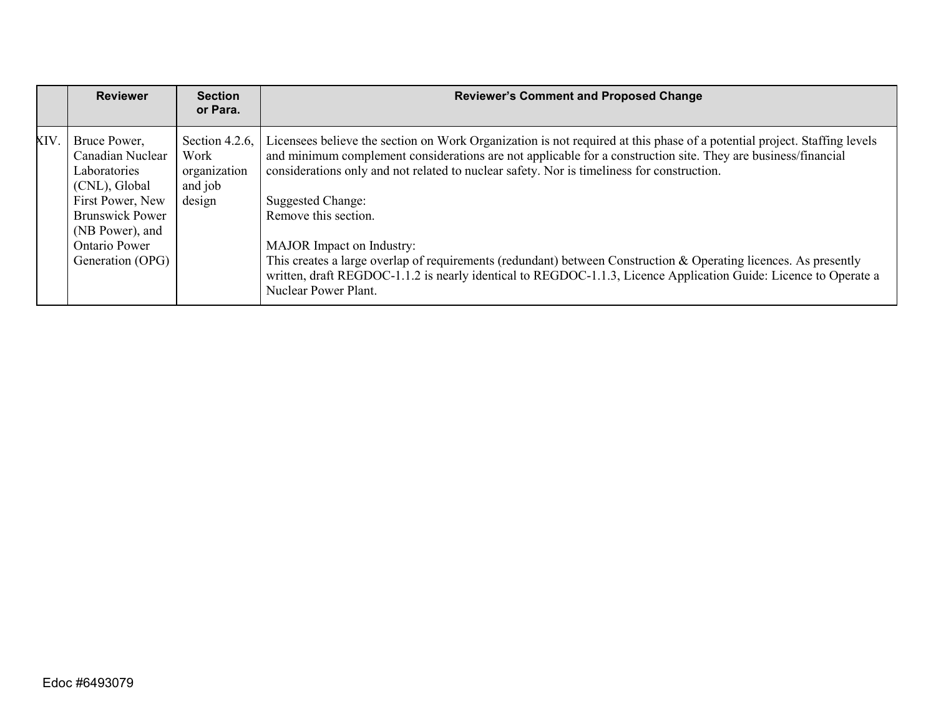|      | <b>Reviewer</b>                                                                                                                                                                | <b>Section</b><br>or Para.                                  | <b>Reviewer's Comment and Proposed Change</b>                                                                                                                                                                                                                                                                                                                                                                                                                                                                                                                                                                                                                                                   |
|------|--------------------------------------------------------------------------------------------------------------------------------------------------------------------------------|-------------------------------------------------------------|-------------------------------------------------------------------------------------------------------------------------------------------------------------------------------------------------------------------------------------------------------------------------------------------------------------------------------------------------------------------------------------------------------------------------------------------------------------------------------------------------------------------------------------------------------------------------------------------------------------------------------------------------------------------------------------------------|
| XIV. | Bruce Power,<br>Canadian Nuclear<br>Laboratories<br>(CNL), Global<br>First Power, New<br><b>Brunswick Power</b><br>(NB Power), and<br><b>Ontario Power</b><br>Generation (OPG) | Section 4.2.6,<br>Work<br>organization<br>and job<br>design | Licensees believe the section on Work Organization is not required at this phase of a potential project. Staffing levels<br>and minimum complement considerations are not applicable for a construction site. They are business/financial<br>considerations only and not related to nuclear safety. Nor is timeliness for construction.<br><b>Suggested Change:</b><br>Remove this section.<br><b>MAJOR</b> Impact on Industry:<br>This creates a large overlap of requirements (redundant) between Construction & Operating licences. As presently<br>written, draft REGDOC-1.1.2 is nearly identical to REGDOC-1.1.3, Licence Application Guide: Licence to Operate a<br>Nuclear Power Plant. |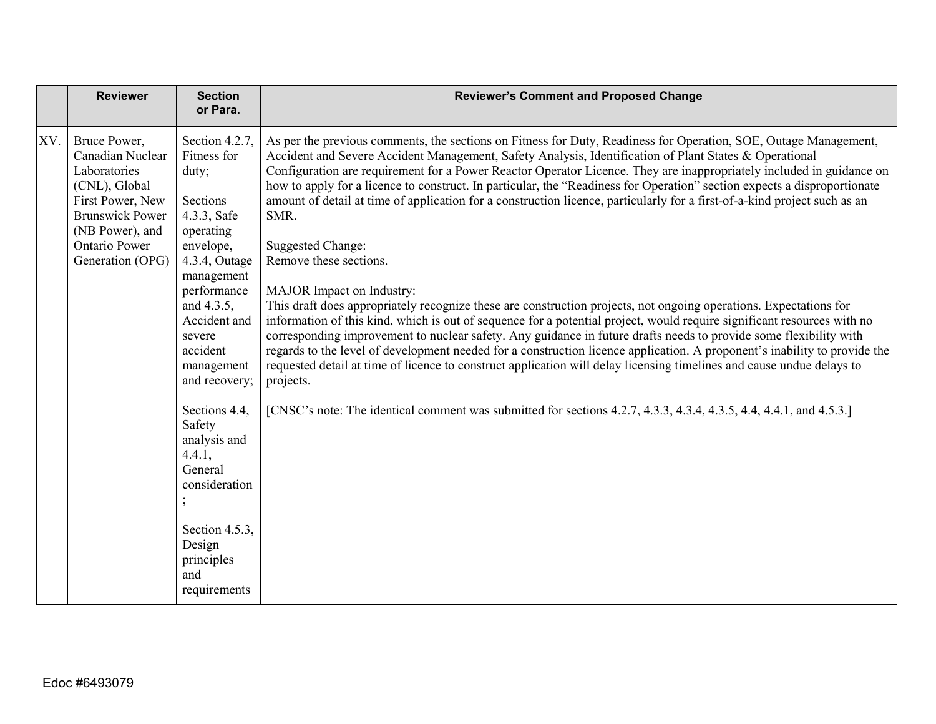|     | <b>Reviewer</b>                                                                                                                                                                | <b>Section</b><br>or Para.                                                                                                                                                                                                                                                                   | <b>Reviewer's Comment and Proposed Change</b>                                                                                                                                                                                                                                                                                                                                                                                                                                                                                                                                                                                                                                                                                                                                                                                                                                                                                                                                                                                                                                                                                                                                                                                                                                                                                                                                                                                                                        |
|-----|--------------------------------------------------------------------------------------------------------------------------------------------------------------------------------|----------------------------------------------------------------------------------------------------------------------------------------------------------------------------------------------------------------------------------------------------------------------------------------------|----------------------------------------------------------------------------------------------------------------------------------------------------------------------------------------------------------------------------------------------------------------------------------------------------------------------------------------------------------------------------------------------------------------------------------------------------------------------------------------------------------------------------------------------------------------------------------------------------------------------------------------------------------------------------------------------------------------------------------------------------------------------------------------------------------------------------------------------------------------------------------------------------------------------------------------------------------------------------------------------------------------------------------------------------------------------------------------------------------------------------------------------------------------------------------------------------------------------------------------------------------------------------------------------------------------------------------------------------------------------------------------------------------------------------------------------------------------------|
| XV. | Bruce Power,<br>Canadian Nuclear<br>Laboratories<br>(CNL), Global<br>First Power, New<br><b>Brunswick Power</b><br>(NB Power), and<br><b>Ontario Power</b><br>Generation (OPG) | Section 4.2.7,<br>Fitness for<br>duty;<br>Sections<br>4.3.3, Safe<br>operating<br>envelope,<br>4.3.4, Outage<br>management<br>performance<br>and 4.3.5,<br>Accident and<br>severe<br>accident<br>management<br>and recovery;<br>Sections 4.4,<br>Safety<br>analysis and<br>4.4.1,<br>General | As per the previous comments, the sections on Fitness for Duty, Readiness for Operation, SOE, Outage Management,<br>Accident and Severe Accident Management, Safety Analysis, Identification of Plant States & Operational<br>Configuration are requirement for a Power Reactor Operator Licence. They are inappropriately included in guidance on<br>how to apply for a licence to construct. In particular, the "Readiness for Operation" section expects a disproportionate<br>amount of detail at time of application for a construction licence, particularly for a first-of-a-kind project such as an<br>SMR.<br><b>Suggested Change:</b><br>Remove these sections.<br>MAJOR Impact on Industry:<br>This draft does appropriately recognize these are construction projects, not ongoing operations. Expectations for<br>information of this kind, which is out of sequence for a potential project, would require significant resources with no<br>corresponding improvement to nuclear safety. Any guidance in future drafts needs to provide some flexibility with<br>regards to the level of development needed for a construction licence application. A proponent's inability to provide the<br>requested detail at time of licence to construct application will delay licensing timelines and cause undue delays to<br>projects.<br>[CNSC's note: The identical comment was submitted for sections 4.2.7, 4.3.3, 4.3.4, 4.3.5, 4.4, 4.4.1, and 4.5.3.] |
|     |                                                                                                                                                                                | consideration<br>Section 4.5.3,<br>Design                                                                                                                                                                                                                                                    |                                                                                                                                                                                                                                                                                                                                                                                                                                                                                                                                                                                                                                                                                                                                                                                                                                                                                                                                                                                                                                                                                                                                                                                                                                                                                                                                                                                                                                                                      |
|     |                                                                                                                                                                                | principles<br>and<br>requirements                                                                                                                                                                                                                                                            |                                                                                                                                                                                                                                                                                                                                                                                                                                                                                                                                                                                                                                                                                                                                                                                                                                                                                                                                                                                                                                                                                                                                                                                                                                                                                                                                                                                                                                                                      |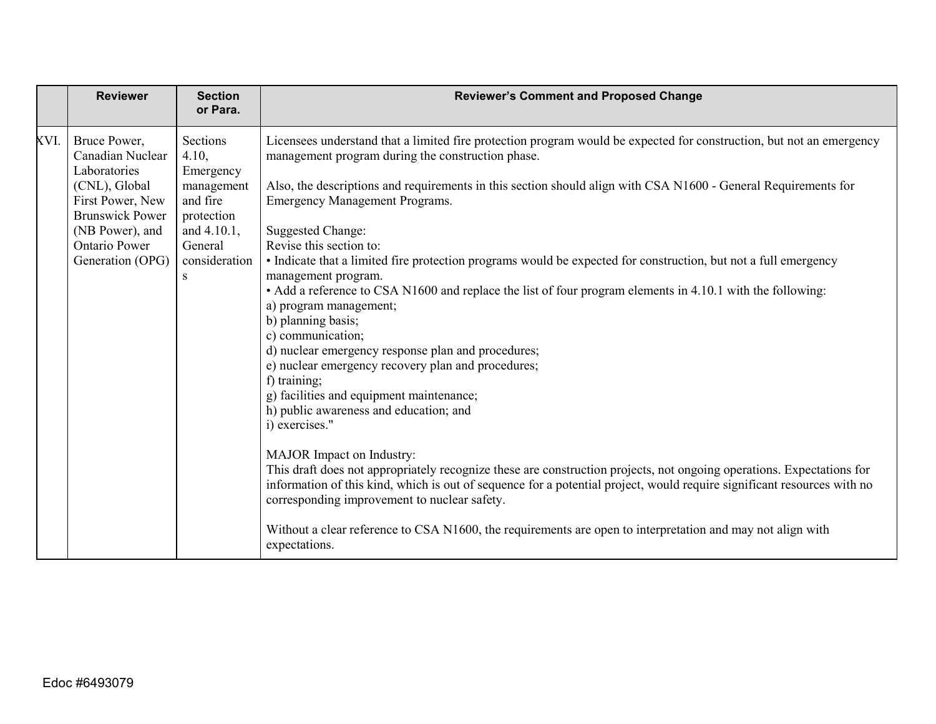|      | <b>Reviewer</b>                                             | <b>Section</b><br>or Para.           | <b>Reviewer's Comment and Proposed Change</b>                                                                                                                                                                                                                                                                                 |
|------|-------------------------------------------------------------|--------------------------------------|-------------------------------------------------------------------------------------------------------------------------------------------------------------------------------------------------------------------------------------------------------------------------------------------------------------------------------|
| XVI. | Bruce Power,<br>Canadian Nuclear<br>Laboratories            | Sections<br>4.10,<br>Emergency       | Licensees understand that a limited fire protection program would be expected for construction, but not an emergency<br>management program during the construction phase.                                                                                                                                                     |
|      | (CNL), Global<br>First Power, New<br><b>Brunswick Power</b> | management<br>and fire<br>protection | Also, the descriptions and requirements in this section should align with CSA N1600 - General Requirements for<br><b>Emergency Management Programs.</b>                                                                                                                                                                       |
|      | (NB Power), and<br><b>Ontario Power</b>                     | and 4.10.1,<br>General               | <b>Suggested Change:</b><br>Revise this section to:                                                                                                                                                                                                                                                                           |
|      | Generation (OPG)                                            | consideration<br>S                   | • Indicate that a limited fire protection programs would be expected for construction, but not a full emergency<br>management program.                                                                                                                                                                                        |
|      |                                                             |                                      | • Add a reference to CSA N1600 and replace the list of four program elements in 4.10.1 with the following:<br>a) program management;<br>b) planning basis;<br>c) communication;                                                                                                                                               |
|      |                                                             |                                      | d) nuclear emergency response plan and procedures;<br>e) nuclear emergency recovery plan and procedures;<br>f) training;                                                                                                                                                                                                      |
|      |                                                             |                                      | g) facilities and equipment maintenance;<br>h) public awareness and education; and<br>i) exercises."                                                                                                                                                                                                                          |
|      |                                                             |                                      | MAJOR Impact on Industry:<br>This draft does not appropriately recognize these are construction projects, not ongoing operations. Expectations for<br>information of this kind, which is out of sequence for a potential project, would require significant resources with no<br>corresponding improvement to nuclear safety. |
|      |                                                             |                                      | Without a clear reference to CSA N1600, the requirements are open to interpretation and may not align with<br>expectations.                                                                                                                                                                                                   |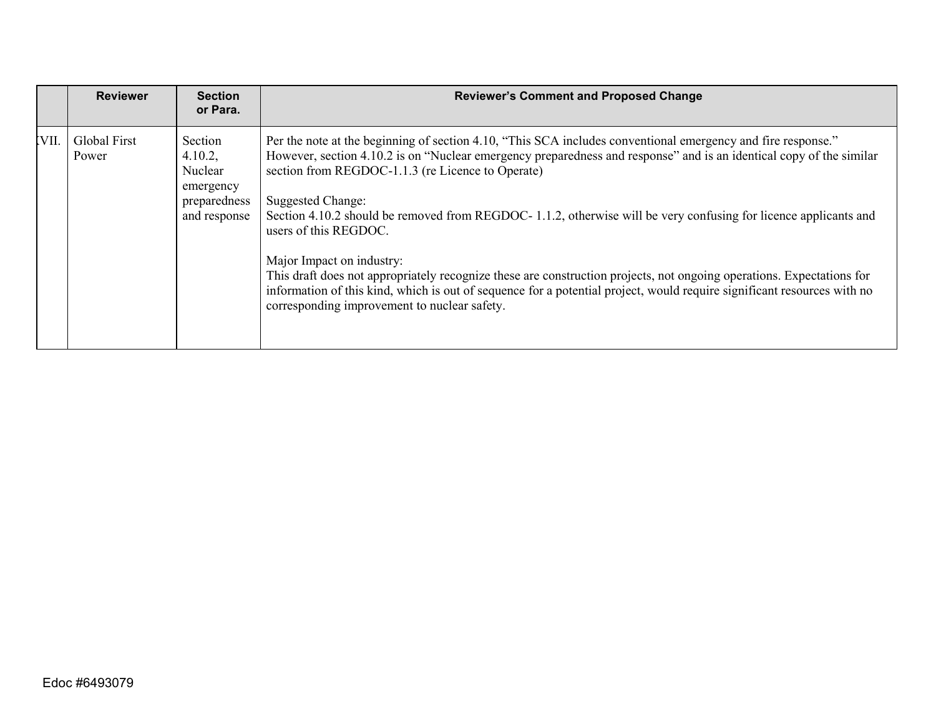|      | <b>Reviewer</b>              | <b>Section</b><br>or Para.                                                 | <b>Reviewer's Comment and Proposed Change</b>                                                                                                                                                                                                                                                                                                                                                                                                                                                                                                                                                                                                                                                                                                                                              |
|------|------------------------------|----------------------------------------------------------------------------|--------------------------------------------------------------------------------------------------------------------------------------------------------------------------------------------------------------------------------------------------------------------------------------------------------------------------------------------------------------------------------------------------------------------------------------------------------------------------------------------------------------------------------------------------------------------------------------------------------------------------------------------------------------------------------------------------------------------------------------------------------------------------------------------|
| VII. | <b>Global First</b><br>Power | Section<br>4.10.2,<br>Nuclear<br>emergency<br>preparedness<br>and response | Per the note at the beginning of section 4.10, "This SCA includes conventional emergency and fire response."<br>However, section 4.10.2 is on "Nuclear emergency preparedness and response" and is an identical copy of the similar<br>section from REGDOC-1.1.3 (re Licence to Operate)<br>Suggested Change:<br>Section 4.10.2 should be removed from REGDOC-1.1.2, otherwise will be very confusing for licence applicants and<br>users of this REGDOC.<br>Major Impact on industry:<br>This draft does not appropriately recognize these are construction projects, not ongoing operations. Expectations for<br>information of this kind, which is out of sequence for a potential project, would require significant resources with no<br>corresponding improvement to nuclear safety. |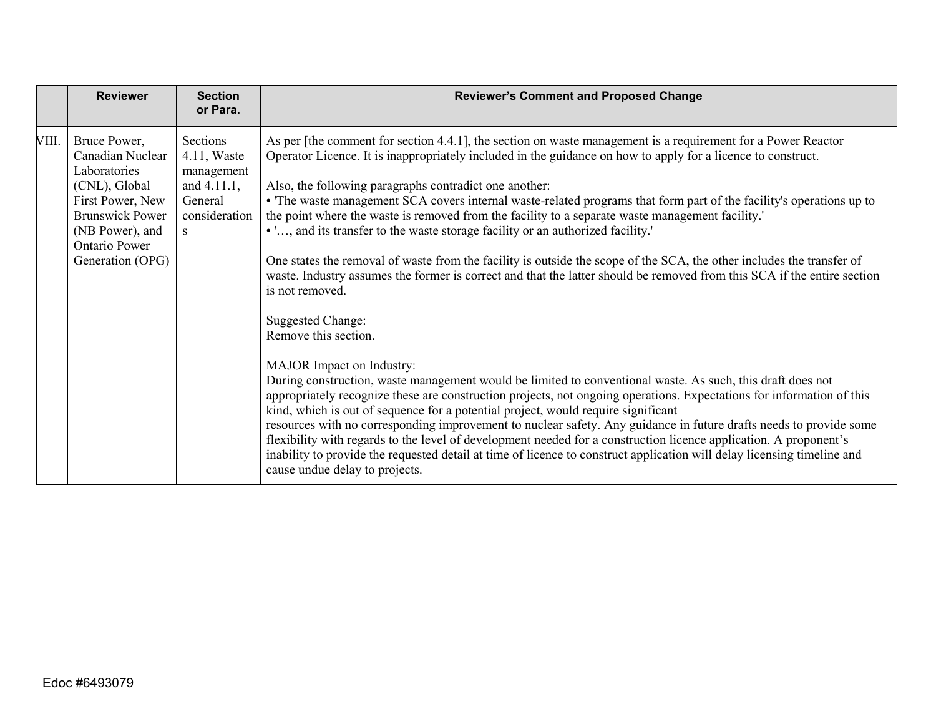|       | <b>Reviewer</b>                                                                                                                                                         | <b>Section</b><br>or Para.                                                                             | <b>Reviewer's Comment and Proposed Change</b>                                                                                                                                                                                                                                                                                                                                                                                                                                                                                                                                                                                                                                                                                                                                                                                                                                                                                                                                                                                                                                                                                                                                                                                                                                                                                                                                                                                                                                                                                                                                                                                                                                                           |
|-------|-------------------------------------------------------------------------------------------------------------------------------------------------------------------------|--------------------------------------------------------------------------------------------------------|---------------------------------------------------------------------------------------------------------------------------------------------------------------------------------------------------------------------------------------------------------------------------------------------------------------------------------------------------------------------------------------------------------------------------------------------------------------------------------------------------------------------------------------------------------------------------------------------------------------------------------------------------------------------------------------------------------------------------------------------------------------------------------------------------------------------------------------------------------------------------------------------------------------------------------------------------------------------------------------------------------------------------------------------------------------------------------------------------------------------------------------------------------------------------------------------------------------------------------------------------------------------------------------------------------------------------------------------------------------------------------------------------------------------------------------------------------------------------------------------------------------------------------------------------------------------------------------------------------------------------------------------------------------------------------------------------------|
| VIII. | Bruce Power,<br>Canadian Nuclear<br>Laboratories<br>(CNL), Global<br>First Power, New<br><b>Brunswick Power</b><br>(NB Power), and<br>Ontario Power<br>Generation (OPG) | Sections<br>$4.11$ , Waste<br>management<br>and $4.11.1$ ,<br>General<br>consideration<br><sub>S</sub> | As per [the comment for section 4.4.1], the section on waste management is a requirement for a Power Reactor<br>Operator Licence. It is inappropriately included in the guidance on how to apply for a licence to construct.<br>Also, the following paragraphs contradict one another:<br>• The waste management SCA covers internal waste-related programs that form part of the facility's operations up to<br>the point where the waste is removed from the facility to a separate waste management facility.'<br>• ', and its transfer to the waste storage facility or an authorized facility.'<br>One states the removal of waste from the facility is outside the scope of the SCA, the other includes the transfer of<br>waste. Industry assumes the former is correct and that the latter should be removed from this SCA if the entire section<br>is not removed.<br><b>Suggested Change:</b><br>Remove this section.<br><b>MAJOR</b> Impact on Industry:<br>During construction, waste management would be limited to conventional waste. As such, this draft does not<br>appropriately recognize these are construction projects, not ongoing operations. Expectations for information of this<br>kind, which is out of sequence for a potential project, would require significant<br>resources with no corresponding improvement to nuclear safety. Any guidance in future drafts needs to provide some<br>flexibility with regards to the level of development needed for a construction licence application. A proponent's<br>inability to provide the requested detail at time of licence to construct application will delay licensing timeline and<br>cause undue delay to projects. |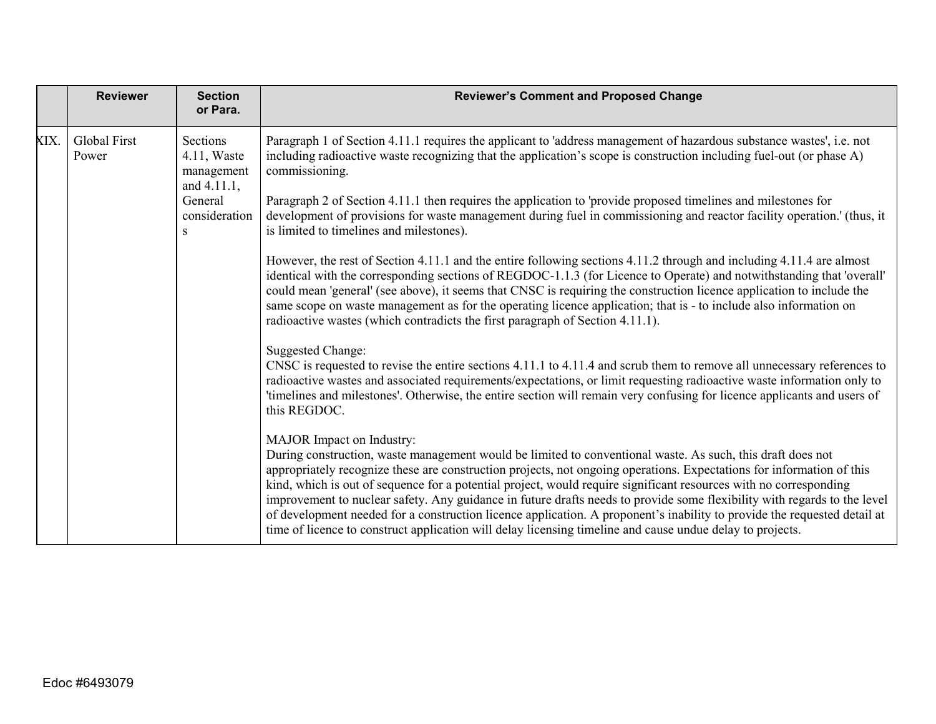|      | <b>Reviewer</b>              | <b>Section</b><br>or Para.                              | <b>Reviewer's Comment and Proposed Change</b>                                                                                                                                                                                                                                                                                                                                                                                                                                                                                                                                                                                                                                                                                                              |
|------|------------------------------|---------------------------------------------------------|------------------------------------------------------------------------------------------------------------------------------------------------------------------------------------------------------------------------------------------------------------------------------------------------------------------------------------------------------------------------------------------------------------------------------------------------------------------------------------------------------------------------------------------------------------------------------------------------------------------------------------------------------------------------------------------------------------------------------------------------------------|
| XIX. | <b>Global First</b><br>Power | Sections<br>$4.11$ , Waste<br>management<br>and 4.11.1, | Paragraph 1 of Section 4.11.1 requires the applicant to 'address management of hazardous substance wastes', i.e. not<br>including radioactive waste recognizing that the application's scope is construction including fuel-out (or phase A)<br>commissioning.                                                                                                                                                                                                                                                                                                                                                                                                                                                                                             |
|      |                              | General<br>consideration<br>S                           | Paragraph 2 of Section 4.11.1 then requires the application to 'provide proposed timelines and milestones for<br>development of provisions for waste management during fuel in commissioning and reactor facility operation.' (thus, it<br>is limited to timelines and milestones).                                                                                                                                                                                                                                                                                                                                                                                                                                                                        |
|      |                              |                                                         | However, the rest of Section 4.11.1 and the entire following sections 4.11.2 through and including 4.11.4 are almost<br>identical with the corresponding sections of REGDOC-1.1.3 (for Licence to Operate) and notwithstanding that 'overall'<br>could mean 'general' (see above), it seems that CNSC is requiring the construction licence application to include the<br>same scope on waste management as for the operating licence application; that is - to include also information on<br>radioactive wastes (which contradicts the first paragraph of Section 4.11.1).                                                                                                                                                                               |
|      |                              |                                                         | <b>Suggested Change:</b><br>CNSC is requested to revise the entire sections 4.11.1 to 4.11.4 and scrub them to remove all unnecessary references to<br>radioactive wastes and associated requirements/expectations, or limit requesting radioactive waste information only to<br>'timelines and milestones'. Otherwise, the entire section will remain very confusing for licence applicants and users of<br>this REGDOC.                                                                                                                                                                                                                                                                                                                                  |
|      |                              |                                                         | MAJOR Impact on Industry:<br>During construction, waste management would be limited to conventional waste. As such, this draft does not<br>appropriately recognize these are construction projects, not ongoing operations. Expectations for information of this<br>kind, which is out of sequence for a potential project, would require significant resources with no corresponding<br>improvement to nuclear safety. Any guidance in future drafts needs to provide some flexibility with regards to the level<br>of development needed for a construction licence application. A proponent's inability to provide the requested detail at<br>time of licence to construct application will delay licensing timeline and cause undue delay to projects. |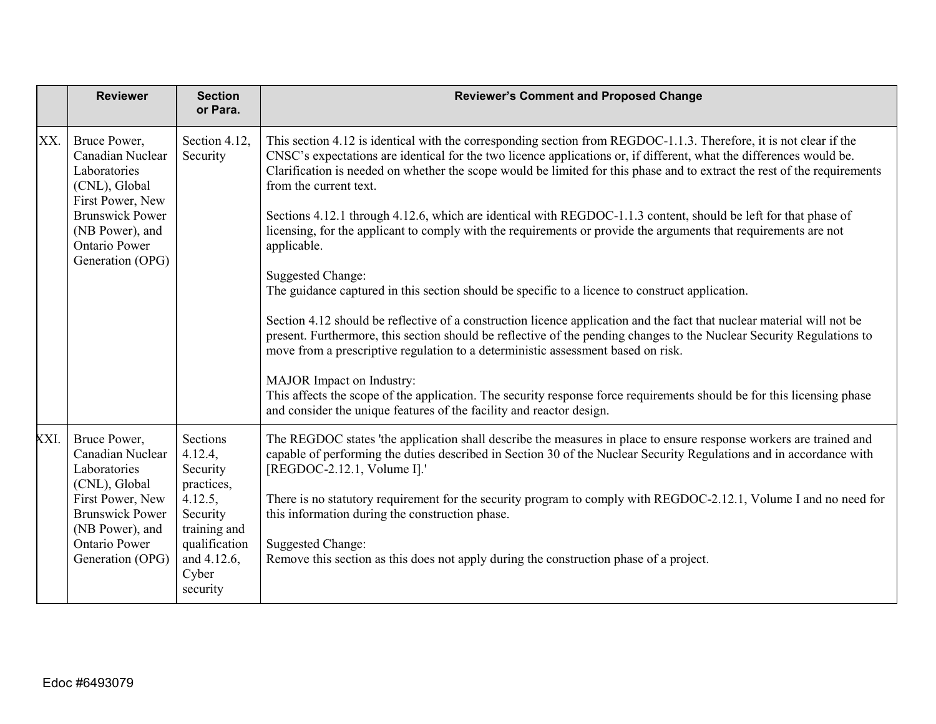|      | <b>Reviewer</b>                                                                                                                                                                | <b>Section</b><br>or Para.                                                                                                                | <b>Reviewer's Comment and Proposed Change</b>                                                                                                                                                                                                                                                                                                                                                                                                                                                                                                                                                                                                                                                                                                                                                                                                                                                                                                                                                                                                                                                                                                                                                                                                                                                                                                             |
|------|--------------------------------------------------------------------------------------------------------------------------------------------------------------------------------|-------------------------------------------------------------------------------------------------------------------------------------------|-----------------------------------------------------------------------------------------------------------------------------------------------------------------------------------------------------------------------------------------------------------------------------------------------------------------------------------------------------------------------------------------------------------------------------------------------------------------------------------------------------------------------------------------------------------------------------------------------------------------------------------------------------------------------------------------------------------------------------------------------------------------------------------------------------------------------------------------------------------------------------------------------------------------------------------------------------------------------------------------------------------------------------------------------------------------------------------------------------------------------------------------------------------------------------------------------------------------------------------------------------------------------------------------------------------------------------------------------------------|
| XX.  | Bruce Power,<br>Canadian Nuclear<br>Laboratories<br>(CNL), Global<br>First Power, New<br><b>Brunswick Power</b><br>(NB Power), and<br>Ontario Power<br>Generation (OPG)        | Section 4.12,<br>Security                                                                                                                 | This section 4.12 is identical with the corresponding section from REGDOC-1.1.3. Therefore, it is not clear if the<br>CNSC's expectations are identical for the two licence applications or, if different, what the differences would be.<br>Clarification is needed on whether the scope would be limited for this phase and to extract the rest of the requirements<br>from the current text.<br>Sections 4.12.1 through 4.12.6, which are identical with REGDOC-1.1.3 content, should be left for that phase of<br>licensing, for the applicant to comply with the requirements or provide the arguments that requirements are not<br>applicable.<br><b>Suggested Change:</b><br>The guidance captured in this section should be specific to a licence to construct application.<br>Section 4.12 should be reflective of a construction licence application and the fact that nuclear material will not be<br>present. Furthermore, this section should be reflective of the pending changes to the Nuclear Security Regulations to<br>move from a prescriptive regulation to a deterministic assessment based on risk.<br>MAJOR Impact on Industry:<br>This affects the scope of the application. The security response force requirements should be for this licensing phase<br>and consider the unique features of the facility and reactor design. |
| XXI. | Bruce Power,<br>Canadian Nuclear<br>Laboratories<br>(CNL), Global<br>First Power, New<br><b>Brunswick Power</b><br>(NB Power), and<br><b>Ontario Power</b><br>Generation (OPG) | Sections<br>4.12.4,<br>Security<br>practices,<br>4.12.5,<br>Security<br>training and<br>qualification<br>and 4.12.6,<br>Cyber<br>security | The REGDOC states 'the application shall describe the measures in place to ensure response workers are trained and<br>capable of performing the duties described in Section 30 of the Nuclear Security Regulations and in accordance with<br>[REGDOC-2.12.1, Volume I].'<br>There is no statutory requirement for the security program to comply with REGDOC-2.12.1, Volume I and no need for<br>this information during the construction phase.<br><b>Suggested Change:</b><br>Remove this section as this does not apply during the construction phase of a project.                                                                                                                                                                                                                                                                                                                                                                                                                                                                                                                                                                                                                                                                                                                                                                                    |